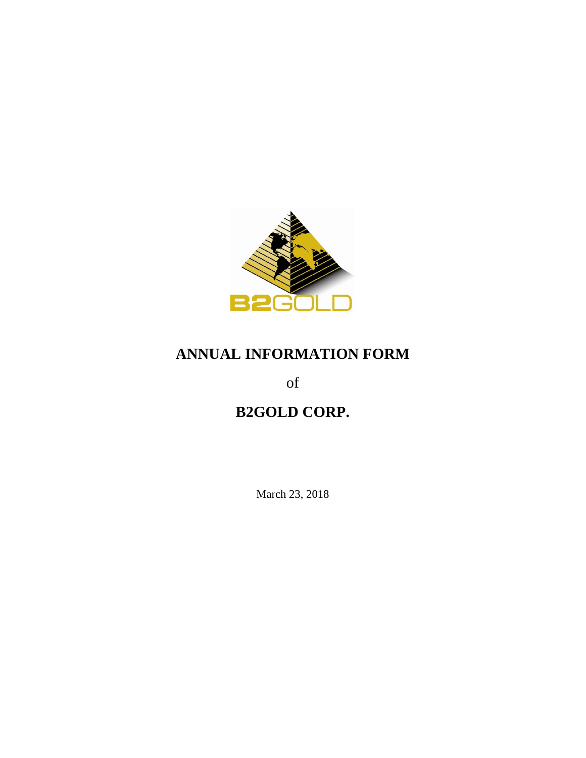

# **ANNUAL INFORMATION FORM**

of

# **B2GOLD CORP.**

March 23, 2018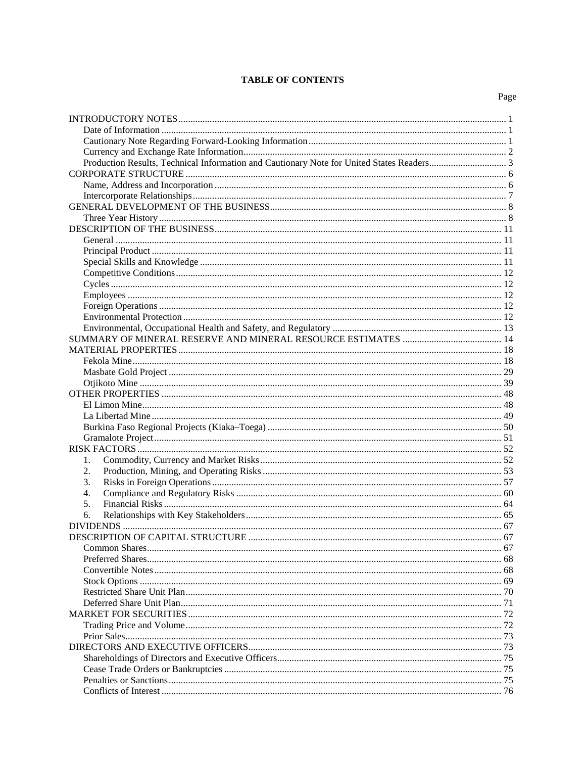# **TABLE OF CONTENTS**

| . .<br>٠<br>۰,<br>×<br>×<br>۰. |
|--------------------------------|
|--------------------------------|

| 1. |  |
|----|--|
| 2. |  |
| 3. |  |
| 4. |  |
| 5. |  |
|    |  |
| 6. |  |
|    |  |
|    |  |
|    |  |
|    |  |
|    |  |
|    |  |
|    |  |
|    |  |
|    |  |
|    |  |
|    |  |
|    |  |
|    |  |
|    |  |
|    |  |
|    |  |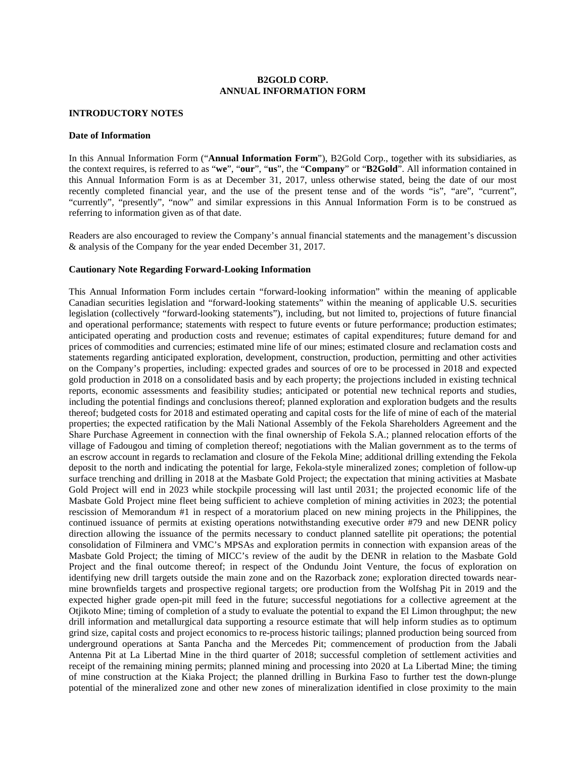# **B2GOLD CORP. ANNUAL INFORMATION FORM**

#### <span id="page-3-0"></span>**INTRODUCTORY NOTES**

#### <span id="page-3-1"></span>**Date of Information**

In this Annual Information Form ("**Annual Information Form**"), B2Gold Corp., together with its subsidiaries, as the context requires, is referred to as "**we**", "**our**", "**us**", the "**Company**" or "**B2Gold**". All information contained in this Annual Information Form is as at December 31, 2017, unless otherwise stated, being the date of our most recently completed financial year, and the use of the present tense and of the words "is", "are", "current", "currently", "presently", "now" and similar expressions in this Annual Information Form is to be construed as referring to information given as of that date.

Readers are also encouraged to review the Company's annual financial statements and the management's discussion & analysis of the Company for the year ended December 31, 2017.

#### <span id="page-3-2"></span>**Cautionary Note Regarding Forward-Looking Information**

This Annual Information Form includes certain "forward-looking information" within the meaning of applicable Canadian securities legislation and "forward-looking statements" within the meaning of applicable U.S. securities legislation (collectively "forward-looking statements"), including, but not limited to, projections of future financial and operational performance; statements with respect to future events or future performance; production estimates; anticipated operating and production costs and revenue; estimates of capital expenditures; future demand for and prices of commodities and currencies; estimated mine life of our mines; estimated closure and reclamation costs and statements regarding anticipated exploration, development, construction, production, permitting and other activities on the Company's properties, including: expected grades and sources of ore to be processed in 2018 and expected gold production in 2018 on a consolidated basis and by each property; the projections included in existing technical reports, economic assessments and feasibility studies; anticipated or potential new technical reports and studies, including the potential findings and conclusions thereof; planned exploration and exploration budgets and the results thereof; budgeted costs for 2018 and estimated operating and capital costs for the life of mine of each of the material properties; the expected ratification by the Mali National Assembly of the Fekola Shareholders Agreement and the Share Purchase Agreement in connection with the final ownership of Fekola S.A.; planned relocation efforts of the village of Fadougou and timing of completion thereof; negotiations with the Malian government as to the terms of an escrow account in regards to reclamation and closure of the Fekola Mine; additional drilling extending the Fekola deposit to the north and indicating the potential for large, Fekola-style mineralized zones; completion of follow-up surface trenching and drilling in 2018 at the Masbate Gold Project; the expectation that mining activities at Masbate Gold Project will end in 2023 while stockpile processing will last until 2031; the projected economic life of the Masbate Gold Project mine fleet being sufficient to achieve completion of mining activities in 2023; the potential rescission of Memorandum #1 in respect of a moratorium placed on new mining projects in the Philippines, the continued issuance of permits at existing operations notwithstanding executive order #79 and new DENR policy direction allowing the issuance of the permits necessary to conduct planned satellite pit operations; the potential consolidation of Filminera and VMC's MPSAs and exploration permits in connection with expansion areas of the Masbate Gold Project; the timing of MICC's review of the audit by the DENR in relation to the Masbate Gold Project and the final outcome thereof; in respect of the Ondundu Joint Venture, the focus of exploration on identifying new drill targets outside the main zone and on the Razorback zone; exploration directed towards nearmine brownfields targets and prospective regional targets; ore production from the Wolfshag Pit in 2019 and the expected higher grade open-pit mill feed in the future; successful negotiations for a collective agreement at the Otjikoto Mine; timing of completion of a study to evaluate the potential to expand the El Limon throughput; the new drill information and metallurgical data supporting a resource estimate that will help inform studies as to optimum grind size, capital costs and project economics to re-process historic tailings; planned production being sourced from underground operations at Santa Pancha and the Mercedes Pit; commencement of production from the Jabali Antenna Pit at La Libertad Mine in the third quarter of 2018; successful completion of settlement activities and receipt of the remaining mining permits; planned mining and processing into 2020 at La Libertad Mine; the timing of mine construction at the Kiaka Project; the planned drilling in Burkina Faso to further test the down-plunge potential of the mineralized zone and other new zones of mineralization identified in close proximity to the main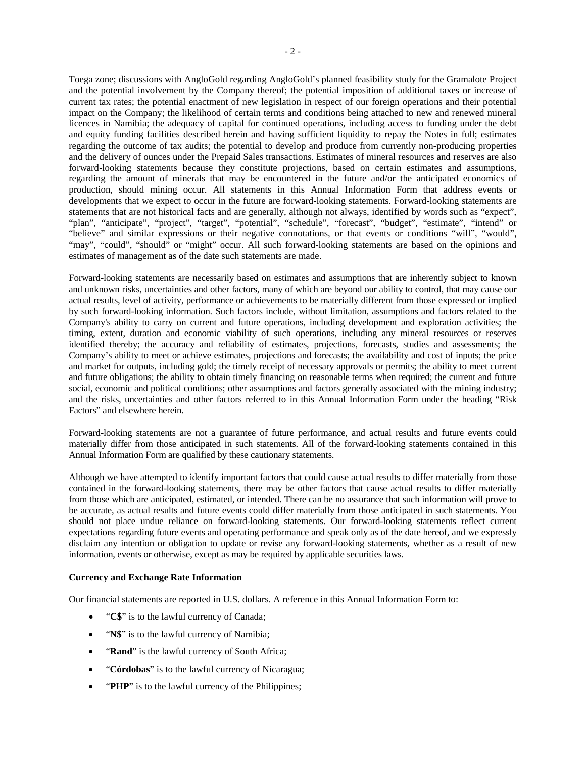Toega zone; discussions with AngloGold regarding AngloGold's planned feasibility study for the Gramalote Project and the potential involvement by the Company thereof; the potential imposition of additional taxes or increase of current tax rates; the potential enactment of new legislation in respect of our foreign operations and their potential impact on the Company; the likelihood of certain terms and conditions being attached to new and renewed mineral licences in Namibia; the adequacy of capital for continued operations, including access to funding under the debt and equity funding facilities described herein and having sufficient liquidity to repay the Notes in full; estimates regarding the outcome of tax audits; the potential to develop and produce from currently non-producing properties and the delivery of ounces under the Prepaid Sales transactions. Estimates of mineral resources and reserves are also forward-looking statements because they constitute projections, based on certain estimates and assumptions, regarding the amount of minerals that may be encountered in the future and/or the anticipated economics of production, should mining occur. All statements in this Annual Information Form that address events or developments that we expect to occur in the future are forward-looking statements. Forward-looking statements are statements that are not historical facts and are generally, although not always, identified by words such as "expect", "plan", "anticipate", "project", "target", "potential", "schedule", "forecast", "budget", "estimate", "intend" or "believe" and similar expressions or their negative connotations, or that events or conditions "will", "would", "may", "could", "should" or "might" occur. All such forward-looking statements are based on the opinions and estimates of management as of the date such statements are made.

Forward-looking statements are necessarily based on estimates and assumptions that are inherently subject to known and unknown risks, uncertainties and other factors, many of which are beyond our ability to control, that may cause our actual results, level of activity, performance or achievements to be materially different from those expressed or implied by such forward-looking information. Such factors include, without limitation, assumptions and factors related to the Company's ability to carry on current and future operations, including development and exploration activities; the timing, extent, duration and economic viability of such operations, including any mineral resources or reserves identified thereby; the accuracy and reliability of estimates, projections, forecasts, studies and assessments; the Company's ability to meet or achieve estimates, projections and forecasts; the availability and cost of inputs; the price and market for outputs, including gold; the timely receipt of necessary approvals or permits; the ability to meet current and future obligations; the ability to obtain timely financing on reasonable terms when required; the current and future social, economic and political conditions; other assumptions and factors generally associated with the mining industry; and the risks, uncertainties and other factors referred to in this Annual Information Form under the heading "Risk Factors" and elsewhere herein.

Forward-looking statements are not a guarantee of future performance, and actual results and future events could materially differ from those anticipated in such statements. All of the forward-looking statements contained in this Annual Information Form are qualified by these cautionary statements.

Although we have attempted to identify important factors that could cause actual results to differ materially from those contained in the forward-looking statements, there may be other factors that cause actual results to differ materially from those which are anticipated, estimated, or intended. There can be no assurance that such information will prove to be accurate, as actual results and future events could differ materially from those anticipated in such statements. You should not place undue reliance on forward-looking statements. Our forward-looking statements reflect current expectations regarding future events and operating performance and speak only as of the date hereof, and we expressly disclaim any intention or obligation to update or revise any forward-looking statements, whether as a result of new information, events or otherwise, except as may be required by applicable securities laws.

#### <span id="page-4-0"></span>**Currency and Exchange Rate Information**

Our financial statements are reported in U.S. dollars. A reference in this Annual Information Form to:

- "**C\$**" is to the lawful currency of Canada;
- "**N\$**" is to the lawful currency of Namibia;
- "**Rand**" is the lawful currency of South Africa;
- "**Córdobas**" is to the lawful currency of Nicaragua;
- **"PHP**" is to the lawful currency of the Philippines;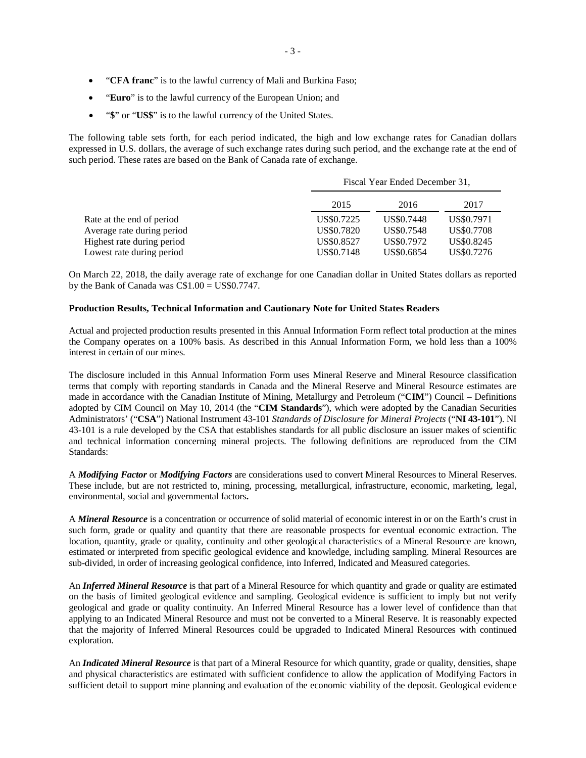- "**CFA franc**" is to the lawful currency of Mali and Burkina Faso;
- "**Euro**" is to the lawful currency of the European Union; and
- "**\$**" or "**US\$**" is to the lawful currency of the United States.

The following table sets forth, for each period indicated, the high and low exchange rates for Canadian dollars expressed in U.S. dollars, the average of such exchange rates during such period, and the exchange rate at the end of such period. These rates are based on the Bank of Canada rate of exchange.

Fiscal Year Ended December 31,

|                            | 2015       | 2016       | 2017       |
|----------------------------|------------|------------|------------|
| Rate at the end of period  | US\$0.7225 | US\$0.7448 | US\$0.7971 |
| Average rate during period | US\$0.7820 | US\$0.7548 | US\$0.7708 |
| Highest rate during period | US\$0.8527 | US\$0.7972 | US\$0.8245 |
| Lowest rate during period  | US\$0.7148 | US\$0.6854 | US\$0.7276 |

On March 22, 2018, the daily average rate of exchange for one Canadian dollar in United States dollars as reported by the Bank of Canada was  $C$1.00 = US$0.7747$ .

#### <span id="page-5-0"></span>**Production Results, Technical Information and Cautionary Note for United States Readers**

Actual and projected production results presented in this Annual Information Form reflect total production at the mines the Company operates on a 100% basis. As described in this Annual Information Form, we hold less than a 100% interest in certain of our mines.

The disclosure included in this Annual Information Form uses Mineral Reserve and Mineral Resource classification terms that comply with reporting standards in Canada and the Mineral Reserve and Mineral Resource estimates are made in accordance with the Canadian Institute of Mining, Metallurgy and Petroleum ("**CIM**") Council – Definitions adopted by CIM Council on May 10, 2014 (the "**CIM Standards**"), which were adopted by the Canadian Securities Administrators' ("**CSA**") National Instrument 43-101 *Standards of Disclosure for Mineral Projects* ("**NI 43-101**"). NI 43-101 is a rule developed by the CSA that establishes standards for all public disclosure an issuer makes of scientific and technical information concerning mineral projects. The following definitions are reproduced from the CIM Standards:

A *Modifying Factor* or *Modifying Factors* are considerations used to convert Mineral Resources to Mineral Reserves. These include, but are not restricted to, mining, processing, metallurgical, infrastructure, economic, marketing, legal, environmental, social and governmental factors**.**

A *Mineral Resource* is a concentration or occurrence of solid material of economic interest in or on the Earth's crust in such form, grade or quality and quantity that there are reasonable prospects for eventual economic extraction. The location, quantity, grade or quality, continuity and other geological characteristics of a Mineral Resource are known, estimated or interpreted from specific geological evidence and knowledge, including sampling. Mineral Resources are sub-divided, in order of increasing geological confidence, into Inferred, Indicated and Measured categories.

An *Inferred Mineral Resource* is that part of a Mineral Resource for which quantity and grade or quality are estimated on the basis of limited geological evidence and sampling. Geological evidence is sufficient to imply but not verify geological and grade or quality continuity. An Inferred Mineral Resource has a lower level of confidence than that applying to an Indicated Mineral Resource and must not be converted to a Mineral Reserve. It is reasonably expected that the majority of Inferred Mineral Resources could be upgraded to Indicated Mineral Resources with continued exploration.

An *Indicated Mineral Resource* is that part of a Mineral Resource for which quantity, grade or quality, densities, shape and physical characteristics are estimated with sufficient confidence to allow the application of Modifying Factors in sufficient detail to support mine planning and evaluation of the economic viability of the deposit. Geological evidence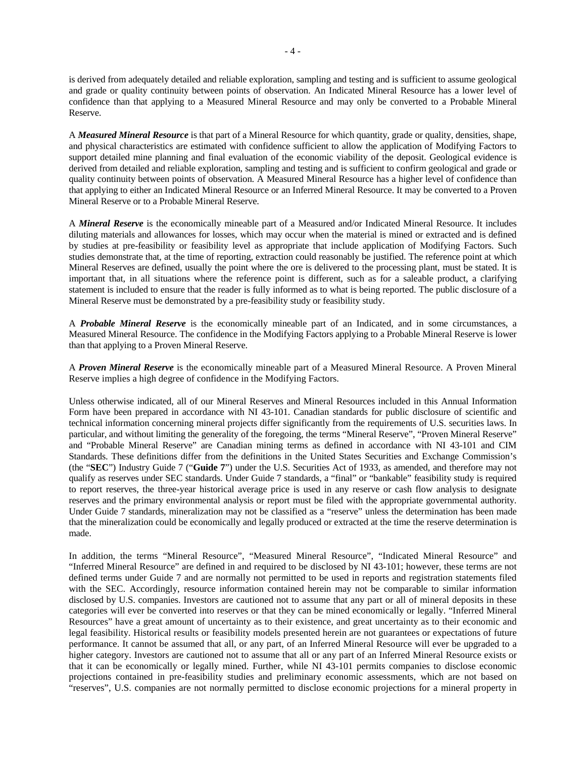is derived from adequately detailed and reliable exploration, sampling and testing and is sufficient to assume geological and grade or quality continuity between points of observation. An Indicated Mineral Resource has a lower level of confidence than that applying to a Measured Mineral Resource and may only be converted to a Probable Mineral Reserve.

A *Measured Mineral Resource* is that part of a Mineral Resource for which quantity, grade or quality, densities, shape, and physical characteristics are estimated with confidence sufficient to allow the application of Modifying Factors to support detailed mine planning and final evaluation of the economic viability of the deposit. Geological evidence is derived from detailed and reliable exploration, sampling and testing and is sufficient to confirm geological and grade or quality continuity between points of observation. A Measured Mineral Resource has a higher level of confidence than that applying to either an Indicated Mineral Resource or an Inferred Mineral Resource. It may be converted to a Proven Mineral Reserve or to a Probable Mineral Reserve.

A *Mineral Reserve* is the economically mineable part of a Measured and/or Indicated Mineral Resource. It includes diluting materials and allowances for losses, which may occur when the material is mined or extracted and is defined by studies at pre-feasibility or feasibility level as appropriate that include application of Modifying Factors. Such studies demonstrate that, at the time of reporting, extraction could reasonably be justified. The reference point at which Mineral Reserves are defined, usually the point where the ore is delivered to the processing plant, must be stated. It is important that, in all situations where the reference point is different, such as for a saleable product, a clarifying statement is included to ensure that the reader is fully informed as to what is being reported. The public disclosure of a Mineral Reserve must be demonstrated by a pre-feasibility study or feasibility study.

A *Probable Mineral Reserve* is the economically mineable part of an Indicated, and in some circumstances, a Measured Mineral Resource. The confidence in the Modifying Factors applying to a Probable Mineral Reserve is lower than that applying to a Proven Mineral Reserve.

A *Proven Mineral Reserve* is the economically mineable part of a Measured Mineral Resource. A Proven Mineral Reserve implies a high degree of confidence in the Modifying Factors.

Unless otherwise indicated, all of our Mineral Reserves and Mineral Resources included in this Annual Information Form have been prepared in accordance with NI 43-101. Canadian standards for public disclosure of scientific and technical information concerning mineral projects differ significantly from the requirements of U.S. securities laws. In particular, and without limiting the generality of the foregoing, the terms "Mineral Reserve", "Proven Mineral Reserve" and "Probable Mineral Reserve" are Canadian mining terms as defined in accordance with NI 43-101 and CIM Standards. These definitions differ from the definitions in the United States Securities and Exchange Commission's (the "**SEC**") Industry Guide 7 ("**Guide 7**") under the U.S. Securities Act of 1933, as amended, and therefore may not qualify as reserves under SEC standards. Under Guide 7 standards, a "final" or "bankable" feasibility study is required to report reserves, the three-year historical average price is used in any reserve or cash flow analysis to designate reserves and the primary environmental analysis or report must be filed with the appropriate governmental authority. Under Guide 7 standards, mineralization may not be classified as a "reserve" unless the determination has been made that the mineralization could be economically and legally produced or extracted at the time the reserve determination is made.

In addition, the terms "Mineral Resource", "Measured Mineral Resource", "Indicated Mineral Resource" and "Inferred Mineral Resource" are defined in and required to be disclosed by NI 43-101; however, these terms are not defined terms under Guide 7 and are normally not permitted to be used in reports and registration statements filed with the SEC. Accordingly, resource information contained herein may not be comparable to similar information disclosed by U.S. companies. Investors are cautioned not to assume that any part or all of mineral deposits in these categories will ever be converted into reserves or that they can be mined economically or legally. "Inferred Mineral Resources" have a great amount of uncertainty as to their existence, and great uncertainty as to their economic and legal feasibility. Historical results or feasibility models presented herein are not guarantees or expectations of future performance. It cannot be assumed that all, or any part, of an Inferred Mineral Resource will ever be upgraded to a higher category. Investors are cautioned not to assume that all or any part of an Inferred Mineral Resource exists or that it can be economically or legally mined. Further, while NI 43-101 permits companies to disclose economic projections contained in pre-feasibility studies and preliminary economic assessments, which are not based on "reserves", U.S. companies are not normally permitted to disclose economic projections for a mineral property in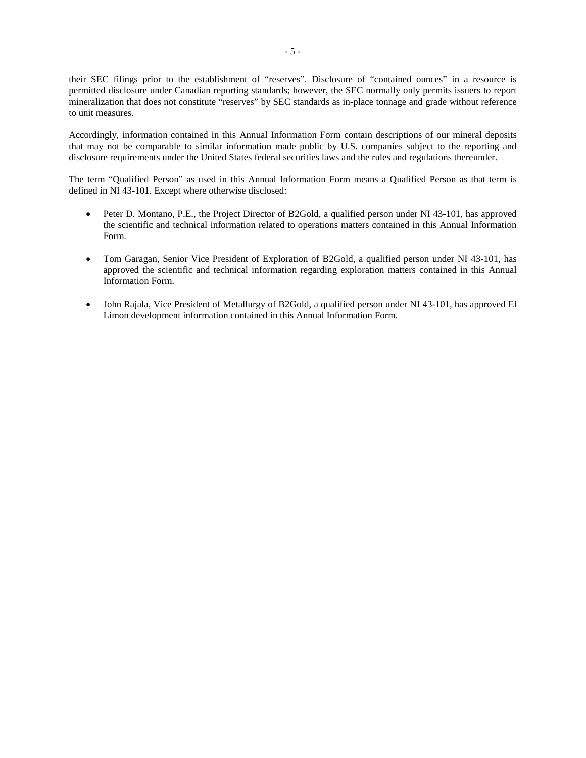their SEC filings prior to the establishment of "reserves". Disclosure of "contained ounces" in a resource is permitted disclosure under Canadian reporting standards; however, the SEC normally only permits issuers to report mineralization that does not constitute "reserves" by SEC standards as in-place tonnage and grade without reference to unit measures.

Accordingly, information contained in this Annual Information Form contain descriptions of our mineral deposits that may not be comparable to similar information made public by U.S. companies subject to the reporting and disclosure requirements under the United States federal securities laws and the rules and regulations thereunder.

The term "Qualified Person" as used in this Annual Information Form means a Qualified Person as that term is defined in NI 43-101. Except where otherwise disclosed:

- Peter D. Montano, P.E., the Project Director of B2Gold, a qualified person under NI 43-101, has approved the scientific and technical information related to operations matters contained in this Annual Information Form.
- Tom Garagan, Senior Vice President of Exploration of B2Gold, a qualified person under NI 43-101, has approved the scientific and technical information regarding exploration matters contained in this Annual Information Form.
- John Rajala, Vice President of Metallurgy of B2Gold, a qualified person under NI 43-101, has approved El Limon development information contained in this Annual Information Form.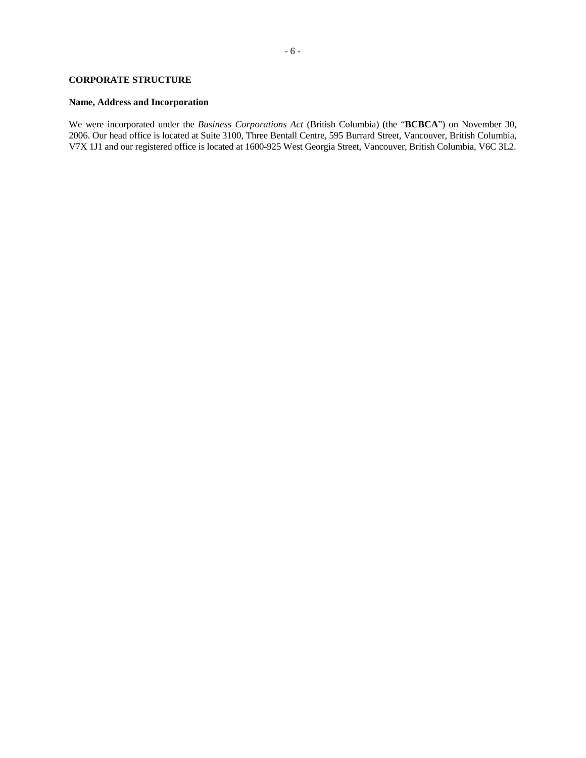# <span id="page-8-0"></span>**CORPORATE STRUCTURE**

# <span id="page-8-1"></span>**Name, Address and Incorporation**

We were incorporated under the *Business Corporations Act* (British Columbia) (the "**BCBCA**") on November 30, 2006. Our head office is located at Suite 3100, Three Bentall Centre, 595 Burrard Street, Vancouver, British Columbia, V7X 1J1 and our registered office is located at 1600-925 West Georgia Street, Vancouver, British Columbia, V6C 3L2.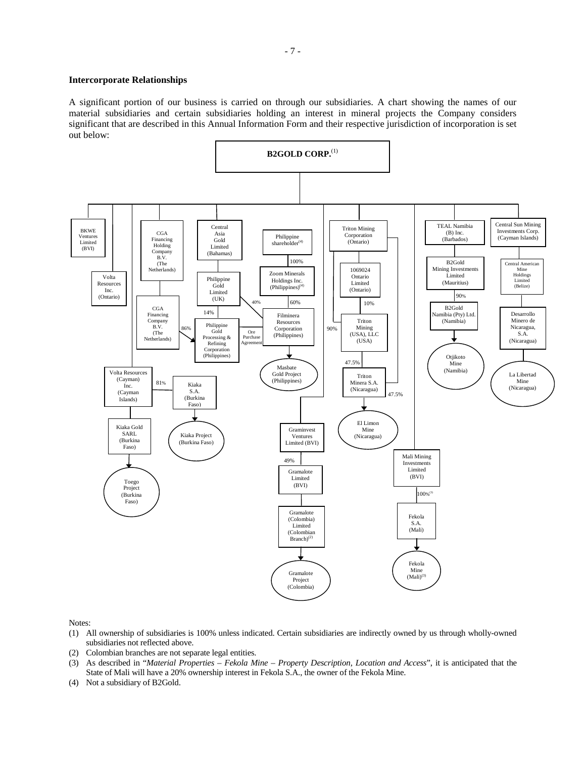#### <span id="page-9-0"></span>**Intercorporate Relationships**

A significant portion of our business is carried on through our subsidiaries. A chart showing the names of our material subsidiaries and certain subsidiaries holding an interest in mineral projects the Company considers significant that are described in this Annual Information Form and their respective jurisdiction of incorporation is set out below:



Notes:

- (1) All ownership of subsidiaries is 100% unless indicated. Certain subsidiaries are indirectly owned by us through wholly-owned subsidiaries not reflected above.
- (2) Colombian branches are not separate legal entities.<br>(3) As described in "*Material Properties Fekola M*
- (3) As described in "*Material Properties – Fekola Mine – Property Description, Location and Access*", it is anticipated that the State of Mali will have a 20% ownership interest in Fekola S.A., the owner of the Fekola Mine.
- (4) Not a subsidiary of B2Gold.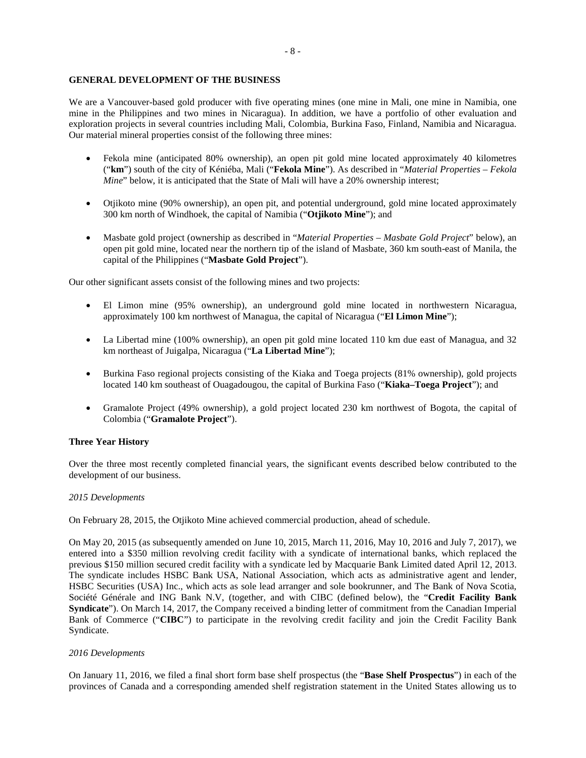#### <span id="page-10-0"></span>**GENERAL DEVELOPMENT OF THE BUSINESS**

We are a Vancouver-based gold producer with five operating mines (one mine in Mali, one mine in Namibia, one mine in the Philippines and two mines in Nicaragua). In addition, we have a portfolio of other evaluation and exploration projects in several countries including Mali, Colombia, Burkina Faso, Finland, Namibia and Nicaragua. Our material mineral properties consist of the following three mines:

- Fekola mine (anticipated 80% ownership), an open pit gold mine located approximately 40 kilometres ("**km**") south of the city of Kéniéba, Mali ("**Fekola Mine**"). As described in "*Material Properties – Fekola Mine*" below, it is anticipated that the State of Mali will have a 20% ownership interest;
- Otjikoto mine (90% ownership), an open pit, and potential underground, gold mine located approximately 300 km north of Windhoek, the capital of Namibia ("**Otjikoto Mine**"); and
- Masbate gold project (ownership as described in "*Material Properties – Masbate Gold Project*" below), an open pit gold mine, located near the northern tip of the island of Masbate, 360 km south-east of Manila, the capital of the Philippines ("**Masbate Gold Project**").

Our other significant assets consist of the following mines and two projects:

- El Limon mine (95% ownership), an underground gold mine located in northwestern Nicaragua, approximately 100 km northwest of Managua, the capital of Nicaragua ("**El Limon Mine**");
- La Libertad mine (100% ownership), an open pit gold mine located 110 km due east of Managua, and 32 km northeast of Juigalpa, Nicaragua ("**La Libertad Mine**");
- Burkina Faso regional projects consisting of the Kiaka and Toega projects (81% ownership), gold projects located 140 km southeast of Ouagadougou, the capital of Burkina Faso ("**Kiaka–Toega Project**"); and
- Gramalote Project (49% ownership), a gold project located 230 km northwest of Bogota, the capital of Colombia ("**Gramalote Project**").

## <span id="page-10-1"></span>**Three Year History**

Over the three most recently completed financial years, the significant events described below contributed to the development of our business.

#### *2015 Developments*

On February 28, 2015, the Otjikoto Mine achieved commercial production, ahead of schedule.

On May 20, 2015 (as subsequently amended on June 10, 2015, March 11, 2016, May 10, 2016 and July 7, 2017), we entered into a \$350 million revolving credit facility with a syndicate of international banks, which replaced the previous \$150 million secured credit facility with a syndicate led by Macquarie Bank Limited dated April 12, 2013. The syndicate includes HSBC Bank USA, National Association, which acts as administrative agent and lender, HSBC Securities (USA) Inc., which acts as sole lead arranger and sole bookrunner, and The Bank of Nova Scotia, Société Générale and ING Bank N.V, (together, and with CIBC (defined below), the "**Credit Facility Bank Syndicate**"). On March 14, 2017, the Company received a binding letter of commitment from the Canadian Imperial Bank of Commerce ("**CIBC**") to participate in the revolving credit facility and join the Credit Facility Bank Syndicate.

#### *2016 Developments*

On January 11, 2016, we filed a final short form base shelf prospectus (the "**Base Shelf Prospectus**") in each of the provinces of Canada and a corresponding amended shelf registration statement in the United States allowing us to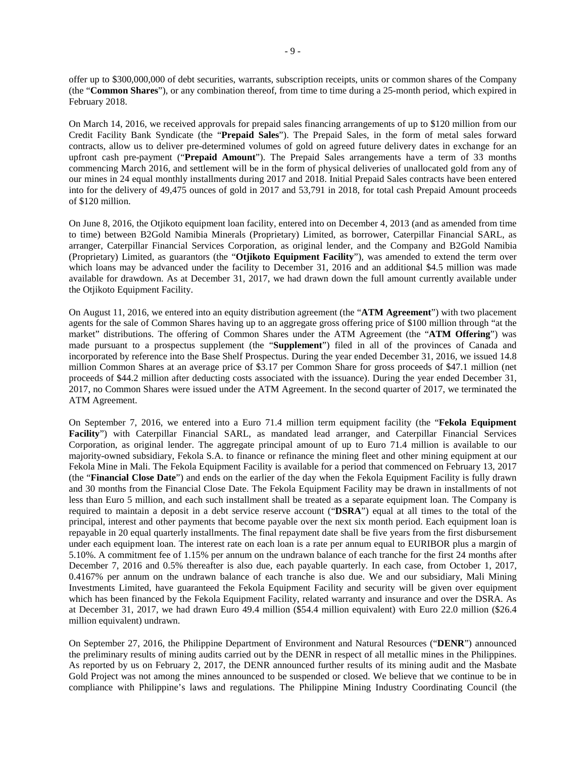offer up to \$300,000,000 of debt securities, warrants, subscription receipts, units or common shares of the Company (the "**Common Shares**"), or any combination thereof, from time to time during a 25-month period, which expired in February 2018.

On March 14, 2016, we received approvals for prepaid sales financing arrangements of up to \$120 million from our Credit Facility Bank Syndicate (the "**Prepaid Sales**"). The Prepaid Sales, in the form of metal sales forward contracts, allow us to deliver pre-determined volumes of gold on agreed future delivery dates in exchange for an upfront cash pre-payment ("**Prepaid Amount**"). The Prepaid Sales arrangements have a term of 33 months commencing March 2016, and settlement will be in the form of physical deliveries of unallocated gold from any of our mines in 24 equal monthly installments during 2017 and 2018. Initial Prepaid Sales contracts have been entered into for the delivery of 49,475 ounces of gold in 2017 and 53,791 in 2018, for total cash Prepaid Amount proceeds of \$120 million.

On June 8, 2016, the Otjikoto equipment loan facility, entered into on December 4, 2013 (and as amended from time to time) between B2Gold Namibia Minerals (Proprietary) Limited, as borrower, Caterpillar Financial SARL, as arranger, Caterpillar Financial Services Corporation, as original lender, and the Company and B2Gold Namibia (Proprietary) Limited, as guarantors (the "**Otjikoto Equipment Facility**"), was amended to extend the term over which loans may be advanced under the facility to December 31, 2016 and an additional \$4.5 million was made available for drawdown. As at December 31, 2017, we had drawn down the full amount currently available under the Otjikoto Equipment Facility.

On August 11, 2016, we entered into an equity distribution agreement (the "**ATM Agreement**") with two placement agents for the sale of Common Shares having up to an aggregate gross offering price of \$100 million through "at the market" distributions. The offering of Common Shares under the ATM Agreement (the "**ATM Offering**") was made pursuant to a prospectus supplement (the "**Supplement**") filed in all of the provinces of Canada and incorporated by reference into the Base Shelf Prospectus. During the year ended December 31, 2016, we issued 14.8 million Common Shares at an average price of \$3.17 per Common Share for gross proceeds of \$47.1 million (net proceeds of \$44.2 million after deducting costs associated with the issuance). During the year ended December 31, 2017, no Common Shares were issued under the ATM Agreement. In the second quarter of 2017, we terminated the ATM Agreement.

On September 7, 2016, we entered into a Euro 71.4 million term equipment facility (the "**Fekola Equipment Facility**") with Caterpillar Financial SARL, as mandated lead arranger, and Caterpillar Financial Services Corporation, as original lender. The aggregate principal amount of up to Euro 71.4 million is available to our majority-owned subsidiary, Fekola S.A. to finance or refinance the mining fleet and other mining equipment at our Fekola Mine in Mali. The Fekola Equipment Facility is available for a period that commenced on February 13, 2017 (the "**Financial Close Date**") and ends on the earlier of the day when the Fekola Equipment Facility is fully drawn and 30 months from the Financial Close Date. The Fekola Equipment Facility may be drawn in installments of not less than Euro 5 million, and each such installment shall be treated as a separate equipment loan. The Company is required to maintain a deposit in a debt service reserve account ("**DSRA**") equal at all times to the total of the principal, interest and other payments that become payable over the next six month period. Each equipment loan is repayable in 20 equal quarterly installments. The final repayment date shall be five years from the first disbursement under each equipment loan. The interest rate on each loan is a rate per annum equal to EURIBOR plus a margin of 5.10%. A commitment fee of 1.15% per annum on the undrawn balance of each tranche for the first 24 months after December 7, 2016 and 0.5% thereafter is also due, each payable quarterly. In each case, from October 1, 2017, 0.4167% per annum on the undrawn balance of each tranche is also due. We and our subsidiary, Mali Mining Investments Limited, have guaranteed the Fekola Equipment Facility and security will be given over equipment which has been financed by the Fekola Equipment Facility, related warranty and insurance and over the DSRA. As at December 31, 2017, we had drawn Euro 49.4 million (\$54.4 million equivalent) with Euro 22.0 million (\$26.4 million equivalent) undrawn.

On September 27, 2016, the Philippine Department of Environment and Natural Resources ("**DENR**") announced the preliminary results of mining audits carried out by the DENR in respect of all metallic mines in the Philippines. As reported by us on February 2, 2017, the DENR announced further results of its mining audit and the Masbate Gold Project was not among the mines announced to be suspended or closed. We believe that we continue to be in compliance with Philippine's laws and regulations. The Philippine Mining Industry Coordinating Council (the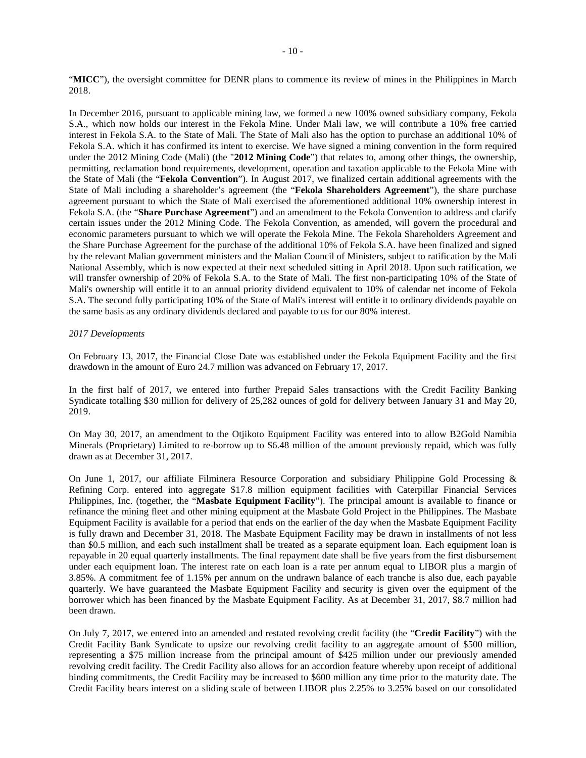"**MICC**"), the oversight committee for DENR plans to commence its review of mines in the Philippines in March 2018.

In December 2016, pursuant to applicable mining law, we formed a new 100% owned subsidiary company, Fekola S.A., which now holds our interest in the Fekola Mine. Under Mali law, we will contribute a 10% free carried interest in Fekola S.A. to the State of Mali. The State of Mali also has the option to purchase an additional 10% of Fekola S.A. which it has confirmed its intent to exercise. We have signed a mining convention in the form required under the 2012 Mining Code (Mali) (the "**2012 Mining Code**") that relates to, among other things, the ownership, permitting, reclamation bond requirements, development, operation and taxation applicable to the Fekola Mine with the State of Mali (the "**Fekola Convention**"). In August 2017, we finalized certain additional agreements with the State of Mali including a shareholder's agreement (the "**Fekola Shareholders Agreement**"), the share purchase agreement pursuant to which the State of Mali exercised the aforementioned additional 10% ownership interest in Fekola S.A. (the "**Share Purchase Agreement**") and an amendment to the Fekola Convention to address and clarify certain issues under the 2012 Mining Code. The Fekola Convention, as amended, will govern the procedural and economic parameters pursuant to which we will operate the Fekola Mine. The Fekola Shareholders Agreement and the Share Purchase Agreement for the purchase of the additional 10% of Fekola S.A. have been finalized and signed by the relevant Malian government ministers and the Malian Council of Ministers, subject to ratification by the Mali National Assembly, which is now expected at their next scheduled sitting in April 2018. Upon such ratification, we will transfer ownership of 20% of Fekola S.A. to the State of Mali. The first non-participating 10% of the State of Mali's ownership will entitle it to an annual priority dividend equivalent to 10% of calendar net income of Fekola S.A. The second fully participating 10% of the State of Mali's interest will entitle it to ordinary dividends payable on the same basis as any ordinary dividends declared and payable to us for our 80% interest.

#### *2017 Developments*

On February 13, 2017, the Financial Close Date was established under the Fekola Equipment Facility and the first drawdown in the amount of Euro 24.7 million was advanced on February 17, 2017.

In the first half of 2017, we entered into further Prepaid Sales transactions with the Credit Facility Banking Syndicate totalling \$30 million for delivery of 25,282 ounces of gold for delivery between January 31 and May 20, 2019.

On May 30, 2017, an amendment to the Otjikoto Equipment Facility was entered into to allow B2Gold Namibia Minerals (Proprietary) Limited to re-borrow up to \$6.48 million of the amount previously repaid, which was fully drawn as at December 31, 2017.

On June 1, 2017, our affiliate Filminera Resource Corporation and subsidiary Philippine Gold Processing & Refining Corp. entered into aggregate \$17.8 million equipment facilities with Caterpillar Financial Services Philippines, Inc. (together, the "**Masbate Equipment Facility**"). The principal amount is available to finance or refinance the mining fleet and other mining equipment at the Masbate Gold Project in the Philippines. The Masbate Equipment Facility is available for a period that ends on the earlier of the day when the Masbate Equipment Facility is fully drawn and December 31, 2018. The Masbate Equipment Facility may be drawn in installments of not less than \$0.5 million, and each such installment shall be treated as a separate equipment loan. Each equipment loan is repayable in 20 equal quarterly installments. The final repayment date shall be five years from the first disbursement under each equipment loan. The interest rate on each loan is a rate per annum equal to LIBOR plus a margin of 3.85%. A commitment fee of 1.15% per annum on the undrawn balance of each tranche is also due, each payable quarterly. We have guaranteed the Masbate Equipment Facility and security is given over the equipment of the borrower which has been financed by the Masbate Equipment Facility. As at December 31, 2017, \$8.7 million had been drawn.

On July 7, 2017, we entered into an amended and restated revolving credit facility (the "**Credit Facility**") with the Credit Facility Bank Syndicate to upsize our revolving credit facility to an aggregate amount of \$500 million, representing a \$75 million increase from the principal amount of \$425 million under our previously amended revolving credit facility. The Credit Facility also allows for an accordion feature whereby upon receipt of additional binding commitments, the Credit Facility may be increased to \$600 million any time prior to the maturity date. The Credit Facility bears interest on a sliding scale of between LIBOR plus 2.25% to 3.25% based on our consolidated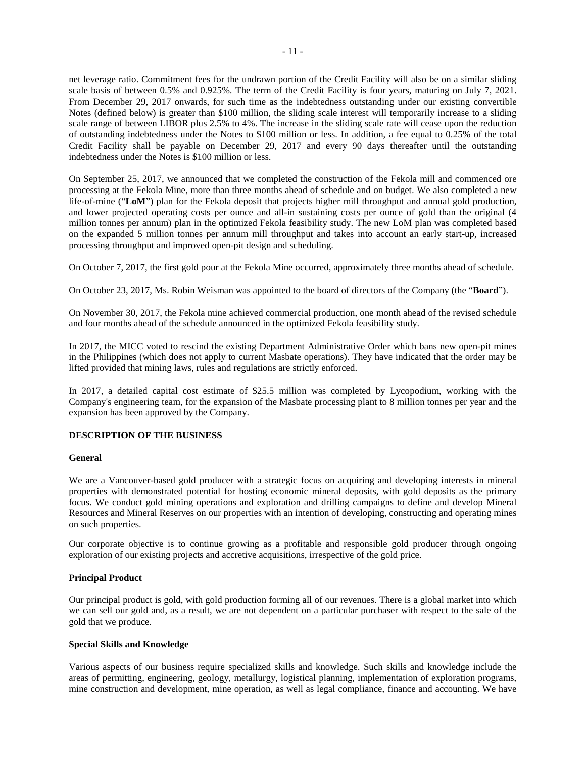net leverage ratio. Commitment fees for the undrawn portion of the Credit Facility will also be on a similar sliding scale basis of between 0.5% and 0.925%. The term of the Credit Facility is four years, maturing on July 7, 2021. From December 29, 2017 onwards, for such time as the indebtedness outstanding under our existing convertible Notes (defined below) is greater than \$100 million, the sliding scale interest will temporarily increase to a sliding scale range of between LIBOR plus 2.5% to 4%. The increase in the sliding scale rate will cease upon the reduction of outstanding indebtedness under the Notes to \$100 million or less. In addition, a fee equal to 0.25% of the total Credit Facility shall be payable on December 29, 2017 and every 90 days thereafter until the outstanding indebtedness under the Notes is \$100 million or less.

On September 25, 2017, we announced that we completed the construction of the Fekola mill and commenced ore processing at the Fekola Mine, more than three months ahead of schedule and on budget. We also completed a new life-of-mine ("**LoM**") plan for the Fekola deposit that projects higher mill throughput and annual gold production, and lower projected operating costs per ounce and all-in sustaining costs per ounce of gold than the original (4 million tonnes per annum) plan in the optimized Fekola feasibility study. The new LoM plan was completed based on the expanded 5 million tonnes per annum mill throughput and takes into account an early start-up, increased processing throughput and improved open-pit design and scheduling.

On October 7, 2017, the first gold pour at the Fekola Mine occurred, approximately three months ahead of schedule.

On October 23, 2017, Ms. Robin Weisman was appointed to the board of directors of the Company (the "**Board**").

On November 30, 2017, the Fekola mine achieved commercial production, one month ahead of the revised schedule and four months ahead of the schedule announced in the optimized Fekola feasibility study.

In 2017, the MICC voted to rescind the existing Department Administrative Order which bans new open-pit mines in the Philippines (which does not apply to current Masbate operations). They have indicated that the order may be lifted provided that mining laws, rules and regulations are strictly enforced.

In 2017, a detailed capital cost estimate of \$25.5 million was completed by Lycopodium, working with the Company's engineering team, for the expansion of the Masbate processing plant to 8 million tonnes per year and the expansion has been approved by the Company.

## <span id="page-13-0"></span>**DESCRIPTION OF THE BUSINESS**

### <span id="page-13-1"></span>**General**

We are a Vancouver-based gold producer with a strategic focus on acquiring and developing interests in mineral properties with demonstrated potential for hosting economic mineral deposits, with gold deposits as the primary focus. We conduct gold mining operations and exploration and drilling campaigns to define and develop Mineral Resources and Mineral Reserves on our properties with an intention of developing, constructing and operating mines on such properties.

Our corporate objective is to continue growing as a profitable and responsible gold producer through ongoing exploration of our existing projects and accretive acquisitions, irrespective of the gold price.

#### <span id="page-13-2"></span>**Principal Product**

Our principal product is gold, with gold production forming all of our revenues. There is a global market into which we can sell our gold and, as a result, we are not dependent on a particular purchaser with respect to the sale of the gold that we produce.

#### <span id="page-13-3"></span>**Special Skills and Knowledge**

Various aspects of our business require specialized skills and knowledge. Such skills and knowledge include the areas of permitting, engineering, geology, metallurgy, logistical planning, implementation of exploration programs, mine construction and development, mine operation, as well as legal compliance, finance and accounting. We have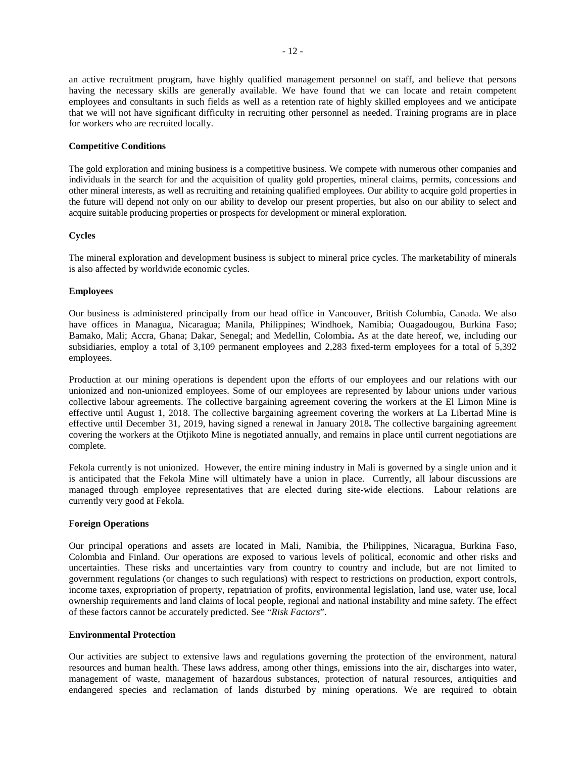an active recruitment program, have highly qualified management personnel on staff, and believe that persons having the necessary skills are generally available. We have found that we can locate and retain competent employees and consultants in such fields as well as a retention rate of highly skilled employees and we anticipate that we will not have significant difficulty in recruiting other personnel as needed. Training programs are in place for workers who are recruited locally.

#### <span id="page-14-0"></span>**Competitive Conditions**

The gold exploration and mining business is a competitive business. We compete with numerous other companies and individuals in the search for and the acquisition of quality gold properties, mineral claims, permits, concessions and other mineral interests, as well as recruiting and retaining qualified employees. Our ability to acquire gold properties in the future will depend not only on our ability to develop our present properties, but also on our ability to select and acquire suitable producing properties or prospects for development or mineral exploration.

#### <span id="page-14-1"></span>**Cycles**

The mineral exploration and development business is subject to mineral price cycles. The marketability of minerals is also affected by worldwide economic cycles.

# <span id="page-14-2"></span>**Employees**

Our business is administered principally from our head office in Vancouver, British Columbia, Canada. We also have offices in Managua, Nicaragua; Manila, Philippines; Windhoek, Namibia; Ouagadougou, Burkina Faso; Bamako, Mali; Accra, Ghana; Dakar, Senegal; and Medellin, Colombia**.** As at the date hereof, we, including our subsidiaries, employ a total of 3,109 permanent employees and 2,283 fixed-term employees for a total of 5,392 employees.

Production at our mining operations is dependent upon the efforts of our employees and our relations with our unionized and non-unionized employees. Some of our employees are represented by labour unions under various collective labour agreements. The collective bargaining agreement covering the workers at the El Limon Mine is effective until August 1, 2018. The collective bargaining agreement covering the workers at La Libertad Mine is effective until December 31, 2019, having signed a renewal in January 2018**.** The collective bargaining agreement covering the workers at the Otjikoto Mine is negotiated annually, and remains in place until current negotiations are complete.

Fekola currently is not unionized. However, the entire mining industry in Mali is governed by a single union and it is anticipated that the Fekola Mine will ultimately have a union in place. Currently, all labour discussions are managed through employee representatives that are elected during site-wide elections. Labour relations are currently very good at Fekola.

#### <span id="page-14-3"></span>**Foreign Operations**

Our principal operations and assets are located in Mali, Namibia, the Philippines, Nicaragua, Burkina Faso, Colombia and Finland. Our operations are exposed to various levels of political, economic and other risks and uncertainties. These risks and uncertainties vary from country to country and include, but are not limited to government regulations (or changes to such regulations) with respect to restrictions on production, export controls, income taxes, expropriation of property, repatriation of profits, environmental legislation, land use, water use, local ownership requirements and land claims of local people, regional and national instability and mine safety. The effect of these factors cannot be accurately predicted. See "*Risk Factors*".

#### <span id="page-14-4"></span>**Environmental Protection**

Our activities are subject to extensive laws and regulations governing the protection of the environment, natural resources and human health. These laws address, among other things, emissions into the air, discharges into water, management of waste, management of hazardous substances, protection of natural resources, antiquities and endangered species and reclamation of lands disturbed by mining operations. We are required to obtain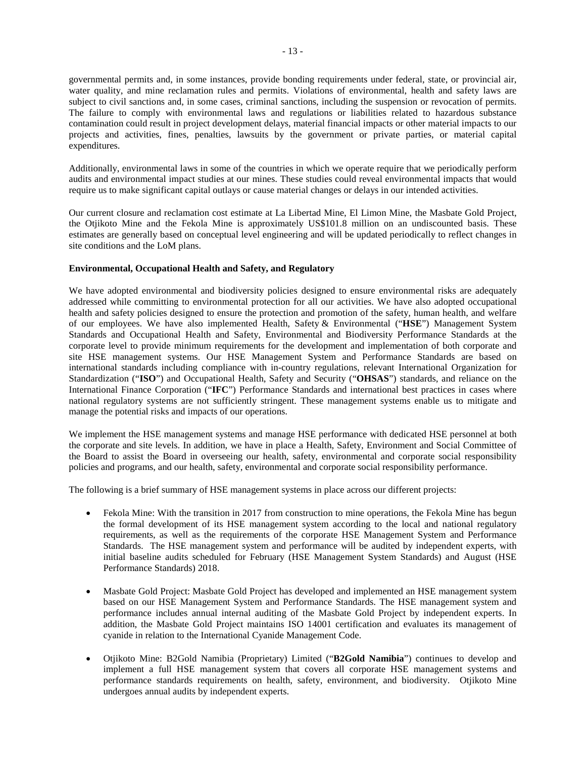governmental permits and, in some instances, provide bonding requirements under federal, state, or provincial air, water quality, and mine reclamation rules and permits. Violations of environmental, health and safety laws are subject to civil sanctions and, in some cases, criminal sanctions, including the suspension or revocation of permits. The failure to comply with environmental laws and regulations or liabilities related to hazardous substance contamination could result in project development delays, material financial impacts or other material impacts to our projects and activities, fines, penalties, lawsuits by the government or private parties, or material capital expenditures.

Additionally, environmental laws in some of the countries in which we operate require that we periodically perform audits and environmental impact studies at our mines. These studies could reveal environmental impacts that would require us to make significant capital outlays or cause material changes or delays in our intended activities.

Our current closure and reclamation cost estimate at La Libertad Mine, El Limon Mine, the Masbate Gold Project, the Otjikoto Mine and the Fekola Mine is approximately US\$101.8 million on an undiscounted basis. These estimates are generally based on conceptual level engineering and will be updated periodically to reflect changes in site conditions and the LoM plans.

### <span id="page-15-0"></span>**Environmental, Occupational Health and Safety, and Regulatory**

We have adopted environmental and biodiversity policies designed to ensure environmental risks are adequately addressed while committing to environmental protection for all our activities. We have also adopted occupational health and safety policies designed to ensure the protection and promotion of the safety, human health, and welfare of our employees. We have also implemented Health, Safety & Environmental ("**HSE**") Management System Standards and Occupational Health and Safety, Environmental and Biodiversity Performance Standards at the corporate level to provide minimum requirements for the development and implementation of both corporate and site HSE management systems. Our HSE Management System and Performance Standards are based on international standards including compliance with in-country regulations, relevant International Organization for Standardization ("**ISO**") and Occupational Health, Safety and Security ("**OHSAS**") standards, and reliance on the International Finance Corporation ("**IFC**") Performance Standards and international best practices in cases where national regulatory systems are not sufficiently stringent. These management systems enable us to mitigate and manage the potential risks and impacts of our operations.

We implement the HSE management systems and manage HSE performance with dedicated HSE personnel at both the corporate and site levels. In addition, we have in place a Health, Safety, Environment and Social Committee of the Board to assist the Board in overseeing our health, safety, environmental and corporate social responsibility policies and programs, and our health, safety, environmental and corporate social responsibility performance.

The following is a brief summary of HSE management systems in place across our different projects:

- Fekola Mine: With the transition in 2017 from construction to mine operations, the Fekola Mine has begun the formal development of its HSE management system according to the local and national regulatory requirements, as well as the requirements of the corporate HSE Management System and Performance Standards. The HSE management system and performance will be audited by independent experts, with initial baseline audits scheduled for February (HSE Management System Standards) and August (HSE Performance Standards) 2018.
- Masbate Gold Project: Masbate Gold Project has developed and implemented an HSE management system based on our HSE Management System and Performance Standards. The HSE management system and performance includes annual internal auditing of the Masbate Gold Project by independent experts. In addition, the Masbate Gold Project maintains ISO 14001 certification and evaluates its management of cyanide in relation to the International Cyanide Management Code.
- Otjikoto Mine: B2Gold Namibia (Proprietary) Limited ("**B2Gold Namibia**") continues to develop and implement a full HSE management system that covers all corporate HSE management systems and performance standards requirements on health, safety, environment, and biodiversity. Otjikoto Mine undergoes annual audits by independent experts.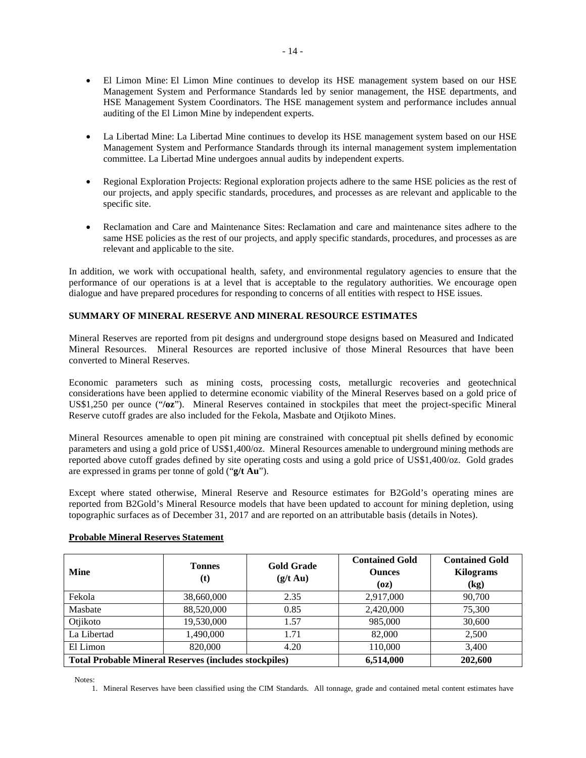- El Limon Mine: El Limon Mine continues to develop its HSE management system based on our HSE Management System and Performance Standards led by senior management, the HSE departments, and HSE Management System Coordinators. The HSE management system and performance includes annual auditing of the El Limon Mine by independent experts.
- La Libertad Mine: La Libertad Mine continues to develop its HSE management system based on our HSE Management System and Performance Standards through its internal management system implementation committee. La Libertad Mine undergoes annual audits by independent experts.
- Regional Exploration Projects: Regional exploration projects adhere to the same HSE policies as the rest of our projects, and apply specific standards, procedures, and processes as are relevant and applicable to the specific site.
- Reclamation and Care and Maintenance Sites: Reclamation and care and maintenance sites adhere to the same HSE policies as the rest of our projects, and apply specific standards, procedures, and processes as are relevant and applicable to the site.

In addition, we work with occupational health, safety, and environmental regulatory agencies to ensure that the performance of our operations is at a level that is acceptable to the regulatory authorities. We encourage open dialogue and have prepared procedures for responding to concerns of all entities with respect to HSE issues.

# <span id="page-16-0"></span>**SUMMARY OF MINERAL RESERVE AND MINERAL RESOURCE ESTIMATES**

Mineral Reserves are reported from pit designs and underground stope designs based on Measured and Indicated Mineral Resources. Mineral Resources are reported inclusive of those Mineral Resources that have been converted to Mineral Reserves.

Economic parameters such as mining costs, processing costs, metallurgic recoveries and geotechnical considerations have been applied to determine economic viability of the Mineral Reserves based on a gold price of US\$1,250 per ounce ("**/oz**"). Mineral Reserves contained in stockpiles that meet the project-specific Mineral Reserve cutoff grades are also included for the Fekola, Masbate and Otjikoto Mines.

Mineral Resources amenable to open pit mining are constrained with conceptual pit shells defined by economic parameters and using a gold price of US\$1,400/oz. Mineral Resources amenable to underground mining methods are reported above cutoff grades defined by site operating costs and using a gold price of US\$1,400/oz. Gold grades are expressed in grams per tonne of gold ("**g/t Au**").

Except where stated otherwise, Mineral Reserve and Resource estimates for B2Gold's operating mines are reported from B2Gold's Mineral Resource models that have been updated to account for mining depletion, using topographic surfaces as of December 31, 2017 and are reported on an attributable basis (details in Notes).

| <b>Mine</b>                                                  | <b>Tonnes</b><br>$\left( t\right)$ | <b>Gold Grade</b><br>$(g/t \text{ Au})$ | <b>Contained Gold</b><br><b>Ounces</b><br>(oz) | <b>Contained Gold</b><br><b>Kilograms</b><br>(kg) |
|--------------------------------------------------------------|------------------------------------|-----------------------------------------|------------------------------------------------|---------------------------------------------------|
| Fekola                                                       | 38,660,000                         | 2.35                                    | 2,917,000                                      | 90,700                                            |
| Masbate                                                      | 88,520,000                         | 0.85                                    | 2,420,000                                      | 75,300                                            |
| Otjikoto                                                     | 19,530,000                         | 1.57                                    | 985,000                                        | 30,600                                            |
| La Libertad                                                  | 1,490,000                          | 1.71                                    | 82,000                                         | 2,500                                             |
| El Limon                                                     | 820,000                            | 4.20                                    | 110,000                                        | 3.400                                             |
| <b>Total Probable Mineral Reserves (includes stockpiles)</b> |                                    |                                         | 6,514,000                                      | 202,600                                           |

# **Probable Mineral Reserves Statement**

Notes:

1. Mineral Reserves have been classified using the CIM Standards. All tonnage, grade and contained metal content estimates have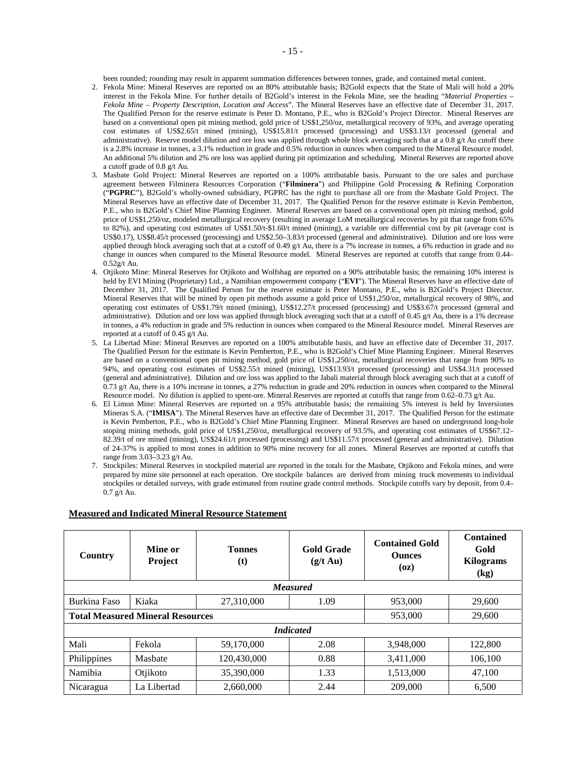been rounded; rounding may result in apparent summation differences between tonnes, grade, and contained metal content.

- 2. Fekola Mine: Mineral Reserves are reported on an 80% attributable basis; B2Gold expects that the State of Mali will hold a 20% interest in the Fekola Mine. For further details of B2Gold's interest in the Fekola Mine, see the heading "*Material Properties – Fekola Mine – Property Description, Location and Access*". The Mineral Reserves have an effective date of December 31, 2017. The Qualified Person for the reserve estimate is Peter D. Montano, P.E., who is B2Gold's Project Director. Mineral Reserves are based on a conventional open pit mining method, gold price of US\$1,250/oz, metallurgical recovery of 93%, and average operating cost estimates of US\$2.65/t mined (mining), US\$15.81/t processed (processing) and US\$3.13/t processed (general and administrative). Reserve model dilution and ore loss was applied through whole block averaging such that at a 0.8 g/t Au cutoff there is a 2.8% increase in tonnes, a 3.1% reduction in grade and 0.5% reduction in ounces when compared to the Mineral Resource model. An additional 5% dilution and 2% ore loss was applied during pit optimization and scheduling. Mineral Reserves are reported above a cutoff grade of 0.8 g/t Au.
- 3. Masbate Gold Project: Mineral Reserves are reported on a 100% attributable basis. Pursuant to the ore sales and purchase agreement between Filminera Resources Corporation ("**Filminera**") and Philippine Gold Processing & Refining Corporation ("**PGPRC**"), B2Gold's wholly-owned subsidiary, PGPRC has the right to purchase all ore from the Masbate Gold Project. The Mineral Reserves have an effective date of December 31, 2017. The Qualified Person for the reserve estimate is Kevin Pemberton, P.E., who is B2Gold's Chief Mine Planning Engineer. Mineral Reserves are based on a conventional open pit mining method, gold price of US\$1,250/oz, modeled metallurgical recovery (resulting in average LoM metallurgical recoveries by pit that range from 65% to 82%), and operating cost estimates of US\$1.50/t-\$1.60/t mined (mining), a variable ore differential cost by pit (average cost is US\$0.17), US\$8.45/t processed (processing) and US\$2.50–3.83/t processed (general and administrative). Dilution and ore loss were applied through block averaging such that at a cutoff of 0.49 g/t Au, there is a 7% increase in tonnes, a 6% reduction in grade and no change in ounces when compared to the Mineral Resource model. Mineral Reserves are reported at cutoffs that range from 0.44– 0.52g/t Au.
- 4. Otjikoto Mine: Mineral Reserves for Otjikoto and Wolfshag are reported on a 90% attributable basis; the remaining 10% interest is held by EVI Mining (Proprietary) Ltd., a Namibian empowerment company ("**EVI**"). The Mineral Reserves have an effective date of December 31, 2017. The Qualified Person for the reserve estimate is Peter Montano, P.E., who is B2Gold's Project Director. Mineral Reserves that will be mined by open pit methods assume a gold price of US\$1,250/oz, metallurgical recovery of 98%, and operating cost estimates of US\$1.79/t mined (mining), US\$12.27/t processed (processing) and US\$3.67/t processed (general and administrative). Dilution and ore loss was applied through block averaging such that at a cutoff of 0.45 g/t Au, there is a 1% decrease in tonnes, a 4% reduction in grade and 5% reduction in ounces when compared to the Mineral Resource model. Mineral Reserves are reported at a cutoff of 0.45 g/t Au.
- 5. La Libertad Mine: Mineral Reserves are reported on a 100% attributable basis, and have an effective date of December 31, 2017. The Qualified Person for the estimate is Kevin Pemberton, P.E., who is B2Gold's Chief Mine Planning Engineer. Mineral Reserves are based on a conventional open pit mining method, gold price of US\$1,250/oz, metallurgical recoveries that range from 90% to 94%, and operating cost estimates of US\$2.55/t mined (mining), US\$13.93/t processed (processing) and US\$4.31/t processed (general and administrative). Dilution and ore loss was applied to the Jabali material through block averaging such that at a cutoff of  $0.73$  g/t Au, there is a 10% increase in tonnes, a 27% reduction in grade and 20% reduction in ounces when compared to the Mineral Resource model. No dilution is applied to spent-ore. Mineral Reserves are reported at cutoffs that range from 0.62–0.73 g/t Au.
- 6. El Limon Mine: Mineral Reserves are reported on a 95% attributable basis; the remaining 5% interest is held by Inversiones Mineras S.A. ("**IMISA**"). The Mineral Reserves have an effective date of December 31, 2017. The Qualified Person for the estimate is Kevin Pemberton, P.E., who is B2Gold's Chief Mine Planning Engineer. Mineral Reserves are based on underground long-hole stoping mining methods, gold price of US\$1,250/oz, metallurgical recovery of 93.5%, and operating cost estimates of US\$67.12– 82.39/t of ore mined (mining), US\$24.61/t processed (processing) and US\$11.57/t processed (general and administrative). Dilution of 24-37% is applied to most zones in addition to 90% mine recovery for all zones. Mineral Reserves are reported at cutoffs that range from 3.03–3.23 g/t Au.
- 7. Stockpiles: Mineral Reserves in stockpiled material are reported in the totals for the Masbate, Otjikoto and Fekola mines, and were prepared by mine site personnel at each operation. Ore stockpile balances are derived from mining truck movements to individual stockpiles or detailed surveys, with grade estimated from routine grade control methods. Stockpile cutoffs vary by deposit, from 0.4– 0.7 g/t Au.

| Country      | Mine or<br><b>Project</b>               | <b>Tonnes</b><br>(t) | <b>Gold Grade</b><br>$(g/t \text{ Au})$ | <b>Contained Gold</b><br><b>Ounces</b><br>(oz) | <b>Contained</b><br>Gold<br>Kilograms<br>(kg) |  |  |
|--------------|-----------------------------------------|----------------------|-----------------------------------------|------------------------------------------------|-----------------------------------------------|--|--|
|              | <b>Measured</b>                         |                      |                                         |                                                |                                               |  |  |
| Burkina Faso | Kiaka                                   | 27,310,000           | 1.09                                    | 953,000                                        | 29,600                                        |  |  |
|              | <b>Total Measured Mineral Resources</b> | 953,000              | 29,600                                  |                                                |                                               |  |  |
|              | <b>Indicated</b>                        |                      |                                         |                                                |                                               |  |  |
| Mali         | Fekola                                  | 59,170,000           | 2.08                                    | 3,948,000                                      | 122,800                                       |  |  |
| Philippines  | Mashate                                 | 120,430,000          | 0.88                                    | 3,411,000                                      | 106,100                                       |  |  |
| Namibia      | Otjikoto                                | 35,390,000           | 1.33                                    | 1,513,000                                      | 47,100                                        |  |  |
| Nicaragua    | La Libertad                             | 2,660,000            | 2.44                                    | 209,000                                        | 6,500                                         |  |  |

#### **Measured and Indicated Mineral Resource Statement**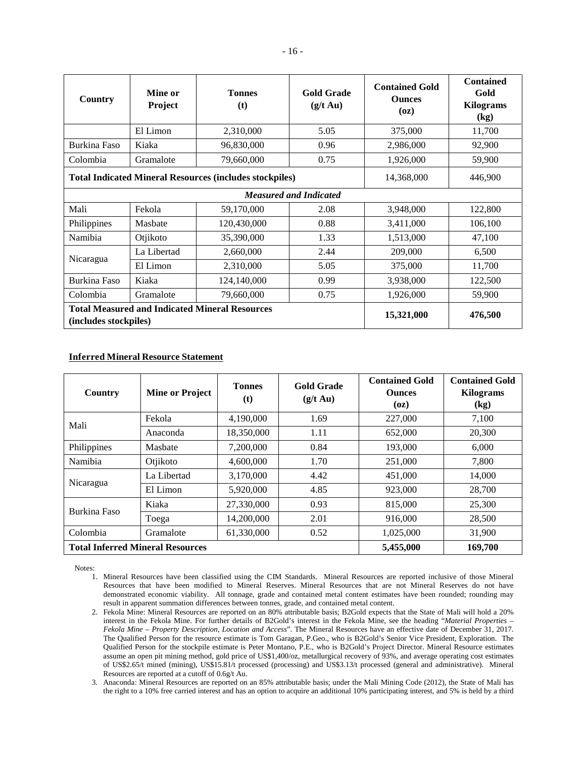| Country               | Mine or<br><b>Project</b>                                      | <b>Tonnes</b><br>(t)                                  | <b>Gold Grade</b><br>$(g/t \text{ Au})$ | <b>Contained Gold</b><br><b>Ounces</b><br>(oz) | <b>Contained</b><br>Gold<br><b>Kilograms</b><br>(kg) |
|-----------------------|----------------------------------------------------------------|-------------------------------------------------------|-----------------------------------------|------------------------------------------------|------------------------------------------------------|
|                       | El Limon                                                       | 2,310,000                                             | 5.05                                    | 375,000                                        | 11,700                                               |
| Burkina Faso          | Kiaka                                                          | 96,830,000                                            | 0.96                                    | 2,986,000                                      | 92,900                                               |
| Colombia              | Gramalote                                                      | 79,660,000                                            | 0.75                                    | 1,926,000                                      | 59,900                                               |
|                       | <b>Total Indicated Mineral Resources (includes stockpiles)</b> |                                                       | 14,368,000                              | 446,900                                        |                                                      |
|                       |                                                                |                                                       | <b>Measured and Indicated</b>           |                                                |                                                      |
| Mali                  | Fekola                                                         | 59,170,000                                            | 2.08                                    | 3,948,000                                      | 122,800                                              |
| Philippines           | Mashate                                                        | 120,430,000                                           | 0.88                                    | 3,411,000                                      | 106,100                                              |
| Namibia               | Otjikoto                                                       | 35,390,000                                            | 1.33                                    | 1,513,000                                      | 47,100                                               |
|                       | La Libertad                                                    | 2,660,000                                             | 2.44                                    | 209,000                                        | 6,500                                                |
| Nicaragua             | El Limon                                                       | 2,310,000                                             | 5.05                                    | 375,000                                        | 11,700                                               |
| Burkina Faso          | Kiaka                                                          | 124,140,000                                           | 0.99                                    | 3,938,000                                      | 122,500                                              |
| Colombia              | Gramalote                                                      | 79,660,000                                            | 0.75                                    | 1,926,000                                      | 59,900                                               |
| (includes stockpiles) |                                                                | <b>Total Measured and Indicated Mineral Resources</b> |                                         | 15,321,000                                     | 476,500                                              |

## **Inferred Mineral Resource Statement**

| Country                                 | <b>Mine or Project</b> | <b>Tonnes</b><br>(t) | <b>Gold Grade</b><br>$(g/t \text{ Au})$ | <b>Contained Gold</b><br><b>Ounces</b><br>(oz) | <b>Contained Gold</b><br><b>Kilograms</b><br>(kg) |
|-----------------------------------------|------------------------|----------------------|-----------------------------------------|------------------------------------------------|---------------------------------------------------|
| Mali                                    | Fekola                 | 4.190.000            | 1.69                                    | 227,000                                        | 7.100                                             |
|                                         | Anaconda               | 18,350,000           | 1.11                                    | 652,000                                        | 20,300                                            |
| Philippines                             | Masbate                | 7.200.000            | 0.84                                    | 193,000                                        | 6.000                                             |
| Namibia                                 | Otjikoto               | 4,600,000            | 1.70                                    | 251,000                                        | 7,800                                             |
|                                         | La Libertad            | 3,170,000            | 4.42                                    | 451,000                                        | 14,000                                            |
| Nicaragua                               | El Limon               | 5,920,000            | 4.85                                    | 923,000                                        | 28,700                                            |
| Burkina Faso                            | Kiaka                  | 27,330,000           | 0.93                                    | 815,000                                        | 25,300                                            |
|                                         | Toega                  | 14,200,000           | 2.01                                    | 916,000                                        | 28,500                                            |
| Colombia                                | Gramalote              | 61,330,000           | 0.52                                    | 1,025,000                                      | 31,900                                            |
| <b>Total Inferred Mineral Resources</b> |                        |                      |                                         | 5,455,000                                      | 169,700                                           |

Notes:

- 1. Mineral Resources have been classified using the CIM Standards. Mineral Resources are reported inclusive of those Mineral Resources that have been modified to Mineral Reserves. Mineral Resources that are not Mineral Reserves do not have demonstrated economic viability. All tonnage, grade and contained metal content estimates have been rounded; rounding may result in apparent summation differences between tonnes, grade, and contained metal content.
- 2. Fekola Mine: Mineral Resources are reported on an 80% attributable basis; B2Gold expects that the State of Mali will hold a 20% interest in the Fekola Mine. For further details of B2Gold's interest in the Fekola Mine, see the heading "*Material Properties – Fekola Mine – Property Description, Location and Access*". The Mineral Resources have an effective date of December 31, 2017. The Qualified Person for the resource estimate is Tom Garagan, P.Geo., who is B2Gold's Senior Vice President, Exploration. The Qualified Person for the stockpile estimate is Peter Montano, P.E., who is B2Gold's Project Director. Mineral Resource estimates assume an open pit mining method, gold price of US\$1,400/oz, metallurgical recovery of 93%, and average operating cost estimates of US\$2.65/t mined (mining), US\$15.81/t processed (processing) and US\$3.13/t processed (general and administrative). Mineral Resources are reported at a cutoff of 0.6g/t Au.
- 3. Anaconda: Mineral Resources are reported on an 85% attributable basis; under the Mali Mining Code (2012), the State of Mali has the right to a 10% free carried interest and has an option to acquire an additional 10% participating interest, and 5% is held by a third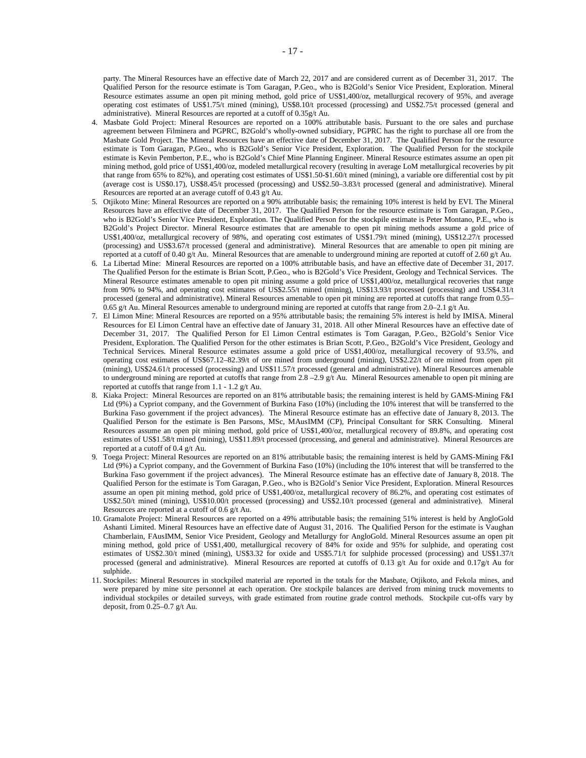party. The Mineral Resources have an effective date of March 22, 2017 and are considered current as of December 31, 2017. The Qualified Person for the resource estimate is Tom Garagan, P.Geo., who is B2Gold's Senior Vice President, Exploration. Mineral Resource estimates assume an open pit mining method, gold price of US\$1,400/oz, metallurgical recovery of 95%, and average operating cost estimates of US\$1.75/t mined (mining), US\$8.10/t processed (processing) and US\$2.75/t processed (general and administrative). Mineral Resources are reported at a cutoff of 0.35g/t Au.

- 4. Masbate Gold Project: Mineral Resources are reported on a 100% attributable basis. Pursuant to the ore sales and purchase agreement between Filminera and PGPRC, B2Gold's wholly-owned subsidiary, PGPRC has the right to purchase all ore from the Masbate Gold Project. The Mineral Resources have an effective date of December 31, 2017. The Qualified Person for the resource estimate is Tom Garagan, P.Geo., who is B2Gold's Senior Vice President, Exploration. The Qualified Person for the stockpile estimate is Kevin Pemberton, P.E., who is B2Gold's Chief Mine Planning Engineer. Mineral Resource estimates assume an open pit mining method, gold price of US\$1,400/oz, modeled metallurgical recovery (resulting in average LoM metallurgical recoveries by pit that range from 65% to 82%), and operating cost estimates of US\$1.50-\$1.60/t mined (mining), a variable ore differential cost by pit (average cost is US\$0.17), US\$8.45/t processed (processing) and US\$2.50–3.83/t processed (general and administrative). Mineral Resources are reported at an average cutoff of 0.43 g/t Au.
- 5. Otjikoto Mine: Mineral Resources are reported on a 90% attributable basis; the remaining 10% interest is held by EVI. The Mineral Resources have an effective date of December 31, 2017. The Qualified Person for the resource estimate is Tom Garagan, P.Geo., who is B2Gold's Senior Vice President, Exploration. The Qualified Person for the stockpile estimate is Peter Montano, P.E., who is B2Gold's Project Director. Mineral Resource estimates that are amenable to open pit mining methods assume a gold price of US\$1,400/oz, metallurgical recovery of 98%, and operating cost estimates of US\$1.79/t mined (mining), US\$12.27/t processed (processing) and US\$3.67/t processed (general and administrative). Mineral Resources that are amenable to open pit mining are reported at a cutoff of 0.40 g/t Au. Mineral Resources that are amenable to underground mining are reported at cutoff of 2.60 g/t Au.
- 6. La Libertad Mine: Mineral Resources are reported on a 100% attributable basis, and have an effective date of December 31, 2017. The Qualified Person for the estimate is Brian Scott, P.Geo., who is B2Gold's Vice President, Geology and Technical Services. The Mineral Resource estimates amenable to open pit mining assume a gold price of US\$1,400/oz, metallurgical recoveries that range from 90% to 94%, and operating cost estimates of US\$2.55/t mined (mining), US\$13.93/t processed (processing) and US\$4.31/t processed (general and administrative). Mineral Resources amenable to open pit mining are reported at cutoffs that range from 0.55– 0.65 g/t Au. Mineral Resources amenable to underground mining are reported at cutoffs that range from 2.0–2.1 g/t Au.
- 7. El Limon Mine: Mineral Resources are reported on a 95% attributable basis; the remaining 5% interest is held by IMISA. Mineral Resources for El Limon Central have an effective date of January 31, 2018. All other Mineral Resources have an effective date of December 31, 2017. The Qualified Person for El Limon Central estimates is Tom Garagan, P.Geo., B2Gold's Senior Vice President, Exploration. The Qualified Person for the other estimates is Brian Scott, P.Geo., B2Gold's Vice President, Geology and Technical Services. Mineral Resource estimates assume a gold price of US\$1,400/oz, metallurgical recovery of 93.5%, and operating cost estimates of US\$67.12–82.39/t of ore mined from underground (mining), US\$2.22/t of ore mined from open pit (mining), US\$24.61/t processed (processing) and US\$11.57/t processed (general and administrative). Mineral Resources amenable to underground mining are reported at cutoffs that range from  $2.8 - 2.9$  g/t Au. Mineral Resources amenable to open pit mining are reported at cutoffs that range from 1.1 - 1.2 g/t Au.
- 8. Kiaka Project: Mineral Resources are reported on an 81% attributable basis; the remaining interest is held by GAMS-Mining F&I Ltd (9%) a Cypriot company, and the Government of Burkina Faso (10%) (including the 10% interest that will be transferred to the Burkina Faso government if the project advances). The Mineral Resource estimate has an effective date of January 8, 2013. The Qualified Person for the estimate is Ben Parsons, MSc, MAusIMM (CP), Principal Consultant for SRK Consulting. Mineral Resources assume an open pit mining method, gold price of US\$1,400/oz, metallurgical recovery of 89.8%, and operating cost estimates of US\$1.58/t mined (mining), US\$11.89/t processed (processing, and general and administrative). Mineral Resources are reported at a cutoff of 0.4 g/t Au.
- 9. Toega Project: Mineral Resources are reported on an 81% attributable basis; the remaining interest is held by GAMS-Mining F&I Ltd (9%) a Cypriot company, and the Government of Burkina Faso (10%) (including the 10% interest that will be transferred to the Burkina Faso government if the project advances). The Mineral Resource estimate has an effective date of January 8, 2018. The Qualified Person for the estimate is Tom Garagan, P.Geo., who is B2Gold's Senior Vice President, Exploration. Mineral Resources assume an open pit mining method, gold price of US\$1,400/oz, metallurgical recovery of 86.2%, and operating cost estimates of US\$2.50/t mined (mining), US\$10.00/t processed (processing) and US\$2.10/t processed (general and administrative). Mineral Resources are reported at a cutoff of 0.6 g/t Au.
- 10. Gramalote Project: Mineral Resources are reported on a 49% attributable basis; the remaining 51% interest is held by AngloGold Ashanti Limited. Mineral Resources have an effective date of August 31, 2016. The Qualified Person for the estimate is Vaughan Chamberlain, FAusIMM, Senior Vice President, Geology and Metallurgy for AngloGold. Mineral Resources assume an open pit mining method, gold price of US\$1,400, metallurgical recovery of 84% for oxide and 95% for sulphide, and operating cost estimates of US\$2.30/t mined (mining), US\$3.32 for oxide and US\$5.71/t for sulphide processed (processing) and US\$1.37/t processed (general and administrative). Mineral Resources are reported at cutoffs of 0.13 g/t Au for oxide and 0.17g/t Au for sulphide.
- 11. Stockpiles: Mineral Resources in stockpiled material are reported in the totals for the Masbate, Otjikoto, and Fekola mines, and were prepared by mine site personnel at each operation. Ore stockpile balances are derived from mining truck movements to individual stockpiles or detailed surveys, with grade estimated from routine grade control methods. Stockpile cut-offs vary by deposit, from 0.25–0.7 g/t Au.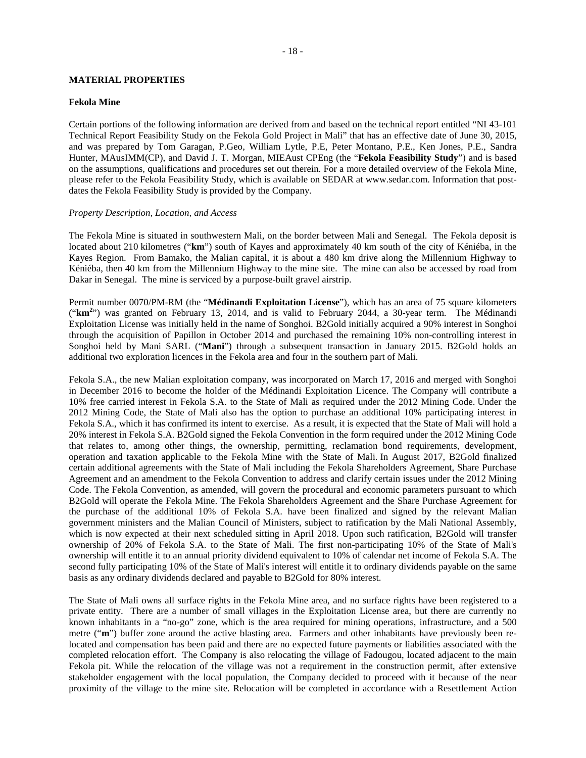#### <span id="page-20-0"></span>**MATERIAL PROPERTIES**

#### <span id="page-20-1"></span>**Fekola Mine**

Certain portions of the following information are derived from and based on the technical report entitled "NI 43-101 Technical Report Feasibility Study on the Fekola Gold Project in Mali" that has an effective date of June 30, 2015, and was prepared by Tom Garagan, P.Geo, William Lytle, P.E, Peter Montano, P.E., Ken Jones, P.E., Sandra Hunter, MAusIMM(CP), and David J. T. Morgan, MIEAust CPEng (the "**Fekola Feasibility Study**") and is based on the assumptions, qualifications and procedures set out therein. For a more detailed overview of the Fekola Mine, please refer to the Fekola Feasibility Study, which is available on SEDAR at [www.sedar.com.](http://www.sedar.com/) Information that postdates the Fekola Feasibility Study is provided by the Company.

#### *Property Description, Location, and Access*

The Fekola Mine is situated in southwestern Mali, on the border between Mali and Senegal. The Fekola deposit is located about 210 kilometres ("**km**") south of Kayes and approximately 40 km south of the city of Kéniéba, in the Kayes Region. From Bamako, the Malian capital, it is about a 480 km drive along the Millennium Highway to Kéniéba, then 40 km from the Millennium Highway to the mine site. The mine can also be accessed by road from Dakar in Senegal. The mine is serviced by a purpose-built gravel airstrip.

Permit number 0070/PM-RM (the "**Médinandi Exploitation License**"), which has an area of 75 square kilometers ("km<sup>2</sup>") was granted on February 13, 2014, and is valid to February 2044, a 30-year term. The Médinandi Exploitation License was initially held in the name of Songhoi. B2Gold initially acquired a 90% interest in Songhoi through the acquisition of Papillon in October 2014 and purchased the remaining 10% non-controlling interest in Songhoi held by Mani SARL ("**Mani**") through a subsequent transaction in January 2015. B2Gold holds an additional two exploration licences in the Fekola area and four in the southern part of Mali.

Fekola S.A., the new Malian exploitation company, was incorporated on March 17, 2016 and merged with Songhoi in December 2016 to become the holder of the Médinandi Exploitation Licence. The Company will contribute a 10% free carried interest in Fekola S.A. to the State of Mali as required under the 2012 Mining Code. Under the 2012 Mining Code, the State of Mali also has the option to purchase an additional 10% participating interest in Fekola S.A., which it has confirmed its intent to exercise. As a result, it is expected that the State of Mali will hold a 20% interest in Fekola S.A. B2Gold signed the Fekola Convention in the form required under the 2012 Mining Code that relates to, among other things, the ownership, permitting, reclamation bond requirements, development, operation and taxation applicable to the Fekola Mine with the State of Mali. In August 2017, B2Gold finalized certain additional agreements with the State of Mali including the Fekola Shareholders Agreement, Share Purchase Agreement and an amendment to the Fekola Convention to address and clarify certain issues under the 2012 Mining Code. The Fekola Convention, as amended, will govern the procedural and economic parameters pursuant to which B2Gold will operate the Fekola Mine. The Fekola Shareholders Agreement and the Share Purchase Agreement for the purchase of the additional 10% of Fekola S.A. have been finalized and signed by the relevant Malian government ministers and the Malian Council of Ministers, subject to ratification by the Mali National Assembly, which is now expected at their next scheduled sitting in April 2018. Upon such ratification, B2Gold will transfer ownership of 20% of Fekola S.A. to the State of Mali. The first non-participating 10% of the State of Mali's ownership will entitle it to an annual priority dividend equivalent to 10% of calendar net income of Fekola S.A. The second fully participating 10% of the State of Mali's interest will entitle it to ordinary dividends payable on the same basis as any ordinary dividends declared and payable to B2Gold for 80% interest.

The State of Mali owns all surface rights in the Fekola Mine area, and no surface rights have been registered to a private entity. There are a number of small villages in the Exploitation License area, but there are currently no known inhabitants in a "no-go" zone, which is the area required for mining operations, infrastructure, and a 500 metre ("**m**") buffer zone around the active blasting area. Farmers and other inhabitants have previously been relocated and compensation has been paid and there are no expected future payments or liabilities associated with the completed relocation effort. The Company is also relocating the village of Fadougou, located adjacent to the main Fekola pit. While the relocation of the village was not a requirement in the construction permit, after extensive stakeholder engagement with the local population, the Company decided to proceed with it because of the near proximity of the village to the mine site. Relocation will be completed in accordance with a Resettlement Action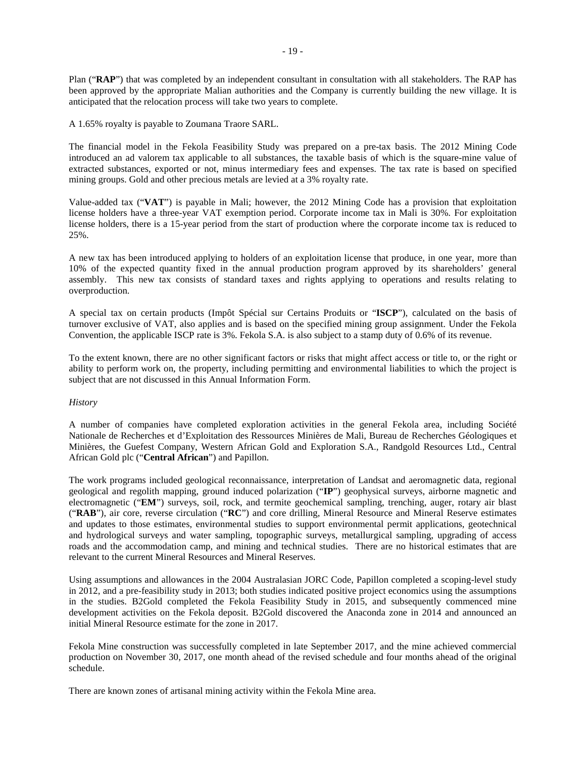Plan ("**RAP**") that was completed by an independent consultant in consultation with all stakeholders. The RAP has been approved by the appropriate Malian authorities and the Company is currently building the new village. It is anticipated that the relocation process will take two years to complete.

A 1.65% royalty is payable to Zoumana Traore SARL.

The financial model in the Fekola Feasibility Study was prepared on a pre-tax basis. The 2012 Mining Code introduced an ad valorem tax applicable to all substances, the taxable basis of which is the square-mine value of extracted substances, exported or not, minus intermediary fees and expenses. The tax rate is based on specified mining groups. Gold and other precious metals are levied at a 3% royalty rate.

Value-added tax ("**VAT**") is payable in Mali; however, the 2012 Mining Code has a provision that exploitation license holders have a three-year VAT exemption period. Corporate income tax in Mali is 30%. For exploitation license holders, there is a 15-year period from the start of production where the corporate income tax is reduced to 25%.

A new tax has been introduced applying to holders of an exploitation license that produce, in one year, more than 10% of the expected quantity fixed in the annual production program approved by its shareholders' general assembly. This new tax consists of standard taxes and rights applying to operations and results relating to overproduction.

A special tax on certain products (Impôt Spécial sur Certains Produits or "**ISCP**"), calculated on the basis of turnover exclusive of VAT, also applies and is based on the specified mining group assignment. Under the Fekola Convention, the applicable ISCP rate is 3%. Fekola S.A. is also subject to a stamp duty of 0.6% of its revenue.

To the extent known, there are no other significant factors or risks that might affect access or title to, or the right or ability to perform work on, the property, including permitting and environmental liabilities to which the project is subject that are not discussed in this Annual Information Form.

#### *History*

A number of companies have completed exploration activities in the general Fekola area, including Société Nationale de Recherches et d'Exploitation des Ressources Minières de Mali, Bureau de Recherches Géologiques et Minières, the Guefest Company, Western African Gold and Exploration S.A., Randgold Resources Ltd., Central African Gold plc ("**Central African**") and Papillon.

The work programs included geological reconnaissance, interpretation of Landsat and aeromagnetic data, regional geological and regolith mapping, ground induced polarization ("**IP**") geophysical surveys, airborne magnetic and electromagnetic ("**EM**") surveys, soil, rock, and termite geochemical sampling, trenching, auger, rotary air blast ("**RAB**"), air core, reverse circulation ("**RC**") and core drilling, Mineral Resource and Mineral Reserve estimates and updates to those estimates, environmental studies to support environmental permit applications, geotechnical and hydrological surveys and water sampling, topographic surveys, metallurgical sampling, upgrading of access roads and the accommodation camp, and mining and technical studies. There are no historical estimates that are relevant to the current Mineral Resources and Mineral Reserves.

Using assumptions and allowances in the 2004 Australasian JORC Code, Papillon completed a scoping-level study in 2012, and a pre-feasibility study in 2013; both studies indicated positive project economics using the assumptions in the studies. B2Gold completed the Fekola Feasibility Study in 2015, and subsequently commenced mine development activities on the Fekola deposit. B2Gold discovered the Anaconda zone in 2014 and announced an initial Mineral Resource estimate for the zone in 2017.

Fekola Mine construction was successfully completed in late September 2017, and the mine achieved commercial production on November 30, 2017, one month ahead of the revised schedule and four months ahead of the original schedule.

There are known zones of artisanal mining activity within the Fekola Mine area.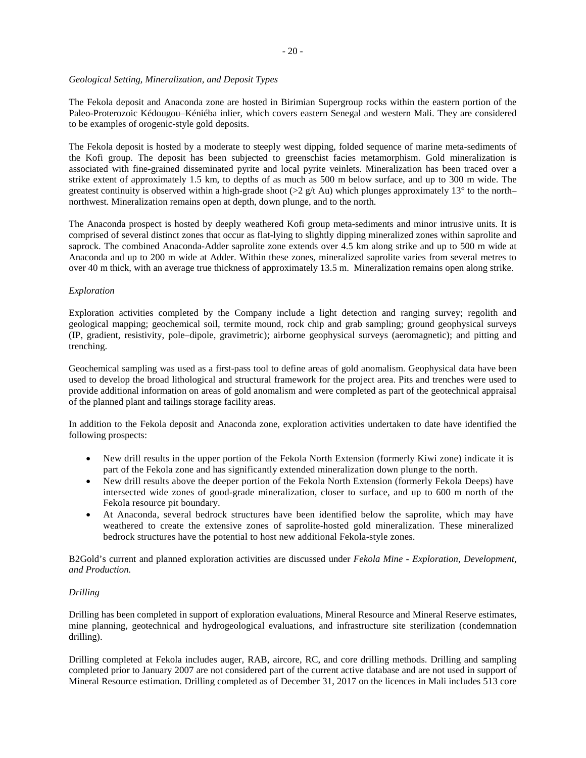# *Geological Setting, Mineralization, and Deposit Types*

The Fekola deposit and Anaconda zone are hosted in Birimian Supergroup rocks within the eastern portion of the Paleo-Proterozoic Kédougou–Kéniéba inlier, which covers eastern Senegal and western Mali. They are considered to be examples of orogenic-style gold deposits.

The Fekola deposit is hosted by a moderate to steeply west dipping, folded sequence of marine meta-sediments of the Kofi group. The deposit has been subjected to greenschist facies metamorphism. Gold mineralization is associated with fine-grained disseminated pyrite and local pyrite veinlets. Mineralization has been traced over a strike extent of approximately 1.5 km, to depths of as much as 500 m below surface, and up to 300 m wide. The greatest continuity is observed within a high-grade shoot ( $>2$  g/t Au) which plunges approximately 13° to the north– northwest. Mineralization remains open at depth, down plunge, and to the north.

The Anaconda prospect is hosted by deeply weathered Kofi group meta-sediments and minor intrusive units. It is comprised of several distinct zones that occur as flat-lying to slightly dipping mineralized zones within saprolite and saprock. The combined Anaconda-Adder saprolite zone extends over 4.5 km along strike and up to 500 m wide at Anaconda and up to 200 m wide at Adder. Within these zones, mineralized saprolite varies from several metres to over 40 m thick, with an average true thickness of approximately 13.5 m. Mineralization remains open along strike.

# *Exploration*

Exploration activities completed by the Company include a light detection and ranging survey; regolith and geological mapping; geochemical soil, termite mound, rock chip and grab sampling; ground geophysical surveys (IP, gradient, resistivity, pole–dipole, gravimetric); airborne geophysical surveys (aeromagnetic); and pitting and trenching.

Geochemical sampling was used as a first-pass tool to define areas of gold anomalism. Geophysical data have been used to develop the broad lithological and structural framework for the project area. Pits and trenches were used to provide additional information on areas of gold anomalism and were completed as part of the geotechnical appraisal of the planned plant and tailings storage facility areas.

In addition to the Fekola deposit and Anaconda zone, exploration activities undertaken to date have identified the following prospects:

- New drill results in the upper portion of the Fekola North Extension (formerly Kiwi zone) indicate it is part of the Fekola zone and has significantly extended mineralization down plunge to the north.
- New drill results above the deeper portion of the Fekola North Extension (formerly Fekola Deeps) have intersected wide zones of good-grade mineralization, closer to surface, and up to 600 m north of the Fekola resource pit boundary.
- At Anaconda, several bedrock structures have been identified below the saprolite, which may have weathered to create the extensive zones of saprolite-hosted gold mineralization. These mineralized bedrock structures have the potential to host new additional Fekola-style zones.

B2Gold's current and planned exploration activities are discussed under *Fekola Mine - Exploration, Development, and Production.*

#### *Drilling*

Drilling has been completed in support of exploration evaluations, Mineral Resource and Mineral Reserve estimates, mine planning, geotechnical and hydrogeological evaluations, and infrastructure site sterilization (condemnation drilling).

Drilling completed at Fekola includes auger, RAB, aircore, RC, and core drilling methods. Drilling and sampling completed prior to January 2007 are not considered part of the current active database and are not used in support of Mineral Resource estimation. Drilling completed as of December 31, 2017 on the licences in Mali includes 513 core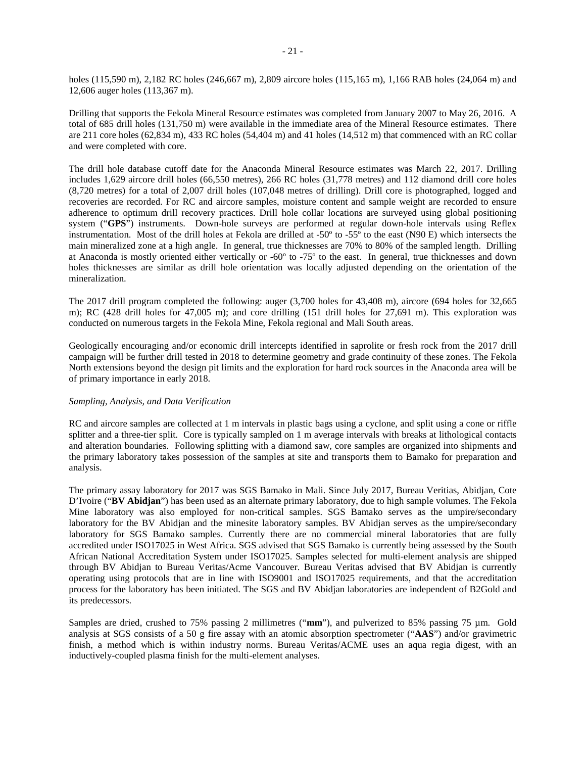holes (115,590 m), 2,182 RC holes (246,667 m), 2,809 aircore holes (115,165 m), 1,166 RAB holes (24,064 m) and 12,606 auger holes (113,367 m).

Drilling that supports the Fekola Mineral Resource estimates was completed from January 2007 to May 26, 2016. A total of 685 drill holes (131,750 m) were available in the immediate area of the Mineral Resource estimates. There are 211 core holes (62,834 m), 433 RC holes (54,404 m) and 41 holes (14,512 m) that commenced with an RC collar and were completed with core.

The drill hole database cutoff date for the Anaconda Mineral Resource estimates was March 22, 2017. Drilling includes 1,629 aircore drill holes (66,550 metres), 266 RC holes (31,778 metres) and 112 diamond drill core holes (8,720 metres) for a total of 2,007 drill holes (107,048 metres of drilling). Drill core is photographed, logged and recoveries are recorded. For RC and aircore samples, moisture content and sample weight are recorded to ensure adherence to optimum drill recovery practices. Drill hole collar locations are surveyed using global positioning system ("**GPS**") instruments. Down-hole surveys are performed at regular down-hole intervals using Reflex instrumentation. Most of the drill holes at Fekola are drilled at -50º to -55º to the east (N90 E) which intersects the main mineralized zone at a high angle. In general, true thicknesses are 70% to 80% of the sampled length. Drilling at Anaconda is mostly oriented either vertically or -60º to -75º to the east. In general, true thicknesses and down holes thicknesses are similar as drill hole orientation was locally adjusted depending on the orientation of the mineralization.

The 2017 drill program completed the following: auger (3,700 holes for 43,408 m), aircore (694 holes for 32,665 m); RC (428 drill holes for 47,005 m); and core drilling (151 drill holes for 27,691 m). This exploration was conducted on numerous targets in the Fekola Mine, Fekola regional and Mali South areas.

Geologically encouraging and/or economic drill intercepts identified in saprolite or fresh rock from the 2017 drill campaign will be further drill tested in 2018 to determine geometry and grade continuity of these zones. The Fekola North extensions beyond the design pit limits and the exploration for hard rock sources in the Anaconda area will be of primary importance in early 2018.

## *Sampling, Analysis, and Data Verification*

RC and aircore samples are collected at 1 m intervals in plastic bags using a cyclone, and split using a cone or riffle splitter and a three-tier split. Core is typically sampled on 1 m average intervals with breaks at lithological contacts and alteration boundaries. Following splitting with a diamond saw, core samples are organized into shipments and the primary laboratory takes possession of the samples at site and transports them to Bamako for preparation and analysis.

The primary assay laboratory for 2017 was SGS Bamako in Mali. Since July 2017, Bureau Veritias, Abidjan, Cote D'Ivoire ("**BV Abidjan**") has been used as an alternate primary laboratory, due to high sample volumes. The Fekola Mine laboratory was also employed for non-critical samples. SGS Bamako serves as the umpire/secondary laboratory for the BV Abidjan and the minesite laboratory samples. BV Abidjan serves as the umpire/secondary laboratory for SGS Bamako samples. Currently there are no commercial mineral laboratories that are fully accredited under ISO17025 in West Africa. SGS advised that SGS Bamako is currently being assessed by the South African National Accreditation System under ISO17025. Samples selected for multi-element analysis are shipped through BV Abidjan to Bureau Veritas/Acme Vancouver. Bureau Veritas advised that BV Abidjan is currently operating using protocols that are in line with ISO9001 and ISO17025 requirements, and that the accreditation process for the laboratory has been initiated. The SGS and BV Abidjan laboratories are independent of B2Gold and its predecessors.

Samples are dried, crushed to 75% passing 2 millimetres ("**mm**"), and pulverized to 85% passing 75 µm. Gold analysis at SGS consists of a 50 g fire assay with an atomic absorption spectrometer ("**AAS**") and/or gravimetric finish, a method which is within industry norms. Bureau Veritas/ACME uses an aqua regia digest, with an inductively-coupled plasma finish for the multi-element analyses.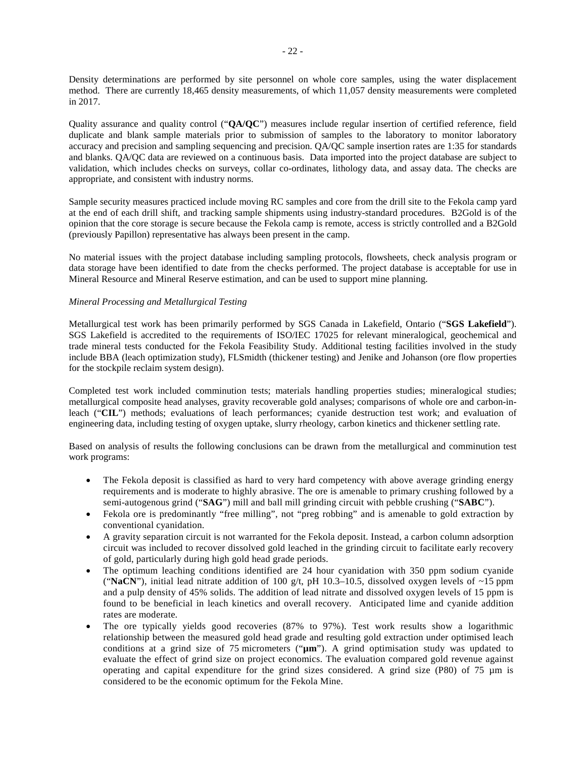Density determinations are performed by site personnel on whole core samples, using the water displacement method. There are currently 18,465 density measurements, of which 11,057 density measurements were completed in 2017.

Quality assurance and quality control ("**QA/QC**") measures include regular insertion of certified reference, field duplicate and blank sample materials prior to submission of samples to the laboratory to monitor laboratory accuracy and precision and sampling sequencing and precision. QA/QC sample insertion rates are 1:35 for standards and blanks. QA/QC data are reviewed on a continuous basis. Data imported into the project database are subject to validation, which includes checks on surveys, collar co-ordinates, lithology data, and assay data. The checks are appropriate, and consistent with industry norms.

Sample security measures practiced include moving RC samples and core from the drill site to the Fekola camp yard at the end of each drill shift, and tracking sample shipments using industry-standard procedures. B2Gold is of the opinion that the core storage is secure because the Fekola camp is remote, access is strictly controlled and a B2Gold (previously Papillon) representative has always been present in the camp.

No material issues with the project database including sampling protocols, flowsheets, check analysis program or data storage have been identified to date from the checks performed. The project database is acceptable for use in Mineral Resource and Mineral Reserve estimation, and can be used to support mine planning.

#### *Mineral Processing and Metallurgical Testing*

Metallurgical test work has been primarily performed by SGS Canada in Lakefield, Ontario ("**SGS Lakefield**"). SGS Lakefield is accredited to the requirements of ISO/IEC 17025 for relevant mineralogical, geochemical and trade mineral tests conducted for the Fekola Feasibility Study. Additional testing facilities involved in the study include BBA (leach optimization study), FLSmidth (thickener testing) and Jenike and Johanson (ore flow properties for the stockpile reclaim system design).

Completed test work included comminution tests; materials handling properties studies; mineralogical studies; metallurgical composite head analyses, gravity recoverable gold analyses; comparisons of whole ore and carbon-inleach ("**CIL**") methods; evaluations of leach performances; cyanide destruction test work; and evaluation of engineering data, including testing of oxygen uptake, slurry rheology, carbon kinetics and thickener settling rate.

Based on analysis of results the following conclusions can be drawn from the metallurgical and comminution test work programs:

- The Fekola deposit is classified as hard to very hard competency with above average grinding energy requirements and is moderate to highly abrasive. The ore is amenable to primary crushing followed by a semi-autogenous grind ("**SAG**") mill and ball mill grinding circuit with pebble crushing ("**SABC**").
- Fekola ore is predominantly "free milling", not "preg robbing" and is amenable to gold extraction by conventional cyanidation.
- A gravity separation circuit is not warranted for the Fekola deposit. Instead, a carbon column adsorption circuit was included to recover dissolved gold leached in the grinding circuit to facilitate early recovery of gold, particularly during high gold head grade periods.
- The optimum leaching conditions identified are 24 hour cyanidation with 350 ppm sodium cyanide ("**NaCN**"), initial lead nitrate addition of 100 g/t, pH 10.3–10.5, dissolved oxygen levels of  $\sim$ 15 ppm and a pulp density of 45% solids. The addition of lead nitrate and dissolved oxygen levels of 15 ppm is found to be beneficial in leach kinetics and overall recovery. Anticipated lime and cyanide addition rates are moderate.
- The ore typically yields good recoveries (87% to 97%). Test work results show a logarithmic relationship between the measured gold head grade and resulting gold extraction under optimised leach conditions at a grind size of 75 micrometers ("**µm**"). A grind optimisation study was updated to evaluate the effect of grind size on project economics. The evaluation compared gold revenue against operating and capital expenditure for the grind sizes considered. A grind size (P80) of 75 µm is considered to be the economic optimum for the Fekola Mine.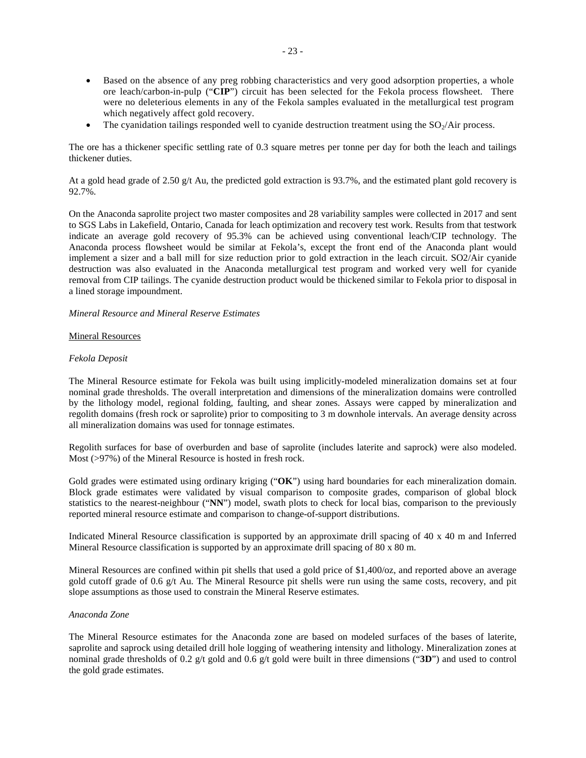- Based on the absence of any preg robbing characteristics and very good adsorption properties, a whole ore leach/carbon-in-pulp ("**CIP**") circuit has been selected for the Fekola process flowsheet. There were no deleterious elements in any of the Fekola samples evaluated in the metallurgical test program which negatively affect gold recovery.
- The cyanidation tailings responded well to cyanide destruction treatment using the  $SO_2/Air$  process.

The ore has a thickener specific settling rate of 0.3 square metres per tonne per day for both the leach and tailings thickener duties.

At a gold head grade of 2.50 g/t Au, the predicted gold extraction is 93.7%, and the estimated plant gold recovery is 92.7%.

On the Anaconda saprolite project two master composites and 28 variability samples were collected in 2017 and sent to SGS Labs in Lakefield, Ontario, Canada for leach optimization and recovery test work. Results from that testwork indicate an average gold recovery of 95.3% can be achieved using conventional leach/CIP technology. The Anaconda process flowsheet would be similar at Fekola's, except the front end of the Anaconda plant would implement a sizer and a ball mill for size reduction prior to gold extraction in the leach circuit. SO2/Air cyanide destruction was also evaluated in the Anaconda metallurgical test program and worked very well for cyanide removal from CIP tailings. The cyanide destruction product would be thickened similar to Fekola prior to disposal in a lined storage impoundment.

*Mineral Resource and Mineral Reserve Estimates*

#### Mineral Resources

#### *Fekola Deposit*

The Mineral Resource estimate for Fekola was built using implicitly-modeled mineralization domains set at four nominal grade thresholds. The overall interpretation and dimensions of the mineralization domains were controlled by the lithology model, regional folding, faulting, and shear zones. Assays were capped by mineralization and regolith domains (fresh rock or saprolite) prior to compositing to 3 m downhole intervals. An average density across all mineralization domains was used for tonnage estimates.

Regolith surfaces for base of overburden and base of saprolite (includes laterite and saprock) were also modeled. Most (>97%) of the Mineral Resource is hosted in fresh rock.

Gold grades were estimated using ordinary kriging ("**OK**") using hard boundaries for each mineralization domain. Block grade estimates were validated by visual comparison to composite grades, comparison of global block statistics to the nearest-neighbour ("**NN**") model, swath plots to check for local bias, comparison to the previously reported mineral resource estimate and comparison to change-of-support distributions.

Indicated Mineral Resource classification is supported by an approximate drill spacing of 40 x 40 m and Inferred Mineral Resource classification is supported by an approximate drill spacing of 80 x 80 m.

Mineral Resources are confined within pit shells that used a gold price of \$1,400/oz, and reported above an average gold cutoff grade of 0.6 g/t Au. The Mineral Resource pit shells were run using the same costs, recovery, and pit slope assumptions as those used to constrain the Mineral Reserve estimates.

# *Anaconda Zone*

The Mineral Resource estimates for the Anaconda zone are based on modeled surfaces of the bases of laterite, saprolite and saprock using detailed drill hole logging of weathering intensity and lithology. Mineralization zones at nominal grade thresholds of 0.2 g/t gold and 0.6 g/t gold were built in three dimensions ("**3D**") and used to control the gold grade estimates.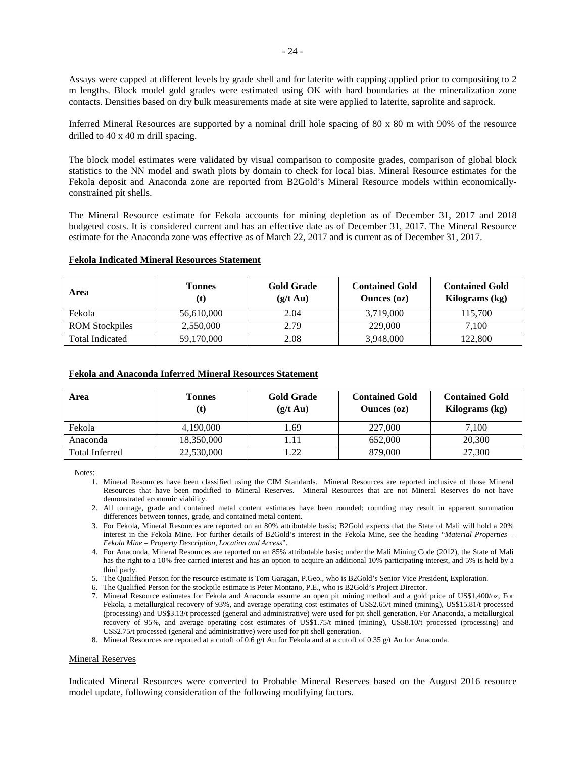Assays were capped at different levels by grade shell and for laterite with capping applied prior to compositing to 2 m lengths. Block model gold grades were estimated using OK with hard boundaries at the mineralization zone contacts. Densities based on dry bulk measurements made at site were applied to laterite, saprolite and saprock.

Inferred Mineral Resources are supported by a nominal drill hole spacing of 80 x 80 m with 90% of the resource drilled to 40 x 40 m drill spacing.

The block model estimates were validated by visual comparison to composite grades, comparison of global block statistics to the NN model and swath plots by domain to check for local bias. Mineral Resource estimates for the Fekola deposit and Anaconda zone are reported from B2Gold's Mineral Resource models within economicallyconstrained pit shells.

The Mineral Resource estimate for Fekola accounts for mining depletion as of December 31, 2017 and 2018 budgeted costs. It is considered current and has an effective date as of December 31, 2017. The Mineral Resource estimate for the Anaconda zone was effective as of March 22, 2017 and is current as of December 31, 2017.

#### **Fekola Indicated Mineral Resources Statement**

| Area                   | <b>Tonnes</b><br>(t) | <b>Gold Grade</b><br>$(g/t \text{ Au})$ | <b>Contained Gold</b><br><b>Ounces</b> (oz) | <b>Contained Gold</b><br>Kilograms (kg) |
|------------------------|----------------------|-----------------------------------------|---------------------------------------------|-----------------------------------------|
| Fekola                 | 56,610,000           | 2.04                                    | 3.719.000                                   | 115,700                                 |
| <b>ROM Stockpiles</b>  | 2,550,000            | 2.79                                    | 229,000                                     | 7.100                                   |
| <b>Total Indicated</b> | 59,170,000           | 2.08                                    | 3,948,000                                   | 122,800                                 |

### **Fekola and Anaconda Inferred Mineral Resources Statement**

| Area                  | <b>Tonnes</b><br>(t) | <b>Gold Grade</b><br>$(g/t \text{ Au})$ | <b>Contained Gold</b><br><b>Ounces</b> (oz) | <b>Contained Gold</b><br>Kilograms (kg) |
|-----------------------|----------------------|-----------------------------------------|---------------------------------------------|-----------------------------------------|
| Fekola                | 4,190,000            | 1.69                                    | 227,000                                     | 7.100                                   |
| Anaconda              | 18,350,000           |                                         | 652,000                                     | 20,300                                  |
| <b>Total Inferred</b> | 22,530,000           | .22                                     | 879,000                                     | 27,300                                  |

Notes:

- 2. All tonnage, grade and contained metal content estimates have been rounded; rounding may result in apparent summation differences between tonnes, grade, and contained metal content.
- 3. For Fekola, Mineral Resources are reported on an 80% attributable basis; B2Gold expects that the State of Mali will hold a 20% interest in the Fekola Mine. For further details of B2Gold's interest in the Fekola Mine, see the heading "*Material Properties – Fekola Mine – Property Description, Location and Access*".
- 4. For Anaconda, Mineral Resources are reported on an 85% attributable basis; under the Mali Mining Code (2012), the State of Mali has the right to a 10% free carried interest and has an option to acquire an additional 10% participating interest, and 5% is held by a third party.
- 5. The Qualified Person for the resource estimate is Tom Garagan, P.Geo., who is B2Gold's Senior Vice President, Exploration.
- 6. The Qualified Person for the stockpile estimate is Peter Montano, P.E., who is B2Gold's Project Director.
- 7. Mineral Resource estimates for Fekola and Anaconda assume an open pit mining method and a gold price of US\$1,400/oz, For Fekola, a metallurgical recovery of 93%, and average operating cost estimates of US\$2.65/t mined (mining), US\$15.81/t processed (processing) and US\$3.13/t processed (general and administrative) were used for pit shell generation. For Anaconda, a metallurgical recovery of 95%, and average operating cost estimates of US\$1.75/t mined (mining), US\$8.10/t processed (processing) and US\$2.75/t processed (general and administrative) were used for pit shell generation.
- 8. Mineral Resources are reported at a cutoff of 0.6 g/t Au for Fekola and at a cutoff of 0.35 g/t Au for Anaconda.

#### Mineral Reserves

Indicated Mineral Resources were converted to Probable Mineral Reserves based on the August 2016 resource model update, following consideration of the following modifying factors.

<sup>1.</sup> Mineral Resources have been classified using the CIM Standards. Mineral Resources are reported inclusive of those Mineral Resources that have been modified to Mineral Reserves. Mineral Resources that are not Mineral Reserves do not have demonstrated economic viability.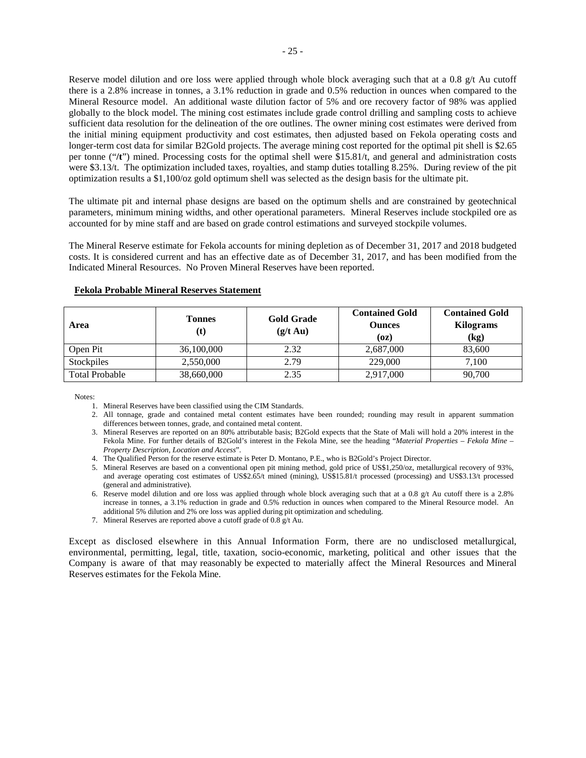Reserve model dilution and ore loss were applied through whole block averaging such that at a 0.8 g/t Au cutoff there is a 2.8% increase in tonnes, a 3.1% reduction in grade and 0.5% reduction in ounces when compared to the Mineral Resource model. An additional waste dilution factor of 5% and ore recovery factor of 98% was applied globally to the block model. The mining cost estimates include grade control drilling and sampling costs to achieve sufficient data resolution for the delineation of the ore outlines. The owner mining cost estimates were derived from the initial mining equipment productivity and cost estimates, then adjusted based on Fekola operating costs and longer-term cost data for similar B2Gold projects. The average mining cost reported for the optimal pit shell is \$2.65 per tonne ("**/t**") mined. Processing costs for the optimal shell were \$15.81/t, and general and administration costs were \$3.13/t. The optimization included taxes, royalties, and stamp duties totalling 8.25%. During review of the pit optimization results a \$1,100/oz gold optimum shell was selected as the design basis for the ultimate pit.

The ultimate pit and internal phase designs are based on the optimum shells and are constrained by geotechnical parameters, minimum mining widths, and other operational parameters. Mineral Reserves include stockpiled ore as accounted for by mine staff and are based on grade control estimations and surveyed stockpile volumes.

The Mineral Reserve estimate for Fekola accounts for mining depletion as of December 31, 2017 and 2018 budgeted costs. It is considered current and has an effective date as of December 31, 2017, and has been modified from the Indicated Mineral Resources. No Proven Mineral Reserves have been reported.

| Area                  | <b>Tonnes</b><br>$\left( t\right)$ | <b>Gold Grade</b><br>$(g/t \text{ Au})$ | <b>Contained Gold</b><br><b>Ounces</b><br>(oz) | <b>Contained Gold</b><br><b>Kilograms</b><br>(kg) |
|-----------------------|------------------------------------|-----------------------------------------|------------------------------------------------|---------------------------------------------------|
| Open Pit              | 36,100,000                         | 2.32                                    | 2,687,000                                      | 83,600                                            |
| Stockpiles            | 2,550,000                          | 2.79                                    | 229,000                                        | 7.100                                             |
| <b>Total Probable</b> | 38,660,000                         | 2.35                                    | 2,917,000                                      | 90,700                                            |

#### **Fekola Probable Mineral Reserves Statement**

Notes:

1. Mineral Reserves have been classified using the CIM Standards.

- 2. All tonnage, grade and contained metal content estimates have been rounded; rounding may result in apparent summation differences between tonnes, grade, and contained metal content.
- 3. Mineral Reserves are reported on an 80% attributable basis; B2Gold expects that the State of Mali will hold a 20% interest in the Fekola Mine. For further details of B2Gold's interest in the Fekola Mine, see the heading "*Material Properties – Fekola Mine – Property Description, Location and Access*".
- 4. The Qualified Person for the reserve estimate is Peter D. Montano, P.E., who is B2Gold's Project Director.
- 5. Mineral Reserves are based on a conventional open pit mining method, gold price of US\$1,250/oz, metallurgical recovery of 93%, and average operating cost estimates of US\$2.65/t mined (mining), US\$15.81/t processed (processing) and US\$3.13/t processed (general and administrative).
- 6. Reserve model dilution and ore loss was applied through whole block averaging such that at a 0.8 g/t Au cutoff there is a 2.8% increase in tonnes, a 3.1% reduction in grade and 0.5% reduction in ounces when compared to the Mineral Resource model. An additional 5% dilution and 2% ore loss was applied during pit optimization and scheduling.
- 7. Mineral Reserves are reported above a cutoff grade of 0.8 g/t Au.

Except as disclosed elsewhere in this Annual Information Form, there are no undisclosed metallurgical, environmental, permitting, legal, title, taxation, socio-economic, marketing, political and other issues that the Company is aware of that may reasonably be expected to materially affect the Mineral Resources and Mineral Reserves estimates for the Fekola Mine.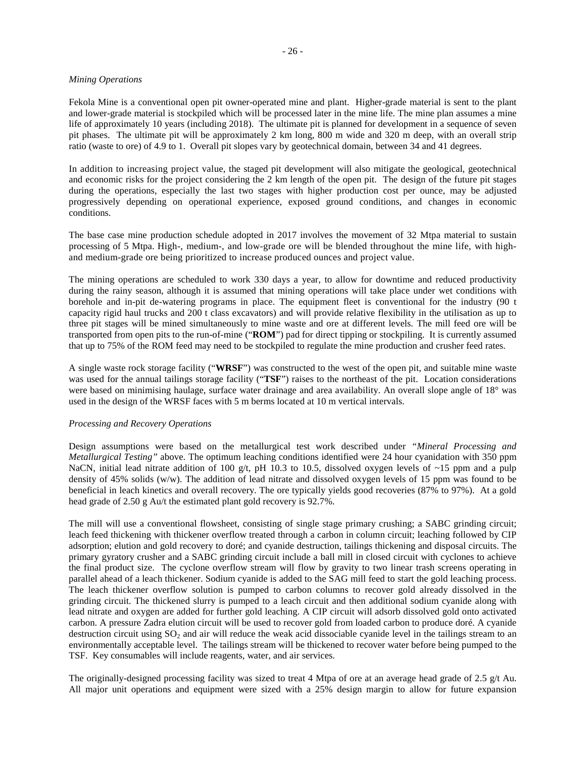#### *Mining Operations*

Fekola Mine is a conventional open pit owner-operated mine and plant. Higher-grade material is sent to the plant and lower-grade material is stockpiled which will be processed later in the mine life. The mine plan assumes a mine life of approximately 10 years (including 2018). The ultimate pit is planned for development in a sequence of seven pit phases. The ultimate pit will be approximately 2 km long, 800 m wide and 320 m deep, with an overall strip ratio (waste to ore) of 4.9 to 1. Overall pit slopes vary by geotechnical domain, between 34 and 41 degrees.

In addition to increasing project value, the staged pit development will also mitigate the geological, geotechnical and economic risks for the project considering the 2 km length of the open pit. The design of the future pit stages during the operations, especially the last two stages with higher production cost per ounce, may be adjusted progressively depending on operational experience, exposed ground conditions, and changes in economic conditions.

The base case mine production schedule adopted in 2017 involves the movement of 32 Mtpa material to sustain processing of 5 Mtpa. High-, medium-, and low-grade ore will be blended throughout the mine life, with highand medium-grade ore being prioritized to increase produced ounces and project value.

The mining operations are scheduled to work 330 days a year, to allow for downtime and reduced productivity during the rainy season, although it is assumed that mining operations will take place under wet conditions with borehole and in-pit de-watering programs in place. The equipment fleet is conventional for the industry (90 t capacity rigid haul trucks and 200 t class excavators) and will provide relative flexibility in the utilisation as up to three pit stages will be mined simultaneously to mine waste and ore at different levels. The mill feed ore will be transported from open pits to the run-of-mine ("**ROM**") pad for direct tipping or stockpiling. It is currently assumed that up to 75% of the ROM feed may need to be stockpiled to regulate the mine production and crusher feed rates.

A single waste rock storage facility ("**WRSF**") was constructed to the west of the open pit, and suitable mine waste was used for the annual tailings storage facility ("**TSF**") raises to the northeast of the pit. Location considerations were based on minimising haulage, surface water drainage and area availability. An overall slope angle of 18° was used in the design of the WRSF faces with 5 m berms located at 10 m vertical intervals.

#### *Processing and Recovery Operations*

Design assumptions were based on the metallurgical test work described under *"Mineral Processing and Metallurgical Testing"* above. The optimum leaching conditions identified were 24 hour cyanidation with 350 ppm NaCN, initial lead nitrate addition of 100 g/t, pH 10.3 to 10.5, dissolved oxygen levels of ~15 ppm and a pulp density of 45% solids (w/w). The addition of lead nitrate and dissolved oxygen levels of 15 ppm was found to be beneficial in leach kinetics and overall recovery. The ore typically yields good recoveries (87% to 97%). At a gold head grade of 2.50 g Au/t the estimated plant gold recovery is 92.7%.

The mill will use a conventional flowsheet, consisting of single stage primary crushing; a SABC grinding circuit; leach feed thickening with thickener overflow treated through a carbon in column circuit; leaching followed by CIP adsorption; elution and gold recovery to doré; and cyanide destruction, tailings thickening and disposal circuits. The primary gyratory crusher and a SABC grinding circuit include a ball mill in closed circuit with cyclones to achieve the final product size. The cyclone overflow stream will flow by gravity to two linear trash screens operating in parallel ahead of a leach thickener. Sodium cyanide is added to the SAG mill feed to start the gold leaching process. The leach thickener overflow solution is pumped to carbon columns to recover gold already dissolved in the grinding circuit. The thickened slurry is pumped to a leach circuit and then additional sodium cyanide along with lead nitrate and oxygen are added for further gold leaching. A CIP circuit will adsorb dissolved gold onto activated carbon. A pressure Zadra elution circuit will be used to recover gold from loaded carbon to produce doré. A cyanide destruction circuit using SO<sub>2</sub> and air will reduce the weak acid dissociable cyanide level in the tailings stream to an environmentally acceptable level. The tailings stream will be thickened to recover water before being pumped to the TSF. Key consumables will include reagents, water, and air services.

The originally-designed processing facility was sized to treat 4 Mtpa of ore at an average head grade of 2.5 g/t Au. All major unit operations and equipment were sized with a 25% design margin to allow for future expansion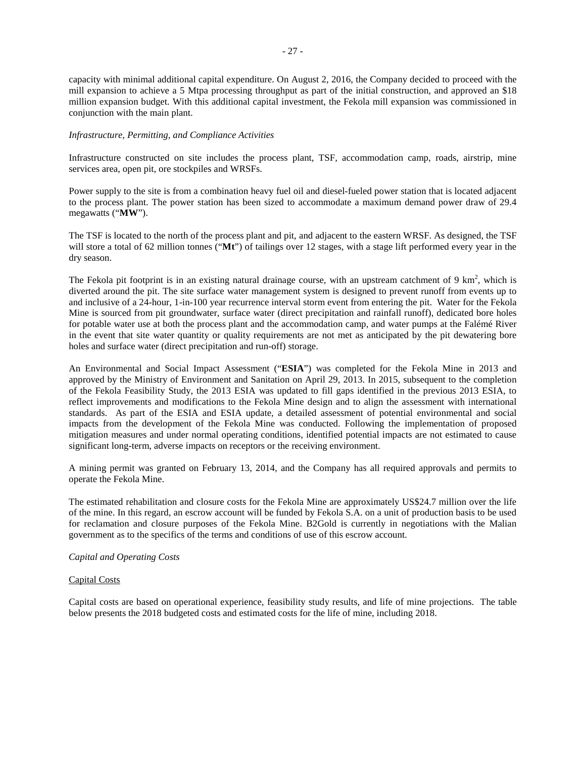capacity with minimal additional capital expenditure. On August 2, 2016, the Company decided to proceed with the mill expansion to achieve a 5 Mtpa processing throughput as part of the initial construction, and approved an \$18 million expansion budget. With this additional capital investment, the Fekola mill expansion was commissioned in conjunction with the main plant.

#### *Infrastructure, Permitting, and Compliance Activities*

Infrastructure constructed on site includes the process plant, TSF, accommodation camp, roads, airstrip, mine services area, open pit, ore stockpiles and WRSFs.

Power supply to the site is from a combination heavy fuel oil and diesel-fueled power station that is located adjacent to the process plant. The power station has been sized to accommodate a maximum demand power draw of 29.4 megawatts ("**MW**").

The TSF is located to the north of the process plant and pit, and adjacent to the eastern WRSF. As designed, the TSF will store a total of 62 million tonnes ("**Mt**") of tailings over 12 stages, with a stage lift performed every year in the dry season.

The Fekola pit footprint is in an existing natural drainage course, with an upstream catchment of 9 km<sup>2</sup>, which is diverted around the pit. The site surface water management system is designed to prevent runoff from events up to and inclusive of a 24-hour, 1-in-100 year recurrence interval storm event from entering the pit. Water for the Fekola Mine is sourced from pit groundwater, surface water (direct precipitation and rainfall runoff), dedicated bore holes for potable water use at both the process plant and the accommodation camp, and water pumps at the Falémé River in the event that site water quantity or quality requirements are not met as anticipated by the pit dewatering bore holes and surface water (direct precipitation and run-off) storage.

An Environmental and Social Impact Assessment ("**ESIA**") was completed for the Fekola Mine in 2013 and approved by the Ministry of Environment and Sanitation on April 29, 2013. In 2015, subsequent to the completion of the Fekola Feasibility Study, the 2013 ESIA was updated to fill gaps identified in the previous 2013 ESIA, to reflect improvements and modifications to the Fekola Mine design and to align the assessment with international standards. As part of the ESIA and ESIA update, a detailed assessment of potential environmental and social impacts from the development of the Fekola Mine was conducted. Following the implementation of proposed mitigation measures and under normal operating conditions, identified potential impacts are not estimated to cause significant long-term, adverse impacts on receptors or the receiving environment.

A mining permit was granted on February 13, 2014, and the Company has all required approvals and permits to operate the Fekola Mine.

The estimated rehabilitation and closure costs for the Fekola Mine are approximately US\$24.7 million over the life of the mine. In this regard, an escrow account will be funded by Fekola S.A. on a unit of production basis to be used for reclamation and closure purposes of the Fekola Mine. B2Gold is currently in negotiations with the Malian government as to the specifics of the terms and conditions of use of this escrow account.

## *Capital and Operating Costs*

#### Capital Costs

Capital costs are based on operational experience, feasibility study results, and life of mine projections. The table below presents the 2018 budgeted costs and estimated costs for the life of mine, including 2018.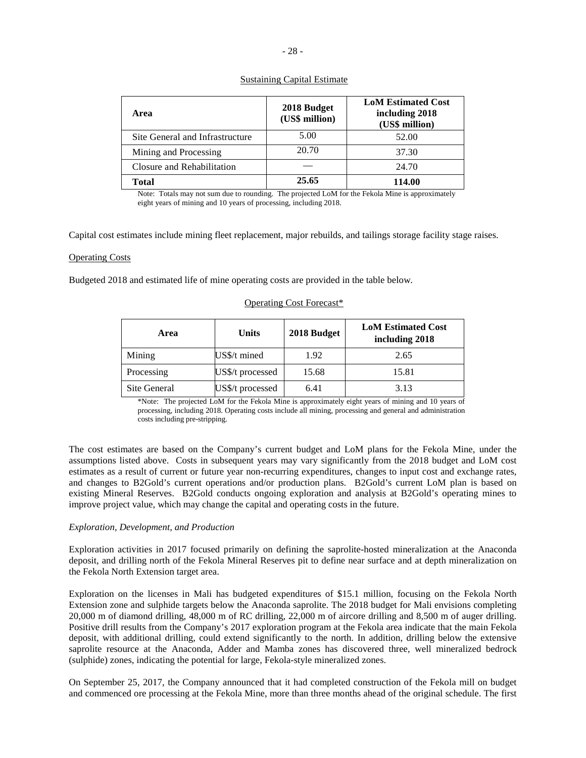#### Sustaining Capital Estimate

| Area                            | 2018 Budget<br>(US\$ million) | <b>LoM Estimated Cost</b><br>including 2018<br>(US\$ million) |
|---------------------------------|-------------------------------|---------------------------------------------------------------|
| Site General and Infrastructure | 5.00                          | 52.00                                                         |
| Mining and Processing           | 20.70                         | 37.30                                                         |
| Closure and Rehabilitation      |                               | 24.70                                                         |
| Total                           | 25.65                         | 114.00                                                        |

Note: Totals may not sum due to rounding. The projected LoM for the Fekola Mine is approximately eight years of mining and 10 years of processing, including 2018.

Capital cost estimates include mining fleet replacement, major rebuilds, and tailings storage facility stage raises.

#### Operating Costs

Budgeted 2018 and estimated life of mine operating costs are provided in the table below.

| Area         | Units            | 2018 Budget | <b>LoM Estimated Cost</b><br>including 2018 |  |
|--------------|------------------|-------------|---------------------------------------------|--|
| Mining       | US\$/t mined     | 1.92        | 2.65                                        |  |
| Processing   | US\$/t processed | 15.68       | 15.81                                       |  |
| Site General | US\$/t processed | 6.41        | 3.13                                        |  |

#### Operating Cost Forecast\*

\*Note: The projected LoM for the Fekola Mine is approximately eight years of mining and 10 years of processing, including 2018. Operating costs include all mining, processing and general and administration costs including pre-stripping.

The cost estimates are based on the Company's current budget and LoM plans for the Fekola Mine, under the assumptions listed above. Costs in subsequent years may vary significantly from the 2018 budget and LoM cost estimates as a result of current or future year non-recurring expenditures, changes to input cost and exchange rates, and changes to B2Gold's current operations and/or production plans. B2Gold's current LoM plan is based on existing Mineral Reserves. B2Gold conducts ongoing exploration and analysis at B2Gold's operating mines to improve project value, which may change the capital and operating costs in the future.

#### *Exploration, Development, and Production*

Exploration activities in 2017 focused primarily on defining the saprolite-hosted mineralization at the Anaconda deposit, and drilling north of the Fekola Mineral Reserves pit to define near surface and at depth mineralization on the Fekola North Extension target area.

Exploration on the licenses in Mali has budgeted expenditures of \$15.1 million, focusing on the Fekola North Extension zone and sulphide targets below the Anaconda saprolite. The 2018 budget for Mali envisions completing 20,000 m of diamond drilling, 48,000 m of RC drilling, 22,000 m of aircore drilling and 8,500 m of auger drilling. Positive drill results from the Company's 2017 exploration program at the Fekola area indicate that the main Fekola deposit, with additional drilling, could extend significantly to the north. In addition, drilling below the extensive saprolite resource at the Anaconda, Adder and Mamba zones has discovered three, well mineralized bedrock (sulphide) zones, indicating the potential for large, Fekola-style mineralized zones.

On September 25, 2017, the Company announced that it had completed construction of the Fekola mill on budget and commenced ore processing at the Fekola Mine, more than three months ahead of the original schedule. The first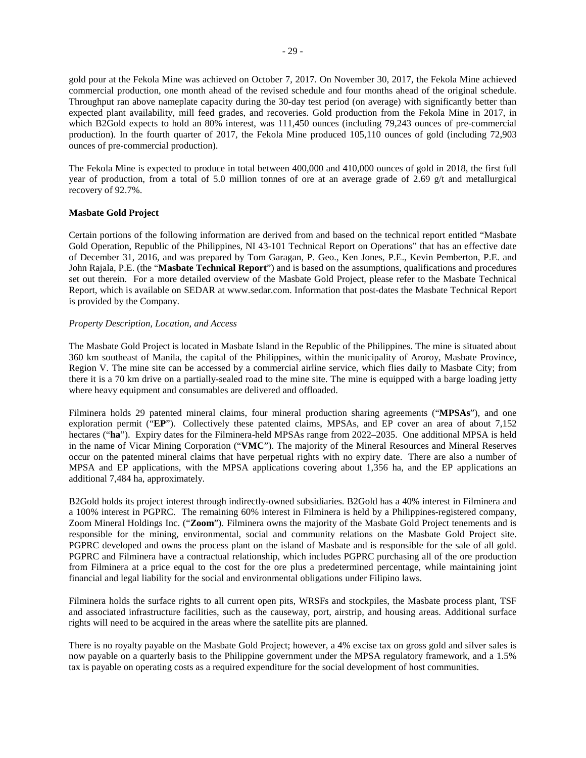gold pour at the Fekola Mine was achieved on October 7, 2017. On November 30, 2017, the Fekola Mine achieved commercial production, one month ahead of the revised schedule and four months ahead of the original schedule. Throughput ran above nameplate capacity during the 30-day test period (on average) with significantly better than expected plant availability, mill feed grades, and recoveries. Gold production from the Fekola Mine in 2017, in which B2Gold expects to hold an 80% interest, was 111,450 ounces (including 79,243 ounces of pre-commercial production). In the fourth quarter of 2017, the Fekola Mine produced 105,110 ounces of gold (including 72,903 ounces of pre-commercial production).

The Fekola Mine is expected to produce in total between 400,000 and 410,000 ounces of gold in 2018, the first full year of production, from a total of 5.0 million tonnes of ore at an average grade of 2.69 g/t and metallurgical recovery of 92.7%.

#### <span id="page-31-0"></span>**Masbate Gold Project**

Certain portions of the following information are derived from and based on the technical report entitled "Masbate Gold Operation, Republic of the Philippines, NI 43-101 Technical Report on Operations" that has an effective date of December 31, 2016, and was prepared by Tom Garagan, P. Geo., Ken Jones, P.E., Kevin Pemberton, P.E. and John Rajala, P.E. (the "**Masbate Technical Report**") and is based on the assumptions, qualifications and procedures set out therein. For a more detailed overview of the Masbate Gold Project, please refer to the Masbate Technical Report, which is available on SEDAR at [www.sedar.com.](http://www.sedar.com/) Information that post-dates the Masbate Technical Report is provided by the Company.

#### *Property Description, Location, and Access*

The Masbate Gold Project is located in Masbate Island in the Republic of the Philippines. The mine is situated about 360 km southeast of Manila, the capital of the Philippines, within the municipality of Aroroy, Masbate Province, Region V. The mine site can be accessed by a commercial airline service, which flies daily to Masbate City; from there it is a 70 km drive on a partially-sealed road to the mine site. The mine is equipped with a barge loading jetty where heavy equipment and consumables are delivered and offloaded.

Filminera holds 29 patented mineral claims, four mineral production sharing agreements ("**MPSAs**"), and one exploration permit ("**EP**"). Collectively these patented claims, MPSAs, and EP cover an area of about 7,152 hectares ("**ha**"). Expiry dates for the Filminera-held MPSAs range from 2022–2035. One additional MPSA is held in the name of Vicar Mining Corporation ("**VMC**"). The majority of the Mineral Resources and Mineral Reserves occur on the patented mineral claims that have perpetual rights with no expiry date. There are also a number of MPSA and EP applications, with the MPSA applications covering about 1,356 ha, and the EP applications an additional 7,484 ha, approximately.

B2Gold holds its project interest through indirectly-owned subsidiaries. B2Gold has a 40% interest in Filminera and a 100% interest in PGPRC. The remaining 60% interest in Filminera is held by a Philippines-registered company, Zoom Mineral Holdings Inc. ("**Zoom**"). Filminera owns the majority of the Masbate Gold Project tenements and is responsible for the mining, environmental, social and community relations on the Masbate Gold Project site. PGPRC developed and owns the process plant on the island of Masbate and is responsible for the sale of all gold. PGPRC and Filminera have a contractual relationship, which includes PGPRC purchasing all of the ore production from Filminera at a price equal to the cost for the ore plus a predetermined percentage, while maintaining joint financial and legal liability for the social and environmental obligations under Filipino laws.

Filminera holds the surface rights to all current open pits, WRSFs and stockpiles, the Masbate process plant, TSF and associated infrastructure facilities, such as the causeway, port, airstrip, and housing areas. Additional surface rights will need to be acquired in the areas where the satellite pits are planned.

There is no royalty payable on the Masbate Gold Project; however, a 4% excise tax on gross gold and silver sales is now payable on a quarterly basis to the Philippine government under the MPSA regulatory framework, and a 1.5% tax is payable on operating costs as a required expenditure for the social development of host communities.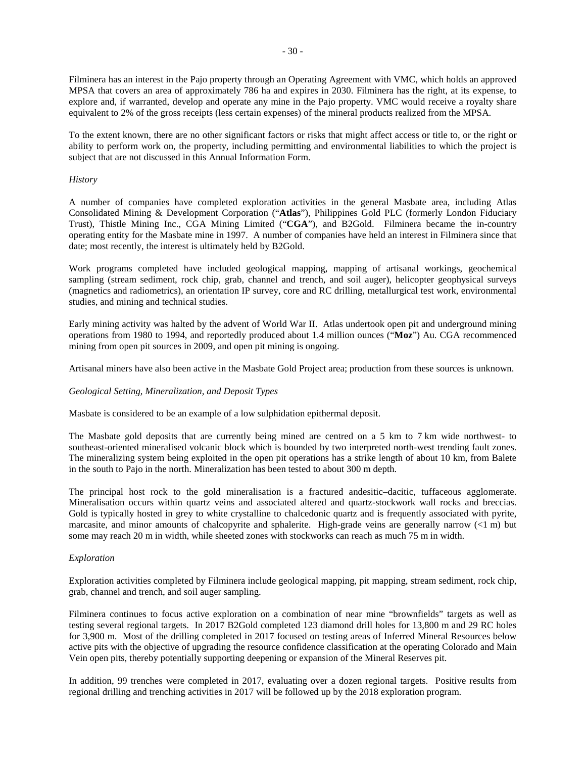Filminera has an interest in the Pajo property through an Operating Agreement with VMC, which holds an approved MPSA that covers an area of approximately 786 ha and expires in 2030. Filminera has the right, at its expense, to explore and, if warranted, develop and operate any mine in the Pajo property. VMC would receive a royalty share equivalent to 2% of the gross receipts (less certain expenses) of the mineral products realized from the MPSA.

To the extent known, there are no other significant factors or risks that might affect access or title to, or the right or ability to perform work on, the property, including permitting and environmental liabilities to which the project is subject that are not discussed in this Annual Information Form.

#### *History*

A number of companies have completed exploration activities in the general Masbate area, including Atlas Consolidated Mining & Development Corporation ("**Atlas**"), Philippines Gold PLC (formerly London Fiduciary Trust), Thistle Mining Inc., CGA Mining Limited ("**CGA**"), and B2Gold. Filminera became the in-country operating entity for the Masbate mine in 1997. A number of companies have held an interest in Filminera since that date; most recently, the interest is ultimately held by B2Gold.

Work programs completed have included geological mapping, mapping of artisanal workings, geochemical sampling (stream sediment, rock chip, grab, channel and trench, and soil auger), helicopter geophysical surveys (magnetics and radiometrics), an orientation IP survey, core and RC drilling, metallurgical test work, environmental studies, and mining and technical studies.

Early mining activity was halted by the advent of World War II. Atlas undertook open pit and underground mining operations from 1980 to 1994, and reportedly produced about 1.4 million ounces ("**Moz**") Au. CGA recommenced mining from open pit sources in 2009, and open pit mining is ongoing.

Artisanal miners have also been active in the Masbate Gold Project area; production from these sources is unknown.

#### *Geological Setting, Mineralization, and Deposit Types*

Masbate is considered to be an example of a low sulphidation epithermal deposit.

The Masbate gold deposits that are currently being mined are centred on a 5 km to 7 km wide northwest- to southeast-oriented mineralised volcanic block which is bounded by two interpreted north-west trending fault zones. The mineralizing system being exploited in the open pit operations has a strike length of about 10 km, from Balete in the south to Pajo in the north. Mineralization has been tested to about 300 m depth.

The principal host rock to the gold mineralisation is a fractured andesitic–dacitic, tuffaceous agglomerate. Mineralisation occurs within quartz veins and associated altered and quartz-stockwork wall rocks and breccias. Gold is typically hosted in grey to white crystalline to chalcedonic quartz and is frequently associated with pyrite, marcasite, and minor amounts of chalcopyrite and sphalerite. High-grade veins are generally narrow (<1 m) but some may reach 20 m in width, while sheeted zones with stockworks can reach as much 75 m in width.

#### *Exploration*

Exploration activities completed by Filminera include geological mapping, pit mapping, stream sediment, rock chip, grab, channel and trench, and soil auger sampling.

Filminera continues to focus active exploration on a combination of near mine "brownfields" targets as well as testing several regional targets. In 2017 B2Gold completed 123 diamond drill holes for 13,800 m and 29 RC holes for 3,900 m. Most of the drilling completed in 2017 focused on testing areas of Inferred Mineral Resources below active pits with the objective of upgrading the resource confidence classification at the operating Colorado and Main Vein open pits, thereby potentially supporting deepening or expansion of the Mineral Reserves pit.

In addition, 99 trenches were completed in 2017, evaluating over a dozen regional targets. Positive results from regional drilling and trenching activities in 2017 will be followed up by the 2018 exploration program.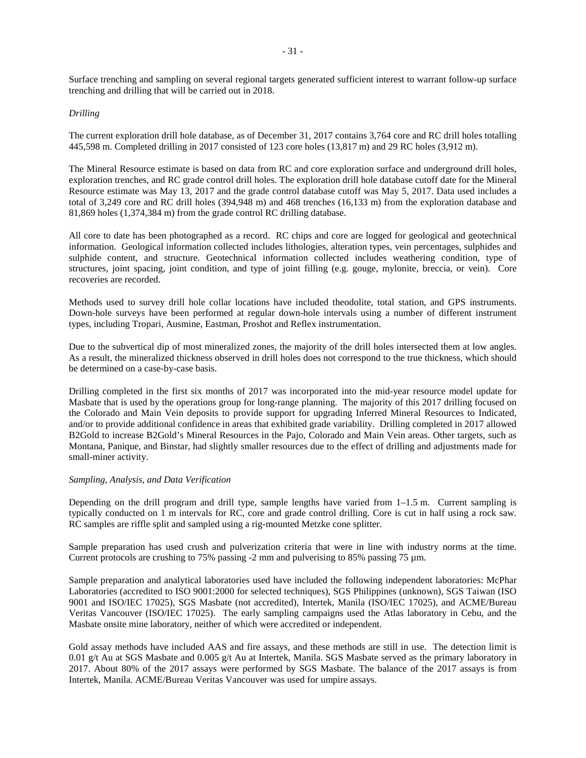Surface trenching and sampling on several regional targets generated sufficient interest to warrant follow-up surface trenching and drilling that will be carried out in 2018.

## *Drilling*

The current exploration drill hole database, as of December 31, 2017 contains 3,764 core and RC drill holes totalling 445,598 m. Completed drilling in 2017 consisted of 123 core holes (13,817 m) and 29 RC holes (3,912 m).

The Mineral Resource estimate is based on data from RC and core exploration surface and underground drill holes, exploration trenches, and RC grade control drill holes. The exploration drill hole database cutoff date for the Mineral Resource estimate was May 13, 2017 and the grade control database cutoff was May 5, 2017. Data used includes a total of 3,249 core and RC drill holes (394,948 m) and 468 trenches (16,133 m) from the exploration database and 81,869 holes (1,374,384 m) from the grade control RC drilling database.

All core to date has been photographed as a record. RC chips and core are logged for geological and geotechnical information. Geological information collected includes lithologies, alteration types, vein percentages, sulphides and sulphide content, and structure. Geotechnical information collected includes weathering condition, type of structures, joint spacing, joint condition, and type of joint filling (e.g. gouge, mylonite, breccia, or vein). Core recoveries are recorded.

Methods used to survey drill hole collar locations have included theodolite, total station, and GPS instruments. Down-hole surveys have been performed at regular down-hole intervals using a number of different instrument types, including Tropari, Ausmine, Eastman, Proshot and Reflex instrumentation.

Due to the subvertical dip of most mineralized zones, the majority of the drill holes intersected them at low angles. As a result, the mineralized thickness observed in drill holes does not correspond to the true thickness, which should be determined on a case-by-case basis.

Drilling completed in the first six months of 2017 was incorporated into the mid-year resource model update for Masbate that is used by the operations group for long-range planning. The majority of this 2017 drilling focused on the Colorado and Main Vein deposits to provide support for upgrading Inferred Mineral Resources to Indicated, and/or to provide additional confidence in areas that exhibited grade variability. Drilling completed in 2017 allowed B2Gold to increase B2Gold's Mineral Resources in the Pajo, Colorado and Main Vein areas. Other targets, such as Montana, Panique, and Binstar, had slightly smaller resources due to the effect of drilling and adjustments made for small-miner activity.

#### *Sampling, Analysis, and Data Verification*

Depending on the drill program and drill type, sample lengths have varied from 1–1.5 m. Current sampling is typically conducted on 1 m intervals for RC, core and grade control drilling. Core is cut in half using a rock saw. RC samples are riffle split and sampled using a rig-mounted Metzke cone splitter.

Sample preparation has used crush and pulverization criteria that were in line with industry norms at the time. Current protocols are crushing to 75% passing -2 mm and pulverising to 85% passing 75 µm.

Sample preparation and analytical laboratories used have included the following independent laboratories: McPhar Laboratories (accredited to ISO 9001:2000 for selected techniques), SGS Philippines (unknown), SGS Taiwan (ISO 9001 and ISO/IEC 17025), SGS Masbate (not accredited), Intertek, Manila (ISO/IEC 17025), and ACME/Bureau Veritas Vancouver (ISO/IEC 17025). The early sampling campaigns used the Atlas laboratory in Cebu, and the Masbate onsite mine laboratory, neither of which were accredited or independent.

Gold assay methods have included AAS and fire assays, and these methods are still in use. The detection limit is 0.01 g/t Au at SGS Masbate and 0.005 g/t Au at Intertek, Manila. SGS Masbate served as the primary laboratory in 2017. About 80% of the 2017 assays were performed by SGS Masbate. The balance of the 2017 assays is from Intertek, Manila. ACME/Bureau Veritas Vancouver was used for umpire assays.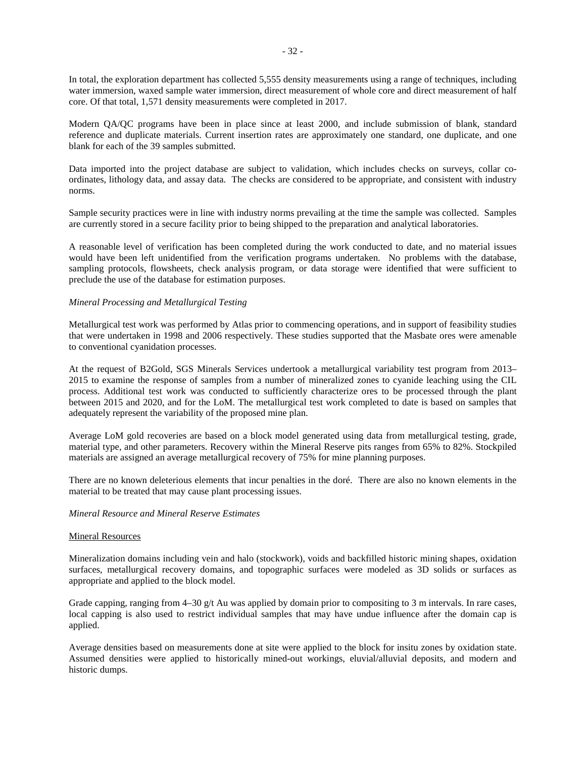In total, the exploration department has collected 5,555 density measurements using a range of techniques, including water immersion, waxed sample water immersion, direct measurement of whole core and direct measurement of half core. Of that total, 1,571 density measurements were completed in 2017.

Modern QA/QC programs have been in place since at least 2000, and include submission of blank, standard reference and duplicate materials. Current insertion rates are approximately one standard, one duplicate, and one blank for each of the 39 samples submitted.

Data imported into the project database are subject to validation, which includes checks on surveys, collar coordinates, lithology data, and assay data. The checks are considered to be appropriate, and consistent with industry norms.

Sample security practices were in line with industry norms prevailing at the time the sample was collected. Samples are currently stored in a secure facility prior to being shipped to the preparation and analytical laboratories.

A reasonable level of verification has been completed during the work conducted to date, and no material issues would have been left unidentified from the verification programs undertaken. No problems with the database, sampling protocols, flowsheets, check analysis program, or data storage were identified that were sufficient to preclude the use of the database for estimation purposes.

#### *Mineral Processing and Metallurgical Testing*

Metallurgical test work was performed by Atlas prior to commencing operations, and in support of feasibility studies that were undertaken in 1998 and 2006 respectively. These studies supported that the Masbate ores were amenable to conventional cyanidation processes.

At the request of B2Gold, SGS Minerals Services undertook a metallurgical variability test program from 2013– 2015 to examine the response of samples from a number of mineralized zones to cyanide leaching using the CIL process. Additional test work was conducted to sufficiently characterize ores to be processed through the plant between 2015 and 2020, and for the LoM. The metallurgical test work completed to date is based on samples that adequately represent the variability of the proposed mine plan.

Average LoM gold recoveries are based on a block model generated using data from metallurgical testing, grade, material type, and other parameters. Recovery within the Mineral Reserve pits ranges from 65% to 82%. Stockpiled materials are assigned an average metallurgical recovery of 75% for mine planning purposes.

There are no known deleterious elements that incur penalties in the doré. There are also no known elements in the material to be treated that may cause plant processing issues.

#### *Mineral Resource and Mineral Reserve Estimates*

#### Mineral Resources

Mineralization domains including vein and halo (stockwork), voids and backfilled historic mining shapes, oxidation surfaces, metallurgical recovery domains, and topographic surfaces were modeled as 3D solids or surfaces as appropriate and applied to the block model.

Grade capping, ranging from 4–30 g/t Au was applied by domain prior to compositing to 3 m intervals. In rare cases, local capping is also used to restrict individual samples that may have undue influence after the domain cap is applied.

Average densities based on measurements done at site were applied to the block for insitu zones by oxidation state. Assumed densities were applied to historically mined-out workings, eluvial/alluvial deposits, and modern and historic dumps.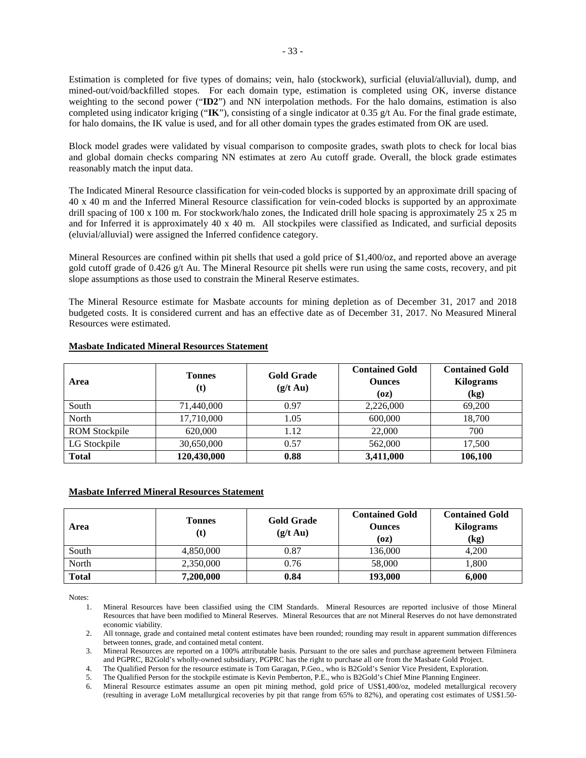Estimation is completed for five types of domains; vein, halo (stockwork), surficial (eluvial/alluvial), dump, and mined-out/void/backfilled stopes. For each domain type, estimation is completed using OK, inverse distance weighting to the second power ("**ID2**") and NN interpolation methods. For the halo domains, estimation is also completed using indicator kriging ("**IK**"), consisting of a single indicator at 0.35 g/t Au. For the final grade estimate, for halo domains, the IK value is used, and for all other domain types the grades estimated from OK are used.

Block model grades were validated by visual comparison to composite grades, swath plots to check for local bias and global domain checks comparing NN estimates at zero Au cutoff grade. Overall, the block grade estimates reasonably match the input data.

The Indicated Mineral Resource classification for vein-coded blocks is supported by an approximate drill spacing of 40 x 40 m and the Inferred Mineral Resource classification for vein-coded blocks is supported by an approximate drill spacing of 100 x 100 m. For stockwork/halo zones, the Indicated drill hole spacing is approximately 25 x 25 m and for Inferred it is approximately 40 x 40 m. All stockpiles were classified as Indicated, and surficial deposits (eluvial/alluvial) were assigned the Inferred confidence category.

Mineral Resources are confined within pit shells that used a gold price of \$1,400/oz, and reported above an average gold cutoff grade of 0.426 g/t Au. The Mineral Resource pit shells were run using the same costs, recovery, and pit slope assumptions as those used to constrain the Mineral Reserve estimates.

The Mineral Resource estimate for Masbate accounts for mining depletion as of December 31, 2017 and 2018 budgeted costs. It is considered current and has an effective date as of December 31, 2017. No Measured Mineral Resources were estimated.

| Area                 | <b>Tonnes</b><br>$\left( \mathbf{t}\right)$ | <b>Gold Grade</b><br>$(g/t \text{ Au})$ | <b>Contained Gold</b><br><b>Ounces</b><br>(oz) | <b>Contained Gold</b><br><b>Kilograms</b><br>(kg) |
|----------------------|---------------------------------------------|-----------------------------------------|------------------------------------------------|---------------------------------------------------|
| South                | 71,440,000                                  | 0.97                                    | 2,226,000                                      | 69.200                                            |
| North                | 17,710,000                                  | 1.05                                    | 600,000                                        | 18.700                                            |
| <b>ROM</b> Stockpile | 620,000                                     | 1.12                                    | 22,000                                         | 700                                               |
| LG Stockpile         | 30,650,000                                  | 0.57                                    | 562,000                                        | 17,500                                            |
| <b>Total</b>         | 120,430,000                                 | 0.88                                    | 3,411,000                                      | 106,100                                           |

# **Masbate Indicated Mineral Resources Statement**

#### **Masbate Inferred Mineral Resources Statement**

| Area         | <b>Tonnes</b><br>$\left( \bf{t} \right)$ | <b>Gold Grade</b><br>$(g/t \text{ Au})$ | <b>Contained Gold</b><br><b>Ounces</b><br>(oz) | <b>Contained Gold</b><br><b>Kilograms</b><br>(kg) |
|--------------|------------------------------------------|-----------------------------------------|------------------------------------------------|---------------------------------------------------|
| South        | 4,850,000                                | 0.87                                    | 136,000                                        | 4,200                                             |
| North        | 2,350,000                                | 0.76                                    | 58,000                                         | 1,800                                             |
| <b>Total</b> | 7,200,000                                | 0.84                                    | 193,000                                        | 6,000                                             |

Notes:

4. The Qualified Person for the resource estimate is Tom Garagan, P.Geo., who is B2Gold's Senior Vice President, Exploration.

5. The Qualified Person for the stockpile estimate is Kevin Pemberton, P.E., who is B2Gold's Chief Mine Planning Engineer.

6. Mineral Resource estimates assume an open pit mining method, gold price of US\$1,400/oz, modeled metallurgical recovery (resulting in average LoM metallurgical recoveries by pit that range from 65% to 82%), and operating cost estimates of US\$1.50-

<sup>1.</sup> Mineral Resources have been classified using the CIM Standards. Mineral Resources are reported inclusive of those Mineral Resources that have been modified to Mineral Reserves. Mineral Resources that are not Mineral Reserves do not have demonstrated economic viability.

<sup>2.</sup> All tonnage, grade and contained metal content estimates have been rounded; rounding may result in apparent summation differences between tonnes, grade, and contained metal content.

<sup>3.</sup> Mineral Resources are reported on a 100% attributable basis. Pursuant to the ore sales and purchase agreement between Filminera and PGPRC, B2Gold's wholly-owned subsidiary, PGPRC has the right to purchase all ore from the Masbate Gold Project.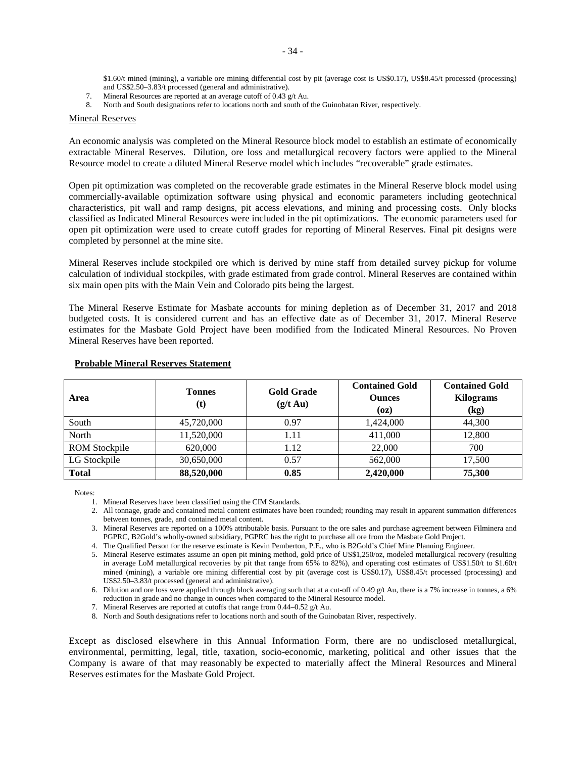\$1.60/t mined (mining), a variable ore mining differential cost by pit (average cost is US\$0.17), US\$8.45/t processed (processing) and US\$2.50–3.83/t processed (general and administrative).

- 7. Mineral Resources are reported at an average cutoff of 0.43 g/t Au.
- 8. North and South designations refer to locations north and south of the Guinobatan River, respectively.

#### Mineral Reserves

An economic analysis was completed on the Mineral Resource block model to establish an estimate of economically extractable Mineral Reserves. Dilution, ore loss and metallurgical recovery factors were applied to the Mineral Resource model to create a diluted Mineral Reserve model which includes "recoverable" grade estimates.

Open pit optimization was completed on the recoverable grade estimates in the Mineral Reserve block model using commercially-available optimization software using physical and economic parameters including geotechnical characteristics, pit wall and ramp designs, pit access elevations, and mining and processing costs. Only blocks classified as Indicated Mineral Resources were included in the pit optimizations. The economic parameters used for open pit optimization were used to create cutoff grades for reporting of Mineral Reserves. Final pit designs were completed by personnel at the mine site.

Mineral Reserves include stockpiled ore which is derived by mine staff from detailed survey pickup for volume calculation of individual stockpiles, with grade estimated from grade control. Mineral Reserves are contained within six main open pits with the Main Vein and Colorado pits being the largest.

The Mineral Reserve Estimate for Masbate accounts for mining depletion as of December 31, 2017 and 2018 budgeted costs. It is considered current and has an effective date as of December 31, 2017. Mineral Reserve estimates for the Masbate Gold Project have been modified from the Indicated Mineral Resources. No Proven Mineral Reserves have been reported.

| Area                 | <b>Tonnes</b><br>(t) | <b>Gold Grade</b><br>$(g/t \text{ Au})$ | <b>Contained Gold</b><br><b>Ounces</b><br>(oz) | <b>Contained Gold</b><br><b>Kilograms</b><br>(kg) |
|----------------------|----------------------|-----------------------------------------|------------------------------------------------|---------------------------------------------------|
| South                | 45,720,000           | 0.97                                    | 1,424,000                                      | 44,300                                            |
| North                | 11,520,000           | 1.11                                    | 411,000                                        | 12,800                                            |
| <b>ROM Stockpile</b> | 620,000              | 1.12                                    | 22,000                                         | 700                                               |
| LG Stockpile         | 30,650,000           | 0.57                                    | 562,000                                        | 17.500                                            |
| <b>Total</b>         | 88,520,000           | 0.85                                    | 2,420,000                                      | 75,300                                            |

#### **Probable Mineral Reserves Statement**

Notes:

1. Mineral Reserves have been classified using the CIM Standards.

- 2. All tonnage, grade and contained metal content estimates have been rounded; rounding may result in apparent summation differences between tonnes, grade, and contained metal content.
- 3. Mineral Reserves are reported on a 100% attributable basis. Pursuant to the ore sales and purchase agreement between Filminera and PGPRC, B2Gold's wholly-owned subsidiary, PGPRC has the right to purchase all ore from the Masbate Gold Project.

4. The Qualified Person for the reserve estimate is Kevin Pemberton, P.E., who is B2Gold's Chief Mine Planning Engineer.

5. Mineral Reserve estimates assume an open pit mining method, gold price of US\$1,250/oz, modeled metallurgical recovery (resulting in average LoM metallurgical recoveries by pit that range from 65% to 82%), and operating cost estimates of US\$1.50/t to \$1.60/t mined (mining), a variable ore mining differential cost by pit (average cost is US\$0.17), US\$8.45/t processed (processing) and US\$2.50–3.83/t processed (general and administrative).

6. Dilution and ore loss were applied through block averaging such that at a cut-off of 0.49 g/t Au, there is a 7% increase in tonnes, a 6% reduction in grade and no change in ounces when compared to the Mineral Resource model.

- 7. Mineral Reserves are reported at cutoffs that range from 0.44–0.52 g/t Au.
- 8. North and South designations refer to locations north and south of the Guinobatan River, respectively.

Except as disclosed elsewhere in this Annual Information Form, there are no undisclosed metallurgical, environmental, permitting, legal, title, taxation, socio-economic, marketing, political and other issues that the Company is aware of that may reasonably be expected to materially affect the Mineral Resources and Mineral Reserves estimates for the Masbate Gold Project.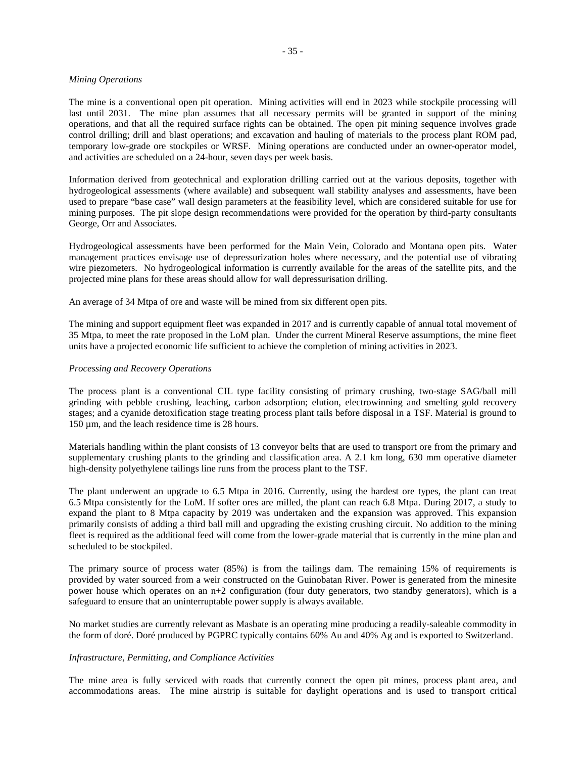#### *Mining Operations*

The mine is a conventional open pit operation. Mining activities will end in 2023 while stockpile processing will last until 2031. The mine plan assumes that all necessary permits will be granted in support of the mining operations, and that all the required surface rights can be obtained. The open pit mining sequence involves grade control drilling; drill and blast operations; and excavation and hauling of materials to the process plant ROM pad, temporary low-grade ore stockpiles or WRSF. Mining operations are conducted under an owner-operator model, and activities are scheduled on a 24-hour, seven days per week basis.

Information derived from geotechnical and exploration drilling carried out at the various deposits, together with hydrogeological assessments (where available) and subsequent wall stability analyses and assessments, have been used to prepare "base case" wall design parameters at the feasibility level, which are considered suitable for use for mining purposes. The pit slope design recommendations were provided for the operation by third-party consultants George, Orr and Associates.

Hydrogeological assessments have been performed for the Main Vein, Colorado and Montana open pits. Water management practices envisage use of depressurization holes where necessary, and the potential use of vibrating wire piezometers. No hydrogeological information is currently available for the areas of the satellite pits, and the projected mine plans for these areas should allow for wall depressurisation drilling.

An average of 34 Mtpa of ore and waste will be mined from six different open pits.

The mining and support equipment fleet was expanded in 2017 and is currently capable of annual total movement of 35 Mtpa, to meet the rate proposed in the LoM plan. Under the current Mineral Reserve assumptions, the mine fleet units have a projected economic life sufficient to achieve the completion of mining activities in 2023.

#### *Processing and Recovery Operations*

The process plant is a conventional CIL type facility consisting of primary crushing, two-stage SAG/ball mill grinding with pebble crushing, leaching, carbon adsorption; elution, electrowinning and smelting gold recovery stages; and a cyanide detoxification stage treating process plant tails before disposal in a TSF. Material is ground to 150 µm, and the leach residence time is 28 hours.

Materials handling within the plant consists of 13 conveyor belts that are used to transport ore from the primary and supplementary crushing plants to the grinding and classification area. A 2.1 km long, 630 mm operative diameter high-density polyethylene tailings line runs from the process plant to the TSF.

The plant underwent an upgrade to 6.5 Mtpa in 2016. Currently, using the hardest ore types, the plant can treat 6.5 Mtpa consistently for the LoM. If softer ores are milled, the plant can reach 6.8 Mtpa. During 2017, a study to expand the plant to 8 Mtpa capacity by 2019 was undertaken and the expansion was approved. This expansion primarily consists of adding a third ball mill and upgrading the existing crushing circuit. No addition to the mining fleet is required as the additional feed will come from the lower-grade material that is currently in the mine plan and scheduled to be stockpiled.

The primary source of process water (85%) is from the tailings dam. The remaining 15% of requirements is provided by water sourced from a weir constructed on the Guinobatan River. Power is generated from the minesite power house which operates on an n+2 configuration (four duty generators, two standby generators), which is a safeguard to ensure that an uninterruptable power supply is always available.

No market studies are currently relevant as Masbate is an operating mine producing a readily-saleable commodity in the form of doré. Doré produced by PGPRC typically contains 60% Au and 40% Ag and is exported to Switzerland.

### *Infrastructure, Permitting, and Compliance Activities*

The mine area is fully serviced with roads that currently connect the open pit mines, process plant area, and accommodations areas. The mine airstrip is suitable for daylight operations and is used to transport critical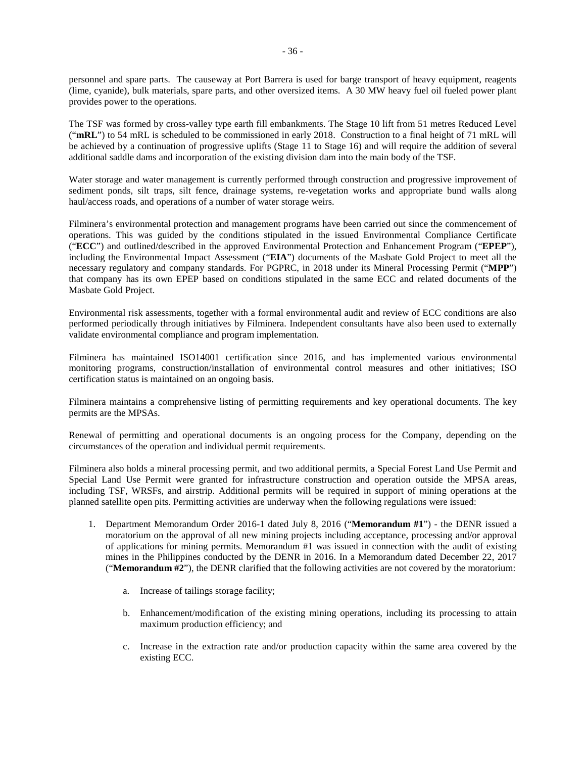personnel and spare parts. The causeway at Port Barrera is used for barge transport of heavy equipment, reagents (lime, cyanide), bulk materials, spare parts, and other oversized items. A 30 MW heavy fuel oil fueled power plant provides power to the operations.

The TSF was formed by cross-valley type earth fill embankments. The Stage 10 lift from 51 metres Reduced Level ("**mRL**") to 54 mRL is scheduled to be commissioned in early 2018. Construction to a final height of 71 mRL will be achieved by a continuation of progressive uplifts (Stage 11 to Stage 16) and will require the addition of several additional saddle dams and incorporation of the existing division dam into the main body of the TSF.

Water storage and water management is currently performed through construction and progressive improvement of sediment ponds, silt traps, silt fence, drainage systems, re-vegetation works and appropriate bund walls along haul/access roads, and operations of a number of water storage weirs.

Filminera's environmental protection and management programs have been carried out since the commencement of operations. This was guided by the conditions stipulated in the issued Environmental Compliance Certificate ("**ECC**") and outlined/described in the approved Environmental Protection and Enhancement Program ("**EPEP**"), including the Environmental Impact Assessment ("**EIA**") documents of the Masbate Gold Project to meet all the necessary regulatory and company standards. For PGPRC, in 2018 under its Mineral Processing Permit ("**MPP**") that company has its own EPEP based on conditions stipulated in the same ECC and related documents of the Masbate Gold Project.

Environmental risk assessments, together with a formal environmental audit and review of ECC conditions are also performed periodically through initiatives by Filminera. Independent consultants have also been used to externally validate environmental compliance and program implementation.

Filminera has maintained ISO14001 certification since 2016, and has implemented various environmental monitoring programs, construction/installation of environmental control measures and other initiatives; ISO certification status is maintained on an ongoing basis.

Filminera maintains a comprehensive listing of permitting requirements and key operational documents. The key permits are the MPSAs.

Renewal of permitting and operational documents is an ongoing process for the Company, depending on the circumstances of the operation and individual permit requirements.

Filminera also holds a mineral processing permit, and two additional permits, a Special Forest Land Use Permit and Special Land Use Permit were granted for infrastructure construction and operation outside the MPSA areas, including TSF, WRSFs, and airstrip. Additional permits will be required in support of mining operations at the planned satellite open pits. Permitting activities are underway when the following regulations were issued:

- 1. Department Memorandum Order 2016-1 dated July 8, 2016 ("**Memorandum #1**") the DENR issued a moratorium on the approval of all new mining projects including acceptance, processing and/or approval of applications for mining permits. Memorandum #1 was issued in connection with the audit of existing mines in the Philippines conducted by the DENR in 2016. In a Memorandum dated December 22, 2017 ("**Memorandum #2**"), the DENR clarified that the following activities are not covered by the moratorium:
	- a. Increase of tailings storage facility;
	- b. Enhancement/modification of the existing mining operations, including its processing to attain maximum production efficiency; and
	- c. Increase in the extraction rate and/or production capacity within the same area covered by the existing ECC.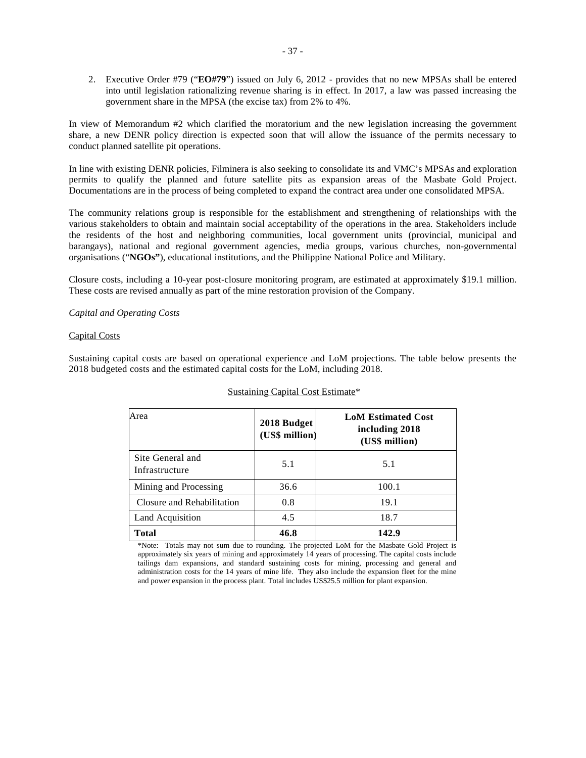2. Executive Order #79 ("**EO#79**") issued on July 6, 2012 - provides that no new MPSAs shall be entered into until legislation rationalizing revenue sharing is in effect. In 2017, a law was passed increasing the government share in the MPSA (the excise tax) from 2% to 4%.

In view of Memorandum #2 which clarified the moratorium and the new legislation increasing the government share, a new DENR policy direction is expected soon that will allow the issuance of the permits necessary to conduct planned satellite pit operations.

In line with existing DENR policies, Filminera is also seeking to consolidate its and VMC's MPSAs and exploration permits to qualify the planned and future satellite pits as expansion areas of the Masbate Gold Project. Documentations are in the process of being completed to expand the contract area under one consolidated MPSA.

The community relations group is responsible for the establishment and strengthening of relationships with the various stakeholders to obtain and maintain social acceptability of the operations in the area. Stakeholders include the residents of the host and neighboring communities, local government units (provincial, municipal and barangays), national and regional government agencies, media groups, various churches, non-governmental organisations ("**NGOs"**), educational institutions, and the Philippine National Police and Military.

Closure costs, including a 10-year post-closure monitoring program, are estimated at approximately \$19.1 million. These costs are revised annually as part of the mine restoration provision of the Company.

## *Capital and Operating Costs*

### Capital Costs

Sustaining capital costs are based on operational experience and LoM projections. The table below presents the 2018 budgeted costs and the estimated capital costs for the LoM, including 2018.

| Area                               | 2018 Budget<br>(US\$ million) | <b>LoM Estimated Cost</b><br>including 2018<br>(US\$ million) |
|------------------------------------|-------------------------------|---------------------------------------------------------------|
| Site General and<br>Infrastructure | 5.1                           | 5.1                                                           |
| Mining and Processing              | 36.6                          | 100.1                                                         |
| Closure and Rehabilitation         | 0.8                           | 19.1                                                          |
| Land Acquisition                   | 4.5                           | 18.7                                                          |
| <b>Total</b>                       | 46.8                          | 142.9                                                         |

#### Sustaining Capital Cost Estimate\*

\*Note: Totals may not sum due to rounding. The projected LoM for the Masbate Gold Project is approximately six years of mining and approximately 14 years of processing. The capital costs include tailings dam expansions, and standard sustaining costs for mining, processing and general and administration costs for the 14 years of mine life. They also include the expansion fleet for the mine and power expansion in the process plant. Total includes US\$25.5 million for plant expansion.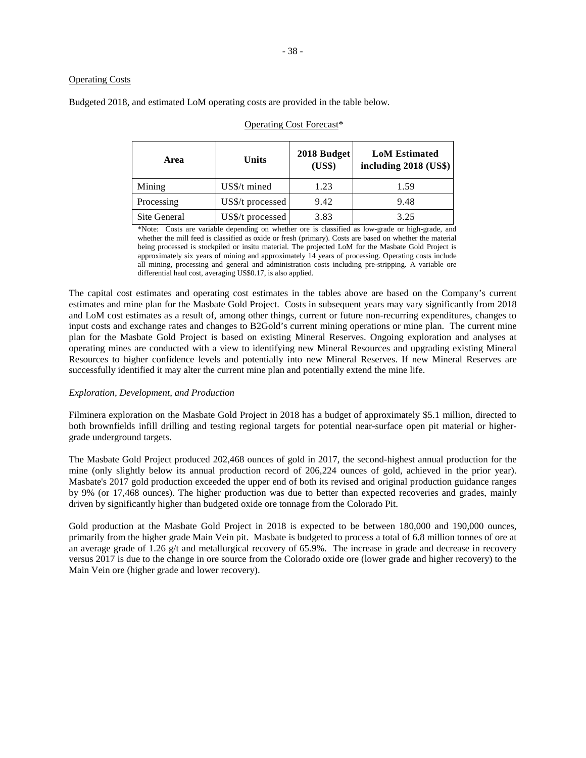- 38 -

## **Operating Costs**

Budgeted 2018, and estimated LoM operating costs are provided in the table below.

| Area         | Units            | 2018 Budget<br>(US\$) | <b>LoM</b> Estimated<br>including 2018 (US\$) |
|--------------|------------------|-----------------------|-----------------------------------------------|
| Mining       | US\$/t mined     | 1.23                  | 1.59                                          |
| Processing   | US\$/t processed | 9.42                  | 9.48                                          |
| Site General | US\$/t processed | 3.83                  | 3.25                                          |

### Operating Cost Forecast\*

\*Note: Costs are variable depending on whether ore is classified as low-grade or high-grade, and whether the mill feed is classified as oxide or fresh (primary). Costs are based on whether the material being processed is stockpiled or insitu material. The projected LoM for the Masbate Gold Project is approximately six years of mining and approximately 14 years of processing. Operating costs include all mining, processing and general and administration costs including pre-stripping. A variable ore differential haul cost, averaging US\$0.17, is also applied.

The capital cost estimates and operating cost estimates in the tables above are based on the Company's current estimates and mine plan for the Masbate Gold Project. Costs in subsequent years may vary significantly from 2018 and LoM cost estimates as a result of, among other things, current or future non-recurring expenditures, changes to input costs and exchange rates and changes to B2Gold's current mining operations or mine plan. The current mine plan for the Masbate Gold Project is based on existing Mineral Reserves. Ongoing exploration and analyses at operating mines are conducted with a view to identifying new Mineral Resources and upgrading existing Mineral Resources to higher confidence levels and potentially into new Mineral Reserves. If new Mineral Reserves are successfully identified it may alter the current mine plan and potentially extend the mine life.

# *Exploration, Development, and Production*

Filminera exploration on the Masbate Gold Project in 2018 has a budget of approximately \$5.1 million, directed to both brownfields infill drilling and testing regional targets for potential near-surface open pit material or highergrade underground targets.

The Masbate Gold Project produced 202,468 ounces of gold in 2017, the second-highest annual production for the mine (only slightly below its annual production record of 206,224 ounces of gold, achieved in the prior year). Masbate's 2017 gold production exceeded the upper end of both its revised and original production guidance ranges by 9% (or 17,468 ounces). The higher production was due to better than expected recoveries and grades, mainly driven by significantly higher than budgeted oxide ore tonnage from the Colorado Pit.

Gold production at the Masbate Gold Project in 2018 is expected to be between 180,000 and 190,000 ounces, primarily from the higher grade Main Vein pit. Masbate is budgeted to process a total of 6.8 million tonnes of ore at an average grade of 1.26 g/t and metallurgical recovery of 65.9%. The increase in grade and decrease in recovery versus 2017 is due to the change in ore source from the Colorado oxide ore (lower grade and higher recovery) to the Main Vein ore (higher grade and lower recovery).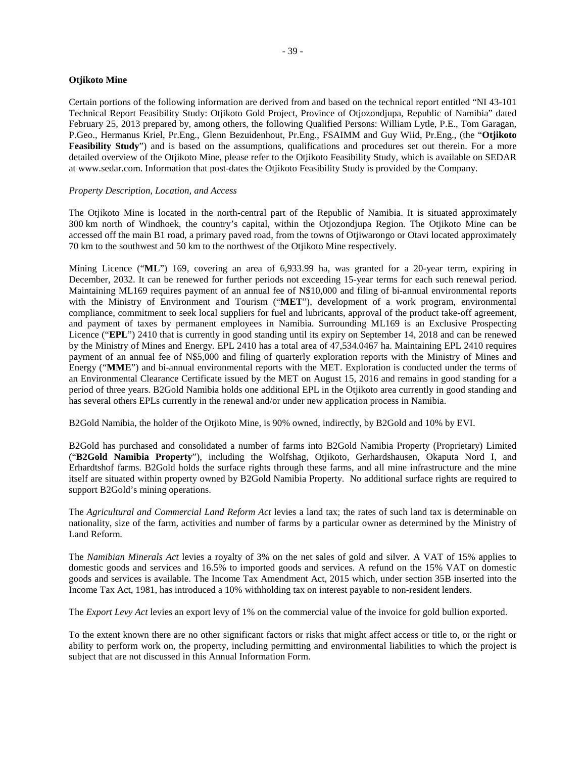### **Otjikoto Mine**

Certain portions of the following information are derived from and based on the technical report entitled "NI 43-101 Technical Report Feasibility Study: Otjikoto Gold Project, Province of Otjozondjupa, Republic of Namibia" dated February 25, 2013 prepared by, among others, the following Qualified Persons: William Lytle, P.E., Tom Garagan, P.Geo., Hermanus Kriel, Pr.Eng., Glenn Bezuidenhout, Pr.Eng., FSAIMM and Guy Wiid, Pr.Eng., (the "**Otjikoto Feasibility Study**") and is based on the assumptions, qualifications and procedures set out therein. For a more detailed overview of the Otjikoto Mine, please refer to the Otjikoto Feasibility Study, which is available on SEDAR a[t www.sedar.com.](http://www.sedar.com/) Information that post-dates the Otjikoto Feasibility Study is provided by the Company.

## *Property Description, Location, and Access*

The Otjikoto Mine is located in the north-central part of the Republic of Namibia. It is situated approximately 300 km north of Windhoek, the country's capital, within the Otjozondjupa Region. The Otjikoto Mine can be accessed off the main B1 road, a primary paved road, from the towns of Otjiwarongo or Otavi located approximately 70 km to the southwest and 50 km to the northwest of the Otjikoto Mine respectively.

Mining Licence ("**ML**") 169, covering an area of 6,933.99 ha, was granted for a 20-year term, expiring in December, 2032. It can be renewed for further periods not exceeding 15-year terms for each such renewal period. Maintaining ML169 requires payment of an annual fee of N\$10,000 and filing of bi-annual environmental reports with the Ministry of Environment and Tourism ("**MET**"), development of a work program, environmental compliance, commitment to seek local suppliers for fuel and lubricants, approval of the product take-off agreement, and payment of taxes by permanent employees in Namibia. Surrounding ML169 is an Exclusive Prospecting Licence ("**EPL**") 2410 that is currently in good standing until its expiry on September 14, 2018 and can be renewed by the Ministry of Mines and Energy. EPL 2410 has a total area of 47,534.0467 ha. Maintaining EPL 2410 requires payment of an annual fee of N\$5,000 and filing of quarterly exploration reports with the Ministry of Mines and Energy ("**MME**") and bi-annual environmental reports with the MET. Exploration is conducted under the terms of an Environmental Clearance Certificate issued by the MET on August 15, 2016 and remains in good standing for a period of three years. B2Gold Namibia holds one additional EPL in the Otjikoto area currently in good standing and has several others EPLs currently in the renewal and/or under new application process in Namibia.

B2Gold Namibia, the holder of the Otjikoto Mine, is 90% owned, indirectly, by B2Gold and 10% by EVI.

B2Gold has purchased and consolidated a number of farms into B2Gold Namibia Property (Proprietary) Limited ("**B2Gold Namibia Property**"), including the Wolfshag, Otjikoto, Gerhardshausen, Okaputa Nord I, and Erhardtshof farms. B2Gold holds the surface rights through these farms, and all mine infrastructure and the mine itself are situated within property owned by B2Gold Namibia Property. No additional surface rights are required to support B2Gold's mining operations.

The *Agricultural and Commercial Land Reform Act* levies a land tax; the rates of such land tax is determinable on nationality, size of the farm, activities and number of farms by a particular owner as determined by the Ministry of Land Reform.

The *Namibian Minerals Act* levies a royalty of 3% on the net sales of gold and silver. A VAT of 15% applies to domestic goods and services and 16.5% to imported goods and services. A refund on the 15% VAT on domestic goods and services is available. The Income Tax Amendment Act, 2015 which, under section 35B inserted into the Income Tax Act, 1981, has introduced a 10% withholding tax on interest payable to non-resident lenders.

The *Export Levy Act* levies an export levy of 1% on the commercial value of the invoice for gold bullion exported.

To the extent known there are no other significant factors or risks that might affect access or title to, or the right or ability to perform work on, the property, including permitting and environmental liabilities to which the project is subject that are not discussed in this Annual Information Form.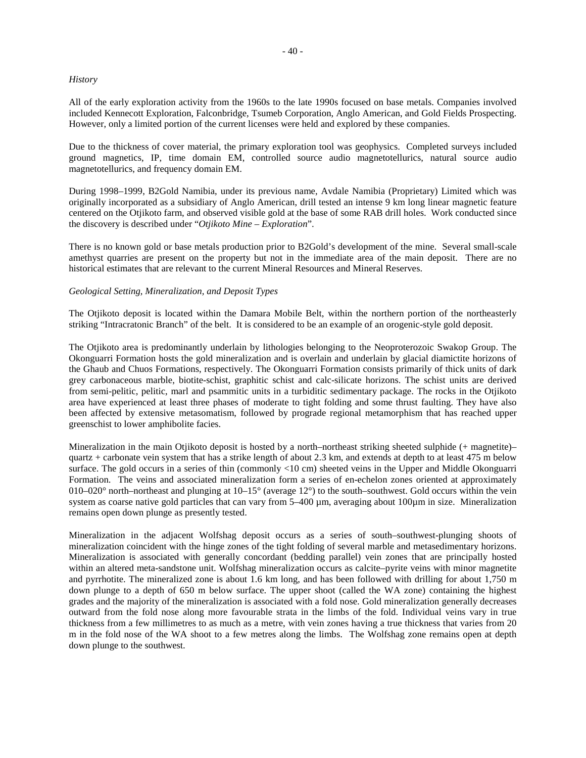#### *History*

All of the early exploration activity from the 1960s to the late 1990s focused on base metals. Companies involved included Kennecott Exploration, Falconbridge, Tsumeb Corporation, Anglo American, and Gold Fields Prospecting. However, only a limited portion of the current licenses were held and explored by these companies.

Due to the thickness of cover material, the primary exploration tool was geophysics. Completed surveys included ground magnetics, IP, time domain EM, controlled source audio magnetotellurics, natural source audio magnetotellurics, and frequency domain EM.

During 1998–1999, B2Gold Namibia, under its previous name, Avdale Namibia (Proprietary) Limited which was originally incorporated as a subsidiary of Anglo American, drill tested an intense 9 km long linear magnetic feature centered on the Otjikoto farm, and observed visible gold at the base of some RAB drill holes. Work conducted since the discovery is described under "*Otjikoto Mine – Exploration*".

There is no known gold or base metals production prior to B2Gold's development of the mine. Several small-scale amethyst quarries are present on the property but not in the immediate area of the main deposit. There are no historical estimates that are relevant to the current Mineral Resources and Mineral Reserves.

#### *Geological Setting, Mineralization, and Deposit Types*

The Otjikoto deposit is located within the Damara Mobile Belt, within the northern portion of the northeasterly striking "Intracratonic Branch" of the belt. It is considered to be an example of an orogenic-style gold deposit.

The Otjikoto area is predominantly underlain by lithologies belonging to the Neoproterozoic Swakop Group. The Okonguarri Formation hosts the gold mineralization and is overlain and underlain by glacial diamictite horizons of the Ghaub and Chuos Formations, respectively. The Okonguarri Formation consists primarily of thick units of dark grey carbonaceous marble, biotite-schist, graphitic schist and calc-silicate horizons. The schist units are derived from semi-pelitic, pelitic, marl and psammitic units in a turbiditic sedimentary package. The rocks in the Otjikoto area have experienced at least three phases of moderate to tight folding and some thrust faulting. They have also been affected by extensive metasomatism, followed by prograde regional metamorphism that has reached upper greenschist to lower amphibolite facies.

Mineralization in the main Otjikoto deposit is hosted by a north–northeast striking sheeted sulphide (+ magnetite)– quartz + carbonate vein system that has a strike length of about 2.3 km, and extends at depth to at least 475 m below surface. The gold occurs in a series of thin (commonly <10 cm) sheeted veins in the Upper and Middle Okonguarri Formation. The veins and associated mineralization form a series of en-echelon zones oriented at approximately 010–020° north–northeast and plunging at 10–15° (average 12°) to the south–southwest. Gold occurs within the vein system as coarse native gold particles that can vary from 5–400 µm, averaging about 100µm in size. Mineralization remains open down plunge as presently tested.

Mineralization in the adjacent Wolfshag deposit occurs as a series of south–southwest-plunging shoots of mineralization coincident with the hinge zones of the tight folding of several marble and metasedimentary horizons. Mineralization is associated with generally concordant (bedding parallel) vein zones that are principally hosted within an altered meta-sandstone unit. Wolfshag mineralization occurs as calcite–pyrite veins with minor magnetite and pyrrhotite. The mineralized zone is about 1.6 km long, and has been followed with drilling for about 1,750 m down plunge to a depth of 650 m below surface. The upper shoot (called the WA zone) containing the highest grades and the majority of the mineralization is associated with a fold nose. Gold mineralization generally decreases outward from the fold nose along more favourable strata in the limbs of the fold. Individual veins vary in true thickness from a few millimetres to as much as a metre, with vein zones having a true thickness that varies from 20 m in the fold nose of the WA shoot to a few metres along the limbs. The Wolfshag zone remains open at depth down plunge to the southwest.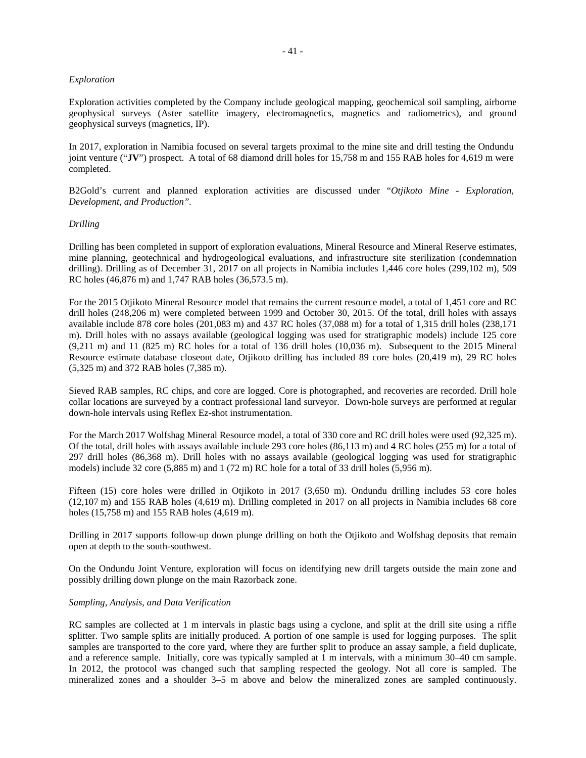## *Exploration*

Exploration activities completed by the Company include geological mapping, geochemical soil sampling, airborne geophysical surveys (Aster satellite imagery, electromagnetics, magnetics and radiometrics), and ground geophysical surveys (magnetics, IP).

In 2017, exploration in Namibia focused on several targets proximal to the mine site and drill testing the Ondundu joint venture ("JV") prospect. A total of 68 diamond drill holes for 15,758 m and 155 RAB holes for 4,619 m were completed.

B2Gold's current and planned exploration activities are discussed under "*Otjikoto Mine - Exploration, Development, and Production".*

#### *Drilling*

Drilling has been completed in support of exploration evaluations, Mineral Resource and Mineral Reserve estimates, mine planning, geotechnical and hydrogeological evaluations, and infrastructure site sterilization (condemnation drilling). Drilling as of December 31, 2017 on all projects in Namibia includes 1,446 core holes (299,102 m), 509 RC holes (46,876 m) and 1,747 RAB holes (36,573.5 m).

For the 2015 Otjikoto Mineral Resource model that remains the current resource model, a total of 1,451 core and RC drill holes (248,206 m) were completed between 1999 and October 30, 2015. Of the total, drill holes with assays available include 878 core holes (201,083 m) and 437 RC holes (37,088 m) for a total of 1,315 drill holes (238,171 m). Drill holes with no assays available (geological logging was used for stratigraphic models) include 125 core (9,211 m) and 11 (825 m) RC holes for a total of 136 drill holes (10,036 m). Subsequent to the 2015 Mineral Resource estimate database closeout date, Otjikoto drilling has included 89 core holes (20,419 m), 29 RC holes (5,325 m) and 372 RAB holes (7,385 m).

Sieved RAB samples, RC chips, and core are logged. Core is photographed, and recoveries are recorded. Drill hole collar locations are surveyed by a contract professional land surveyor. Down-hole surveys are performed at regular down-hole intervals using Reflex Ez-shot instrumentation.

For the March 2017 Wolfshag Mineral Resource model, a total of 330 core and RC drill holes were used (92,325 m). Of the total, drill holes with assays available include 293 core holes (86,113 m) and 4 RC holes (255 m) for a total of 297 drill holes (86,368 m). Drill holes with no assays available (geological logging was used for stratigraphic models) include 32 core (5,885 m) and 1 (72 m) RC hole for a total of 33 drill holes (5,956 m).

Fifteen (15) core holes were drilled in Otjikoto in 2017 (3,650 m). Ondundu drilling includes 53 core holes (12,107 m) and 155 RAB holes (4,619 m). Drilling completed in 2017 on all projects in Namibia includes 68 core holes (15,758 m) and 155 RAB holes (4,619 m).

Drilling in 2017 supports follow-up down plunge drilling on both the Otjikoto and Wolfshag deposits that remain open at depth to the south-southwest.

On the Ondundu Joint Venture, exploration will focus on identifying new drill targets outside the main zone and possibly drilling down plunge on the main Razorback zone.

### *Sampling, Analysis, and Data Verification*

RC samples are collected at 1 m intervals in plastic bags using a cyclone, and split at the drill site using a riffle splitter. Two sample splits are initially produced. A portion of one sample is used for logging purposes. The split samples are transported to the core yard, where they are further split to produce an assay sample, a field duplicate, and a reference sample. Initially, core was typically sampled at 1 m intervals, with a minimum 30–40 cm sample. In 2012, the protocol was changed such that sampling respected the geology. Not all core is sampled. The mineralized zones and a shoulder 3–5 m above and below the mineralized zones are sampled continuously.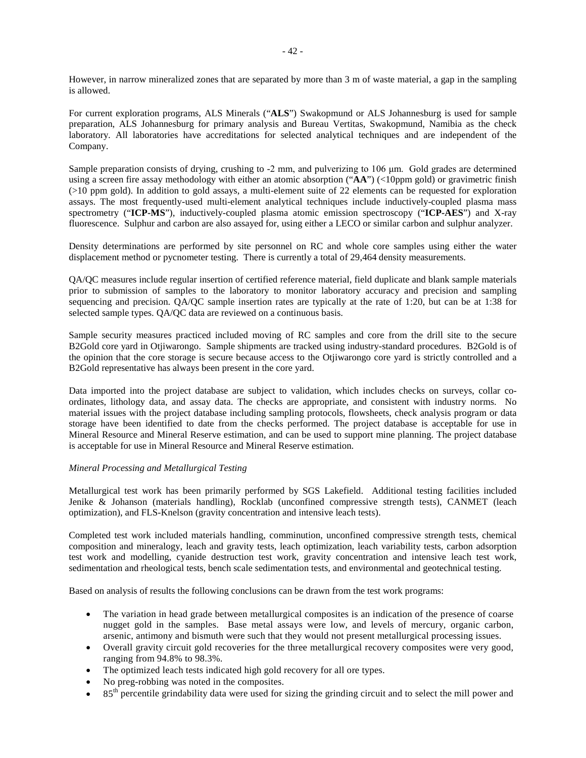However, in narrow mineralized zones that are separated by more than 3 m of waste material, a gap in the sampling is allowed.

For current exploration programs, ALS Minerals ("**ALS**") Swakopmund or ALS Johannesburg is used for sample preparation, ALS Johannesburg for primary analysis and Bureau Vertitas, Swakopmund, Namibia as the check laboratory. All laboratories have accreditations for selected analytical techniques and are independent of the Company.

Sample preparation consists of drying, crushing to -2 mm, and pulverizing to 106 μm. Gold grades are determined using a screen fire assay methodology with either an atomic absorption ("**AA**") (<10ppm gold) or gravimetric finish (>10 ppm gold). In addition to gold assays, a multi-element suite of 22 elements can be requested for exploration assays. The most frequently-used multi-element analytical techniques include inductively-coupled plasma mass spectrometry ("**ICP-MS**"), inductively-coupled plasma atomic emission spectroscopy ("**ICP-AES**") and X-ray fluorescence. Sulphur and carbon are also assayed for, using either a LECO or similar carbon and sulphur analyzer.

Density determinations are performed by site personnel on RC and whole core samples using either the water displacement method or pycnometer testing. There is currently a total of 29,464 density measurements.

QA/QC measures include regular insertion of certified reference material, field duplicate and blank sample materials prior to submission of samples to the laboratory to monitor laboratory accuracy and precision and sampling sequencing and precision. QA/QC sample insertion rates are typically at the rate of 1:20, but can be at 1:38 for selected sample types. QA/QC data are reviewed on a continuous basis.

Sample security measures practiced included moving of RC samples and core from the drill site to the secure B2Gold core yard in Otjiwarongo. Sample shipments are tracked using industry-standard procedures. B2Gold is of the opinion that the core storage is secure because access to the Otjiwarongo core yard is strictly controlled and a B2Gold representative has always been present in the core yard.

Data imported into the project database are subject to validation, which includes checks on surveys, collar coordinates, lithology data, and assay data. The checks are appropriate, and consistent with industry norms. No material issues with the project database including sampling protocols, flowsheets, check analysis program or data storage have been identified to date from the checks performed. The project database is acceptable for use in Mineral Resource and Mineral Reserve estimation, and can be used to support mine planning. The project database is acceptable for use in Mineral Resource and Mineral Reserve estimation.

### *Mineral Processing and Metallurgical Testing*

Metallurgical test work has been primarily performed by SGS Lakefield. Additional testing facilities included Jenike & Johanson (materials handling), Rocklab (unconfined compressive strength tests), CANMET (leach optimization), and FLS-Knelson (gravity concentration and intensive leach tests).

Completed test work included materials handling, comminution, unconfined compressive strength tests, chemical composition and mineralogy, leach and gravity tests, leach optimization, leach variability tests, carbon adsorption test work and modelling, cyanide destruction test work, gravity concentration and intensive leach test work, sedimentation and rheological tests, bench scale sedimentation tests, and environmental and geotechnical testing.

Based on analysis of results the following conclusions can be drawn from the test work programs:

- The variation in head grade between metallurgical composites is an indication of the presence of coarse nugget gold in the samples. Base metal assays were low, and levels of mercury, organic carbon, arsenic, antimony and bismuth were such that they would not present metallurgical processing issues.
- Overall gravity circuit gold recoveries for the three metallurgical recovery composites were very good, ranging from 94.8% to 98.3%.
- The optimized leach tests indicated high gold recovery for all ore types.
- No preg-robbing was noted in the composites.
- $\bullet$  85<sup>th</sup> percentile grindability data were used for sizing the grinding circuit and to select the mill power and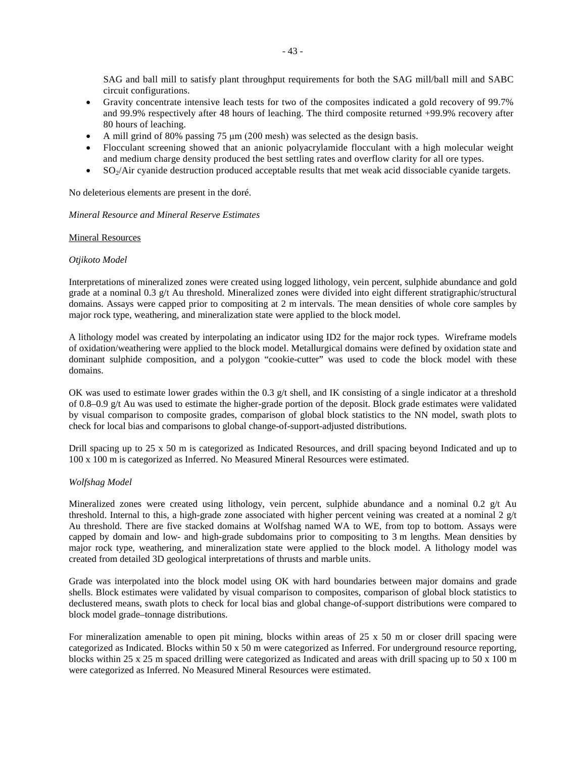SAG and ball mill to satisfy plant throughput requirements for both the SAG mill/ball mill and SABC circuit configurations.

- Gravity concentrate intensive leach tests for two of the composites indicated a gold recovery of 99.7% and 99.9% respectively after 48 hours of leaching. The third composite returned +99.9% recovery after 80 hours of leaching.
- A mill grind of 80% passing 75 μm (200 mesh) was selected as the design basis.
- Flocculant screening showed that an anionic polyacrylamide flocculant with a high molecular weight and medium charge density produced the best settling rates and overflow clarity for all ore types.
- SO<sub>2</sub>/Air cyanide destruction produced acceptable results that met weak acid dissociable cyanide targets.

No deleterious elements are present in the doré.

### *Mineral Resource and Mineral Reserve Estimates*

#### Mineral Resources

#### *Otjikoto Model*

Interpretations of mineralized zones were created using logged lithology, vein percent, sulphide abundance and gold grade at a nominal 0.3 g/t Au threshold. Mineralized zones were divided into eight different stratigraphic/structural domains. Assays were capped prior to compositing at 2 m intervals. The mean densities of whole core samples by major rock type, weathering, and mineralization state were applied to the block model.

A lithology model was created by interpolating an indicator using ID2 for the major rock types. Wireframe models of oxidation/weathering were applied to the block model. Metallurgical domains were defined by oxidation state and dominant sulphide composition, and a polygon "cookie-cutter" was used to code the block model with these domains.

OK was used to estimate lower grades within the 0.3  $g/t$  shell, and IK consisting of a single indicator at a threshold of 0.8–0.9 g/t Au was used to estimate the higher-grade portion of the deposit. Block grade estimates were validated by visual comparison to composite grades, comparison of global block statistics to the NN model, swath plots to check for local bias and comparisons to global change-of-support-adjusted distributions.

Drill spacing up to 25 x 50 m is categorized as Indicated Resources, and drill spacing beyond Indicated and up to 100 x 100 m is categorized as Inferred. No Measured Mineral Resources were estimated.

#### *Wolfshag Model*

Mineralized zones were created using lithology, vein percent, sulphide abundance and a nominal 0.2 g/t Au threshold. Internal to this, a high-grade zone associated with higher percent veining was created at a nominal  $2 \text{ g/t}$ Au threshold. There are five stacked domains at Wolfshag named WA to WE, from top to bottom. Assays were capped by domain and low- and high-grade subdomains prior to compositing to 3 m lengths. Mean densities by major rock type, weathering, and mineralization state were applied to the block model. A lithology model was created from detailed 3D geological interpretations of thrusts and marble units.

Grade was interpolated into the block model using OK with hard boundaries between major domains and grade shells. Block estimates were validated by visual comparison to composites, comparison of global block statistics to declustered means, swath plots to check for local bias and global change-of-support distributions were compared to block model grade–tonnage distributions.

For mineralization amenable to open pit mining, blocks within areas of 25 x 50 m or closer drill spacing were categorized as Indicated. Blocks within 50 x 50 m were categorized as Inferred. For underground resource reporting, blocks within 25 x 25 m spaced drilling were categorized as Indicated and areas with drill spacing up to 50 x 100 m were categorized as Inferred. No Measured Mineral Resources were estimated.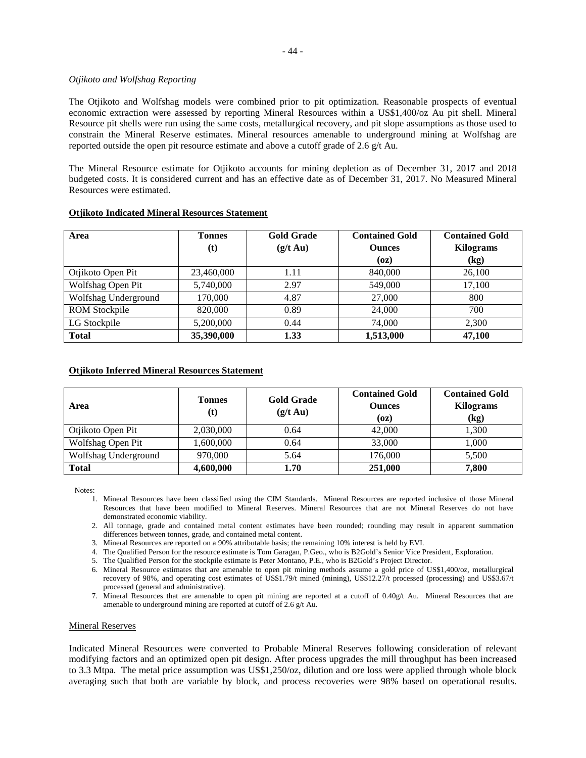### *Otjikoto and Wolfshag Reporting*

The Otjikoto and Wolfshag models were combined prior to pit optimization. Reasonable prospects of eventual economic extraction were assessed by reporting Mineral Resources within a US\$1,400/oz Au pit shell. Mineral Resource pit shells were run using the same costs, metallurgical recovery, and pit slope assumptions as those used to constrain the Mineral Reserve estimates. Mineral resources amenable to underground mining at Wolfshag are reported outside the open pit resource estimate and above a cutoff grade of 2.6 g/t Au.

The Mineral Resource estimate for Otjikoto accounts for mining depletion as of December 31, 2017 and 2018 budgeted costs. It is considered current and has an effective date as of December 31, 2017. No Measured Mineral Resources were estimated.

| Area                 | <b>Tonnes</b><br>(t) | <b>Gold Grade</b><br>$(g/t \text{ Au})$ | <b>Contained Gold</b><br><b>Ounces</b> | <b>Contained Gold</b><br><b>Kilograms</b> |
|----------------------|----------------------|-----------------------------------------|----------------------------------------|-------------------------------------------|
|                      |                      |                                         | (oz)                                   | (kg)                                      |
| Otjikoto Open Pit    | 23,460,000           | 1.11                                    | 840,000                                | 26,100                                    |
| Wolfshag Open Pit    | 5,740,000            | 2.97                                    | 549,000                                | 17,100                                    |
| Wolfshag Underground | 170,000              | 4.87                                    | 27,000                                 | 800                                       |
| <b>ROM Stockpile</b> | 820,000              | 0.89                                    | 24,000                                 | 700                                       |
| LG Stockpile         | 5,200,000            | 0.44                                    | 74,000                                 | 2,300                                     |
| <b>Total</b>         | 35,390,000           | 1.33                                    | 1,513,000                              | 47,100                                    |

### **Otjikoto Indicated Mineral Resources Statement**

### **Otjikoto Inferred Mineral Resources Statement**

| Area                 | <b>Tonnes</b><br>$\left( t\right)$ | <b>Gold Grade</b><br>$(g/t \text{ Au})$ | <b>Contained Gold</b><br><b>Ounces</b><br>(oz) | <b>Contained Gold</b><br><b>Kilograms</b><br>(kg) |
|----------------------|------------------------------------|-----------------------------------------|------------------------------------------------|---------------------------------------------------|
| Otjikoto Open Pit    | 2,030,000                          | 0.64                                    | 42,000                                         | 1,300                                             |
| Wolfshag Open Pit    | ,600,000                           | 0.64                                    | 33,000                                         | 1.000                                             |
| Wolfshag Underground | 970,000                            | 5.64                                    | 176,000                                        | 5,500                                             |
| Total                | 4,600,000                          | 1.70                                    | 251,000                                        | 7,800                                             |

Notes:

1. Mineral Resources have been classified using the CIM Standards. Mineral Resources are reported inclusive of those Mineral Resources that have been modified to Mineral Reserves. Mineral Resources that are not Mineral Reserves do not have demonstrated economic viability.

2. All tonnage, grade and contained metal content estimates have been rounded; rounding may result in apparent summation differences between tonnes, grade, and contained metal content.

3. Mineral Resources are reported on a 90% attributable basis; the remaining 10% interest is held by EVI.

4. The Qualified Person for the resource estimate is Tom Garagan, P.Geo., who is B2Gold's Senior Vice President, Exploration.

5. The Qualified Person for the stockpile estimate is Peter Montano, P.E., who is B2Gold's Project Director.

6. Mineral Resource estimates that are amenable to open pit mining methods assume a gold price of US\$1,400/oz, metallurgical recovery of 98%, and operating cost estimates of US\$1.79/t mined (mining), US\$12.27/t processed (processing) and US\$3.67/t processed (general and administrative).

7. Mineral Resources that are amenable to open pit mining are reported at a cutoff of 0.40g/t Au. Mineral Resources that are amenable to underground mining are reported at cutoff of 2.6 g/t Au.

#### Mineral Reserves

Indicated Mineral Resources were converted to Probable Mineral Reserves following consideration of relevant modifying factors and an optimized open pit design. After process upgrades the mill throughput has been increased to 3.3 Mtpa. The metal price assumption was US\$1,250/oz, dilution and ore loss were applied through whole block averaging such that both are variable by block, and process recoveries were 98% based on operational results.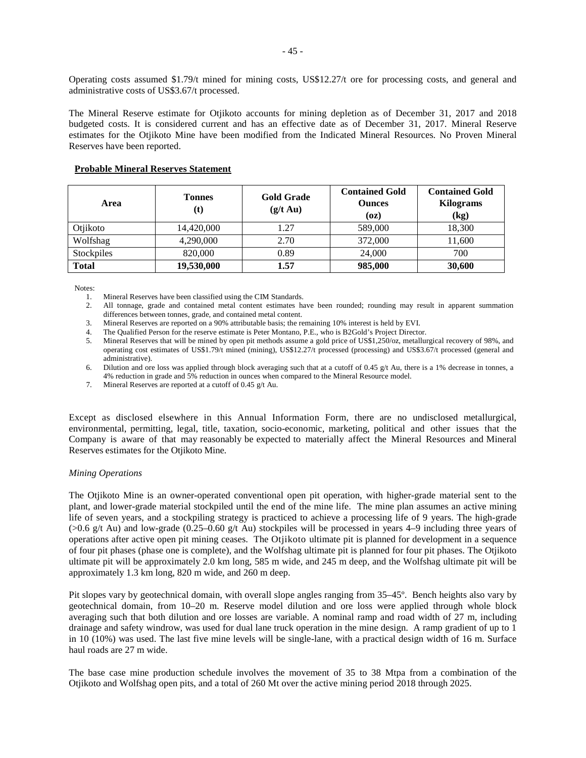Operating costs assumed \$1.79/t mined for mining costs, US\$12.27/t ore for processing costs, and general and administrative costs of US\$3.67/t processed.

The Mineral Reserve estimate for Otjikoto accounts for mining depletion as of December 31, 2017 and 2018 budgeted costs. It is considered current and has an effective date as of December 31, 2017. Mineral Reserve estimates for the Otjikoto Mine have been modified from the Indicated Mineral Resources. No Proven Mineral Reserves have been reported.

| Area         | <b>Tonnes</b><br>$\left( t\right)$ | <b>Gold Grade</b><br>$(g/t \text{ Au})$ | <b>Contained Gold</b><br><b>Ounces</b><br>(oz) | <b>Contained Gold</b><br><b>Kilograms</b><br>(kg) |
|--------------|------------------------------------|-----------------------------------------|------------------------------------------------|---------------------------------------------------|
| Otjikoto     | 14,420,000                         | 1.27                                    | 589,000                                        | 18,300                                            |
| Wolfshag     | 4.290.000                          | 2.70                                    | 372,000                                        | 11.600                                            |
| Stockpiles   | 820,000                            | 0.89                                    | 24,000                                         | 700                                               |
| <b>Total</b> | 19,530,000                         | 1.57                                    | 985,000                                        | 30,600                                            |

#### **Probable Mineral Reserves Statement**

Notes:

- 1. Mineral Reserves have been classified using the CIM Standards.
- 2. All tonnage, grade and contained metal content estimates have been rounded; rounding may result in apparent summation differences between tonnes, grade, and contained metal content.
- 3. Mineral Reserves are reported on a 90% attributable basis; the remaining 10% interest is held by EVI.
- 4. The Qualified Person for the reserve estimate is Peter Montano, P.E., who is B2Gold's Project Director.
- 5. Mineral Reserves that will be mined by open pit methods assume a gold price of US\$1,250/oz, metallurgical recovery of 98%, and operating cost estimates of US\$1.79/t mined (mining), US\$12.27/t processed (processing) and US\$3.67/t processed (general and administrative).
- 6. Dilution and ore loss was applied through block averaging such that at a cutoff of 0.45 g/t Au, there is a 1% decrease in tonnes, a 4% reduction in grade and 5% reduction in ounces when compared to the Mineral Resource model.
- 7. Mineral Reserves are reported at a cutoff of 0.45 g/t Au.

Except as disclosed elsewhere in this Annual Information Form, there are no undisclosed metallurgical, environmental, permitting, legal, title, taxation, socio-economic, marketing, political and other issues that the Company is aware of that may reasonably be expected to materially affect the Mineral Resources and Mineral Reserves estimates for the Otjikoto Mine.

#### *Mining Operations*

The Otjikoto Mine is an owner-operated conventional open pit operation, with higher-grade material sent to the plant, and lower-grade material stockpiled until the end of the mine life. The mine plan assumes an active mining life of seven years, and a stockpiling strategy is practiced to achieve a processing life of 9 years. The high-grade  $(>0.6 \text{ g/t}$  Au) and low-grade  $(0.25-0.60 \text{ g/t}$  Au) stockpiles will be processed in years 4–9 including three years of operations after active open pit mining ceases. The Otjikoto ultimate pit is planned for development in a sequence of four pit phases (phase one is complete), and the Wolfshag ultimate pit is planned for four pit phases. The Otjikoto ultimate pit will be approximately 2.0 km long, 585 m wide, and 245 m deep, and the Wolfshag ultimate pit will be approximately 1.3 km long, 820 m wide, and 260 m deep.

Pit slopes vary by geotechnical domain, with overall slope angles ranging from 35–45º. Bench heights also vary by geotechnical domain, from 10–20 m. Reserve model dilution and ore loss were applied through whole block averaging such that both dilution and ore losses are variable. A nominal ramp and road width of 27 m, including drainage and safety windrow, was used for dual lane truck operation in the mine design. A ramp gradient of up to 1 in 10 (10%) was used. The last five mine levels will be single-lane, with a practical design width of 16 m. Surface haul roads are 27 m wide.

The base case mine production schedule involves the movement of 35 to 38 Mtpa from a combination of the Otjikoto and Wolfshag open pits, and a total of 260 Mt over the active mining period 2018 through 2025.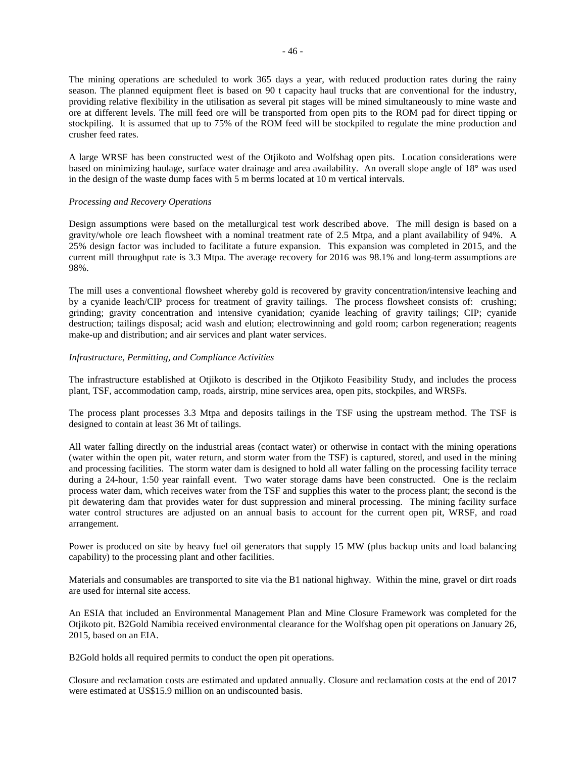The mining operations are scheduled to work 365 days a year, with reduced production rates during the rainy season. The planned equipment fleet is based on 90 t capacity haul trucks that are conventional for the industry, providing relative flexibility in the utilisation as several pit stages will be mined simultaneously to mine waste and ore at different levels. The mill feed ore will be transported from open pits to the ROM pad for direct tipping or stockpiling. It is assumed that up to 75% of the ROM feed will be stockpiled to regulate the mine production and crusher feed rates.

A large WRSF has been constructed west of the Otjikoto and Wolfshag open pits. Location considerations were based on minimizing haulage, surface water drainage and area availability. An overall slope angle of 18° was used in the design of the waste dump faces with 5 m berms located at 10 m vertical intervals.

### *Processing and Recovery Operations*

Design assumptions were based on the metallurgical test work described above. The mill design is based on a gravity/whole ore leach flowsheet with a nominal treatment rate of 2.5 Mtpa, and a plant availability of 94%. A 25% design factor was included to facilitate a future expansion. This expansion was completed in 2015, and the current mill throughput rate is 3.3 Mtpa. The average recovery for 2016 was 98.1% and long-term assumptions are 98%.

The mill uses a conventional flowsheet whereby gold is recovered by gravity concentration/intensive leaching and by a cyanide leach/CIP process for treatment of gravity tailings. The process flowsheet consists of: crushing; grinding; gravity concentration and intensive cyanidation; cyanide leaching of gravity tailings; CIP; cyanide destruction; tailings disposal; acid wash and elution; electrowinning and gold room; carbon regeneration; reagents make-up and distribution; and air services and plant water services.

### *Infrastructure, Permitting, and Compliance Activities*

The infrastructure established at Otjikoto is described in the Otjikoto Feasibility Study, and includes the process plant, TSF, accommodation camp, roads, airstrip, mine services area, open pits, stockpiles, and WRSFs.

The process plant processes 3.3 Mtpa and deposits tailings in the TSF using the upstream method. The TSF is designed to contain at least 36 Mt of tailings.

All water falling directly on the industrial areas (contact water) or otherwise in contact with the mining operations (water within the open pit, water return, and storm water from the TSF) is captured, stored, and used in the mining and processing facilities. The storm water dam is designed to hold all water falling on the processing facility terrace during a 24-hour, 1:50 year rainfall event. Two water storage dams have been constructed. One is the reclaim process water dam, which receives water from the TSF and supplies this water to the process plant; the second is the pit dewatering dam that provides water for dust suppression and mineral processing. The mining facility surface water control structures are adjusted on an annual basis to account for the current open pit, WRSF, and road arrangement.

Power is produced on site by heavy fuel oil generators that supply 15 MW (plus backup units and load balancing capability) to the processing plant and other facilities.

Materials and consumables are transported to site via the B1 national highway. Within the mine, gravel or dirt roads are used for internal site access.

An ESIA that included an Environmental Management Plan and Mine Closure Framework was completed for the Otjikoto pit. B2Gold Namibia received environmental clearance for the Wolfshag open pit operations on January 26, 2015, based on an EIA.

B2Gold holds all required permits to conduct the open pit operations.

Closure and reclamation costs are estimated and updated annually. Closure and reclamation costs at the end of 2017 were estimated at US\$15.9 million on an undiscounted basis.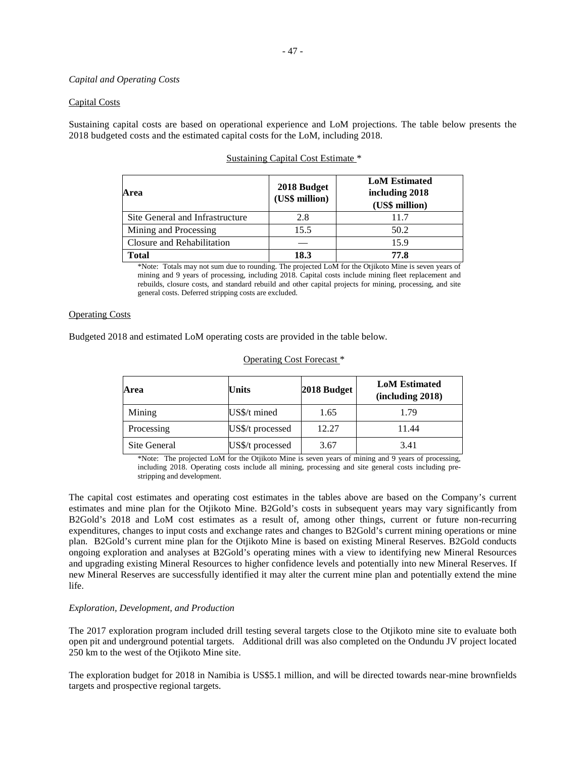# *Capital and Operating Costs*

#### Capital Costs

Sustaining capital costs are based on operational experience and LoM projections. The table below presents the 2018 budgeted costs and the estimated capital costs for the LoM, including 2018.

|--|

| Area                            | 2018 Budget<br>(US\$ million) | <b>LoM</b> Estimated<br>including 2018<br>(US\$ million) |
|---------------------------------|-------------------------------|----------------------------------------------------------|
| Site General and Infrastructure | 2.8                           | 11.7                                                     |
| Mining and Processing           | 15.5                          | 50.2                                                     |
| Closure and Rehabilitation      |                               | 15.9                                                     |
| <b>Total</b>                    | 18.3                          | 77.8                                                     |

\*Note: Totals may not sum due to rounding. The projected LoM for the Otjikoto Mine is seven years of mining and 9 years of processing, including 2018. Capital costs include mining fleet replacement and rebuilds, closure costs, and standard rebuild and other capital projects for mining, processing, and site general costs. Deferred stripping costs are excluded.

#### **Operating Costs**

Budgeted 2018 and estimated LoM operating costs are provided in the table below.

### Operating Cost Forecast \*

| Area         | Units            | 2018 Budget | <b>LoM</b> Estimated<br>(including 2018) |
|--------------|------------------|-------------|------------------------------------------|
| Mining       | US\$/t mined     | 1.65        | 1.79                                     |
| Processing   | US\$/t processed | 12.27       | 11.44                                    |
| Site General | US\$/t processed | 3.67        | 3.41                                     |

\*Note: The projected LoM for the Otjikoto Mine is seven years of mining and 9 years of processing, including 2018. Operating costs include all mining, processing and site general costs including prestripping and development.

The capital cost estimates and operating cost estimates in the tables above are based on the Company's current estimates and mine plan for the Otjikoto Mine. B2Gold's costs in subsequent years may vary significantly from B2Gold's 2018 and LoM cost estimates as a result of, among other things, current or future non-recurring expenditures, changes to input costs and exchange rates and changes to B2Gold's current mining operations or mine plan. B2Gold's current mine plan for the Otjikoto Mine is based on existing Mineral Reserves. B2Gold conducts ongoing exploration and analyses at B2Gold's operating mines with a view to identifying new Mineral Resources and upgrading existing Mineral Resources to higher confidence levels and potentially into new Mineral Reserves. If new Mineral Reserves are successfully identified it may alter the current mine plan and potentially extend the mine life.

#### *Exploration, Development, and Production*

The 2017 exploration program included drill testing several targets close to the Otjikoto mine site to evaluate both open pit and underground potential targets. Additional drill was also completed on the Ondundu JV project located 250 km to the west of the Otjikoto Mine site.

The exploration budget for 2018 in Namibia is US\$5.1 million, and will be directed towards near-mine brownfields targets and prospective regional targets.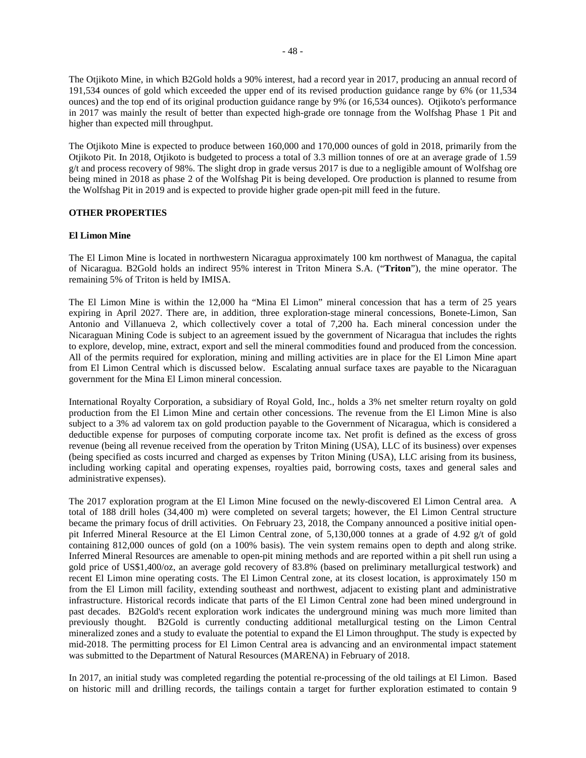The Otjikoto Mine, in which B2Gold holds a 90% interest, had a record year in 2017, producing an annual record of 191,534 ounces of gold which exceeded the upper end of its revised production guidance range by 6% (or 11,534 ounces) and the top end of its original production guidance range by 9% (or 16,534 ounces). Otjikoto's performance in 2017 was mainly the result of better than expected high-grade ore tonnage from the Wolfshag Phase 1 Pit and higher than expected mill throughput.

The Otjikoto Mine is expected to produce between 160,000 and 170,000 ounces of gold in 2018, primarily from the Otjikoto Pit. In 2018, Otjikoto is budgeted to process a total of 3.3 million tonnes of ore at an average grade of 1.59 g/t and process recovery of 98%. The slight drop in grade versus 2017 is due to a negligible amount of Wolfshag ore being mined in 2018 as phase 2 of the Wolfshag Pit is being developed. Ore production is planned to resume from the Wolfshag Pit in 2019 and is expected to provide higher grade open-pit mill feed in the future.

### **OTHER PROPERTIES**

### **El Limon Mine**

The El Limon Mine is located in northwestern Nicaragua approximately 100 km northwest of Managua, the capital of Nicaragua. B2Gold holds an indirect 95% interest in Triton Minera S.A. ("**Triton**"), the mine operator. The remaining 5% of Triton is held by IMISA.

The El Limon Mine is within the 12,000 ha "Mina El Limon" mineral concession that has a term of 25 years expiring in April 2027. There are, in addition, three exploration-stage mineral concessions, Bonete-Limon, San Antonio and Villanueva 2, which collectively cover a total of 7,200 ha. Each mineral concession under the Nicaraguan Mining Code is subject to an agreement issued by the government of Nicaragua that includes the rights to explore, develop, mine, extract, export and sell the mineral commodities found and produced from the concession. All of the permits required for exploration, mining and milling activities are in place for the El Limon Mine apart from El Limon Central which is discussed below. Escalating annual surface taxes are payable to the Nicaraguan government for the Mina El Limon mineral concession.

International Royalty Corporation, a subsidiary of Royal Gold, Inc., holds a 3% net smelter return royalty on gold production from the El Limon Mine and certain other concessions. The revenue from the El Limon Mine is also subject to a 3% ad valorem tax on gold production payable to the Government of Nicaragua, which is considered a deductible expense for purposes of computing corporate income tax. Net profit is defined as the excess of gross revenue (being all revenue received from the operation by Triton Mining (USA), LLC of its business) over expenses (being specified as costs incurred and charged as expenses by Triton Mining (USA), LLC arising from its business, including working capital and operating expenses, royalties paid, borrowing costs, taxes and general sales and administrative expenses).

The 2017 exploration program at the El Limon Mine focused on the newly-discovered El Limon Central area. A total of 188 drill holes (34,400 m) were completed on several targets; however, the El Limon Central structure became the primary focus of drill activities. On February 23, 2018, the Company announced a positive initial openpit Inferred Mineral Resource at the El Limon Central zone, of 5,130,000 tonnes at a grade of 4.92 g/t of gold containing 812,000 ounces of gold (on a 100% basis). The vein system remains open to depth and along strike. Inferred Mineral Resources are amenable to open-pit mining methods and are reported within a pit shell run using a gold price of US\$1,400/oz, an average gold recovery of 83.8% (based on preliminary metallurgical testwork) and recent El Limon mine operating costs. The El Limon Central zone, at its closest location, is approximately 150 m from the El Limon mill facility, extending southeast and northwest, adjacent to existing plant and administrative infrastructure. Historical records indicate that parts of the El Limon Central zone had been mined underground in past decades. B2Gold's recent exploration work indicates the underground mining was much more limited than previously thought. B2Gold is currently conducting additional metallurgical testing on the Limon Central mineralized zones and a study to evaluate the potential to expand the El Limon throughput. The study is expected by mid-2018. The permitting process for El Limon Central area is advancing and an environmental impact statement was submitted to the Department of Natural Resources (MARENA) in February of 2018.

In 2017, an initial study was completed regarding the potential re-processing of the old tailings at El Limon. Based on historic mill and drilling records, the tailings contain a target for further exploration estimated to contain 9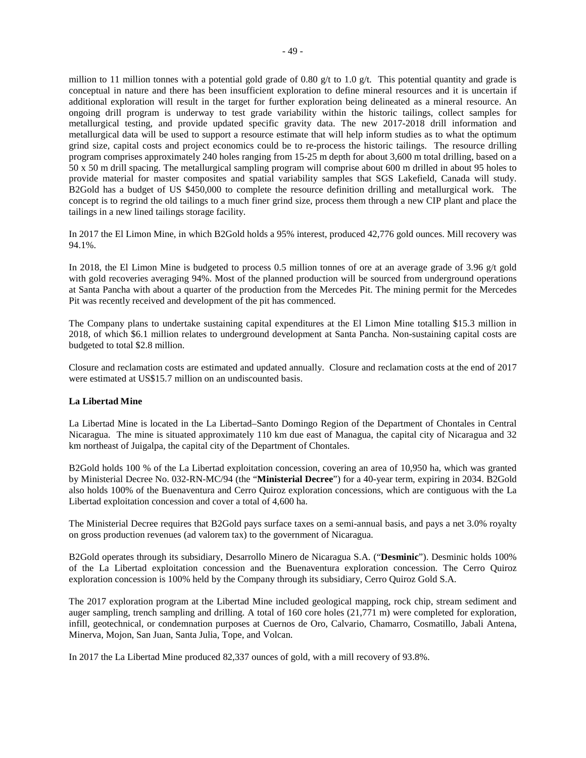million to 11 million tonnes with a potential gold grade of 0.80 g/t to 1.0 g/t. This potential quantity and grade is conceptual in nature and there has been insufficient exploration to define mineral resources and it is uncertain if additional exploration will result in the target for further exploration being delineated as a mineral resource. An ongoing drill program is underway to test grade variability within the historic tailings, collect samples for metallurgical testing, and provide updated specific gravity data. The new 2017-2018 drill information and metallurgical data will be used to support a resource estimate that will help inform studies as to what the optimum grind size, capital costs and project economics could be to re-process the historic tailings. The resource drilling program comprises approximately 240 holes ranging from 15-25 m depth for about 3,600 m total drilling, based on a 50 x 50 m drill spacing. The metallurgical sampling program will comprise about 600 m drilled in about 95 holes to provide material for master composites and spatial variability samples that SGS Lakefield, Canada will study. B2Gold has a budget of US \$450,000 to complete the resource definition drilling and metallurgical work. The concept is to regrind the old tailings to a much finer grind size, process them through a new CIP plant and place the tailings in a new lined tailings storage facility.

In 2017 the El Limon Mine, in which B2Gold holds a 95% interest, produced 42,776 gold ounces. Mill recovery was 94.1%.

In 2018, the El Limon Mine is budgeted to process 0.5 million tonnes of ore at an average grade of 3.96 g/t gold with gold recoveries averaging 94%. Most of the planned production will be sourced from underground operations at Santa Pancha with about a quarter of the production from the Mercedes Pit. The mining permit for the Mercedes Pit was recently received and development of the pit has commenced.

The Company plans to undertake sustaining capital expenditures at the El Limon Mine totalling \$15.3 million in 2018, of which \$6.1 million relates to underground development at Santa Pancha. Non-sustaining capital costs are budgeted to total \$2.8 million.

Closure and reclamation costs are estimated and updated annually. Closure and reclamation costs at the end of 2017 were estimated at US\$15.7 million on an undiscounted basis.

#### **La Libertad Mine**

La Libertad Mine is located in the La Libertad–Santo Domingo Region of the Department of Chontales in Central Nicaragua. The mine is situated approximately 110 km due east of Managua, the capital city of Nicaragua and 32 km northeast of Juigalpa, the capital city of the Department of Chontales.

B2Gold holds 100 % of the La Libertad exploitation concession, covering an area of 10,950 ha, which was granted by Ministerial Decree No. 032-RN-MC/94 (the "**Ministerial Decree**") for a 40-year term, expiring in 2034. B2Gold also holds 100% of the Buenaventura and Cerro Quiroz exploration concessions, which are contiguous with the La Libertad exploitation concession and cover a total of 4,600 ha.

The Ministerial Decree requires that B2Gold pays surface taxes on a semi-annual basis, and pays a net 3.0% royalty on gross production revenues (ad valorem tax) to the government of Nicaragua.

B2Gold operates through its subsidiary, Desarrollo Minero de Nicaragua S.A. ("**Desminic**"). Desminic holds 100% of the La Libertad exploitation concession and the Buenaventura exploration concession. The Cerro Quiroz exploration concession is 100% held by the Company through its subsidiary, Cerro Quiroz Gold S.A.

The 2017 exploration program at the Libertad Mine included geological mapping, rock chip, stream sediment and auger sampling, trench sampling and drilling. A total of 160 core holes (21,771 m) were completed for exploration, infill, geotechnical, or condemnation purposes at Cuernos de Oro, Calvario, Chamarro, Cosmatillo, Jabali Antena, Minerva, Mojon, San Juan, Santa Julia, Tope, and Volcan.

In 2017 the La Libertad Mine produced 82,337 ounces of gold, with a mill recovery of 93.8%.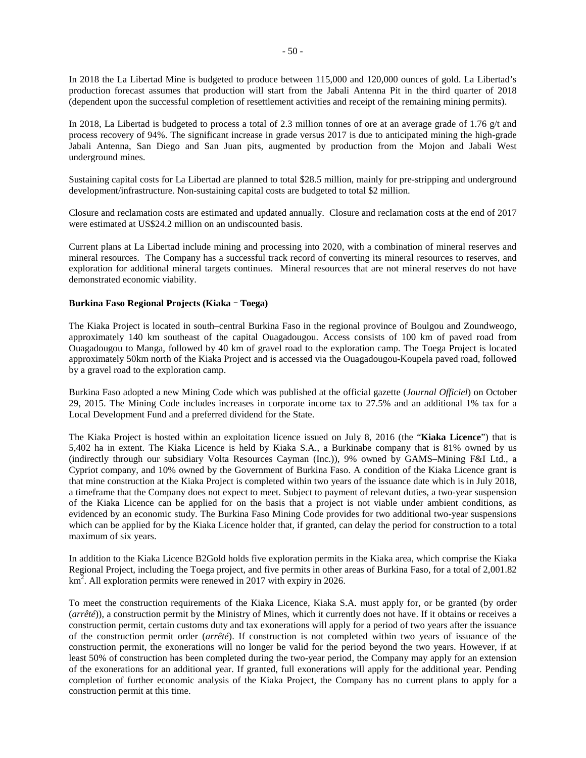In 2018 the La Libertad Mine is budgeted to produce between 115,000 and 120,000 ounces of gold. La Libertad's production forecast assumes that production will start from the Jabali Antenna Pit in the third quarter of 2018 (dependent upon the successful completion of resettlement activities and receipt of the remaining mining permits).

In 2018, La Libertad is budgeted to process a total of 2.3 million tonnes of ore at an average grade of 1.76  $g/t$  and process recovery of 94%. The significant increase in grade versus 2017 is due to anticipated mining the high-grade Jabali Antenna, San Diego and San Juan pits, augmented by production from the Mojon and Jabali West underground mines.

Sustaining capital costs for La Libertad are planned to total \$28.5 million, mainly for pre-stripping and underground development/infrastructure. Non-sustaining capital costs are budgeted to total \$2 million.

Closure and reclamation costs are estimated and updated annually. Closure and reclamation costs at the end of 2017 were estimated at US\$24.2 million on an undiscounted basis.

Current plans at La Libertad include mining and processing into 2020, with a combination of mineral reserves and mineral resources. The Company has a successful track record of converting its mineral resources to reserves, and exploration for additional mineral targets continues. Mineral resources that are not mineral reserves do not have demonstrated economic viability.

### **Burkina Faso Regional Projects (Kiaka**–**Toega)**

The Kiaka Project is located in south–central Burkina Faso in the regional province of Boulgou and Zoundweogo, approximately 140 km southeast of the capital Ouagadougou. Access consists of 100 km of paved road from Ouagadougou to Manga, followed by 40 km of gravel road to the exploration camp. The Toega Project is located approximately 50km north of the Kiaka Project and is accessed via the Ouagadougou-Koupela paved road, followed by a gravel road to the exploration camp.

Burkina Faso adopted a new Mining Code which was published at the official gazette (*Journal Officiel*) on October 29, 2015. The Mining Code includes increases in corporate income tax to 27.5% and an additional 1% tax for a Local Development Fund and a preferred dividend for the State.

The Kiaka Project is hosted within an exploitation licence issued on July 8, 2016 (the "**Kiaka Licence**") that is 5,402 ha in extent. The Kiaka Licence is held by Kiaka S.A., a Burkinabe company that is 81% owned by us (indirectly through our subsidiary Volta Resources Cayman (Inc.)), 9% owned by GAMS–Mining F&I Ltd., a Cypriot company, and 10% owned by the Government of Burkina Faso. A condition of the Kiaka Licence grant is that mine construction at the Kiaka Project is completed within two years of the issuance date which is in July 2018, a timeframe that the Company does not expect to meet. Subject to payment of relevant duties, a two-year suspension of the Kiaka Licence can be applied for on the basis that a project is not viable under ambient conditions, as evidenced by an economic study. The Burkina Faso Mining Code provides for two additional two-year suspensions which can be applied for by the Kiaka Licence holder that, if granted, can delay the period for construction to a total maximum of six years.

In addition to the Kiaka Licence B2Gold holds five exploration permits in the Kiaka area, which comprise the Kiaka Regional Project, including the Toega project, and five permits in other areas of Burkina Faso, for a total of 2,001.82  $km<sup>2</sup>$ . All exploration permits were renewed in 2017 with expiry in 2026.

To meet the construction requirements of the Kiaka Licence, Kiaka S.A. must apply for, or be granted (by order (*arrêté*)), a construction permit by the Ministry of Mines, which it currently does not have. If it obtains or receives a construction permit, certain customs duty and tax exonerations will apply for a period of two years after the issuance of the construction permit order (*arrêté*). If construction is not completed within two years of issuance of the construction permit, the exonerations will no longer be valid for the period beyond the two years. However, if at least 50% of construction has been completed during the two-year period, the Company may apply for an extension of the exonerations for an additional year. If granted, full exonerations will apply for the additional year. Pending completion of further economic analysis of the Kiaka Project, the Company has no current plans to apply for a construction permit at this time.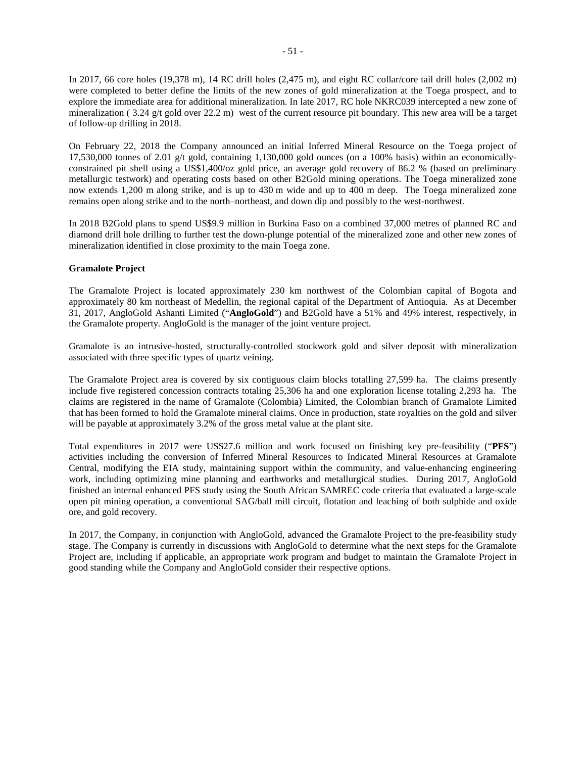In 2017, 66 core holes (19,378 m), 14 RC drill holes (2,475 m), and eight RC collar/core tail drill holes (2,002 m) were completed to better define the limits of the new zones of gold mineralization at the Toega prospect, and to explore the immediate area for additional mineralization. In late 2017, RC hole NKRC039 intercepted a new zone of mineralization (3.24 g/t gold over 22.2 m) west of the current resource pit boundary. This new area will be a target of follow-up drilling in 2018.

On February 22, 2018 the Company announced an initial Inferred Mineral Resource on the Toega project of 17,530,000 tonnes of 2.01 g/t gold, containing 1,130,000 gold ounces (on a 100% basis) within an economicallyconstrained pit shell using a US\$1,400/oz gold price, an average gold recovery of 86.2 % (based on preliminary metallurgic testwork) and operating costs based on other B2Gold mining operations. The Toega mineralized zone now extends 1,200 m along strike, and is up to 430 m wide and up to 400 m deep. The Toega mineralized zone remains open along strike and to the north–northeast, and down dip and possibly to the west-northwest.

In 2018 B2Gold plans to spend US\$9.9 million in Burkina Faso on a combined 37,000 metres of planned RC and diamond drill hole drilling to further test the down-plunge potential of the mineralized zone and other new zones of mineralization identified in close proximity to the main Toega zone.

## **Gramalote Project**

The Gramalote Project is located approximately 230 km northwest of the Colombian capital of Bogota and approximately 80 km northeast of Medellin, the regional capital of the Department of Antioquia. As at December 31, 2017, AngloGold Ashanti Limited ("**AngloGold**") and B2Gold have a 51% and 49% interest, respectively, in the Gramalote property. AngloGold is the manager of the joint venture project.

Gramalote is an intrusive-hosted, structurally-controlled stockwork gold and silver deposit with mineralization associated with three specific types of quartz veining.

The Gramalote Project area is covered by six contiguous claim blocks totalling 27,599 ha. The claims presently include five registered concession contracts totaling 25,306 ha and one exploration license totaling 2,293 ha. The claims are registered in the name of Gramalote (Colombia) Limited, the Colombian branch of Gramalote Limited that has been formed to hold the Gramalote mineral claims. Once in production, state royalties on the gold and silver will be payable at approximately 3.2% of the gross metal value at the plant site.

Total expenditures in 2017 were US\$27.6 million and work focused on finishing key pre-feasibility ("**PFS**") activities including the conversion of Inferred Mineral Resources to Indicated Mineral Resources at Gramalote Central, modifying the EIA study, maintaining support within the community, and value-enhancing engineering work, including optimizing mine planning and earthworks and metallurgical studies. During 2017, AngloGold finished an internal enhanced PFS study using the South African SAMREC code criteria that evaluated a large-scale open pit mining operation, a conventional SAG/ball mill circuit, flotation and leaching of both sulphide and oxide ore, and gold recovery.

In 2017, the Company, in conjunction with AngloGold, advanced the Gramalote Project to the pre-feasibility study stage. The Company is currently in discussions with AngloGold to determine what the next steps for the Gramalote Project are, including if applicable, an appropriate work program and budget to maintain the Gramalote Project in good standing while the Company and AngloGold consider their respective options.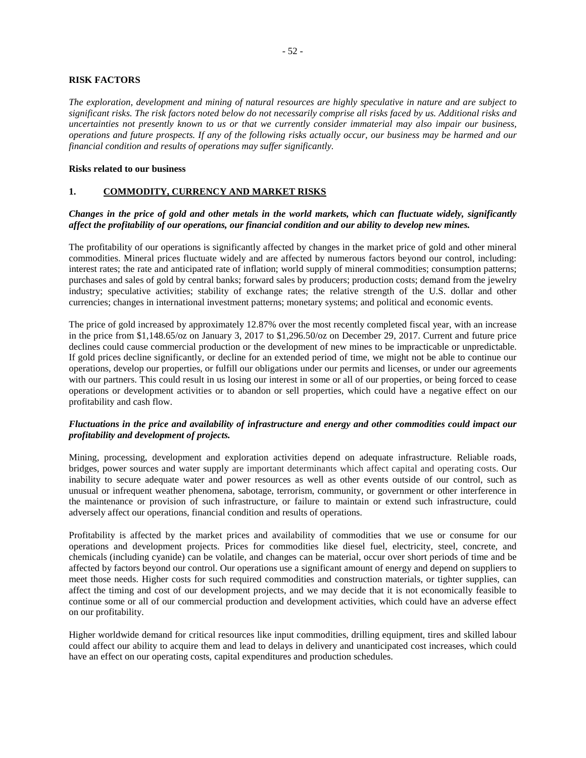#### **RISK FACTORS**

*The exploration, development and mining of natural resources are highly speculative in nature and are subject to significant risks. The risk factors noted below do not necessarily comprise all risks faced by us. Additional risks and uncertainties not presently known to us or that we currently consider immaterial may also impair our business, operations and future prospects. If any of the following risks actually occur, our business may be harmed and our financial condition and results of operations may suffer significantly.* 

#### **Risks related to our business**

## **1. COMMODITY, CURRENCY AND MARKET RISKS**

# *Changes in the price of gold and other metals in the world markets, which can fluctuate widely, significantly affect the profitability of our operations, our financial condition and our ability to develop new mines.*

The profitability of our operations is significantly affected by changes in the market price of gold and other mineral commodities. Mineral prices fluctuate widely and are affected by numerous factors beyond our control, including: interest rates; the rate and anticipated rate of inflation; world supply of mineral commodities; consumption patterns; purchases and sales of gold by central banks; forward sales by producers; production costs; demand from the jewelry industry; speculative activities; stability of exchange rates; the relative strength of the U.S. dollar and other currencies; changes in international investment patterns; monetary systems; and political and economic events.

The price of gold increased by approximately 12.87% over the most recently completed fiscal year, with an increase in the price from \$1,148.65/oz on January 3, 2017 to \$1,296.50/oz on December 29, 2017. Current and future price declines could cause commercial production or the development of new mines to be impracticable or unpredictable. If gold prices decline significantly, or decline for an extended period of time, we might not be able to continue our operations, develop our properties, or fulfill our obligations under our permits and licenses, or under our agreements with our partners. This could result in us losing our interest in some or all of our properties, or being forced to cease operations or development activities or to abandon or sell properties, which could have a negative effect on our profitability and cash flow.

## *Fluctuations in the price and availability of infrastructure and energy and other commodities could impact our profitability and development of projects.*

Mining, processing, development and exploration activities depend on adequate infrastructure. Reliable roads, bridges, power sources and water supply are important determinants which affect capital and operating costs. Our inability to secure adequate water and power resources as well as other events outside of our control, such as unusual or infrequent weather phenomena, sabotage, terrorism, community, or government or other interference in the maintenance or provision of such infrastructure, or failure to maintain or extend such infrastructure, could adversely affect our operations, financial condition and results of operations.

Profitability is affected by the market prices and availability of commodities that we use or consume for our operations and development projects. Prices for commodities like diesel fuel, electricity, steel, concrete, and chemicals (including cyanide) can be volatile, and changes can be material, occur over short periods of time and be affected by factors beyond our control. Our operations use a significant amount of energy and depend on suppliers to meet those needs. Higher costs for such required commodities and construction materials, or tighter supplies, can affect the timing and cost of our development projects, and we may decide that it is not economically feasible to continue some or all of our commercial production and development activities, which could have an adverse effect on our profitability.

Higher worldwide demand for critical resources like input commodities, drilling equipment, tires and skilled labour could affect our ability to acquire them and lead to delays in delivery and unanticipated cost increases, which could have an effect on our operating costs, capital expenditures and production schedules.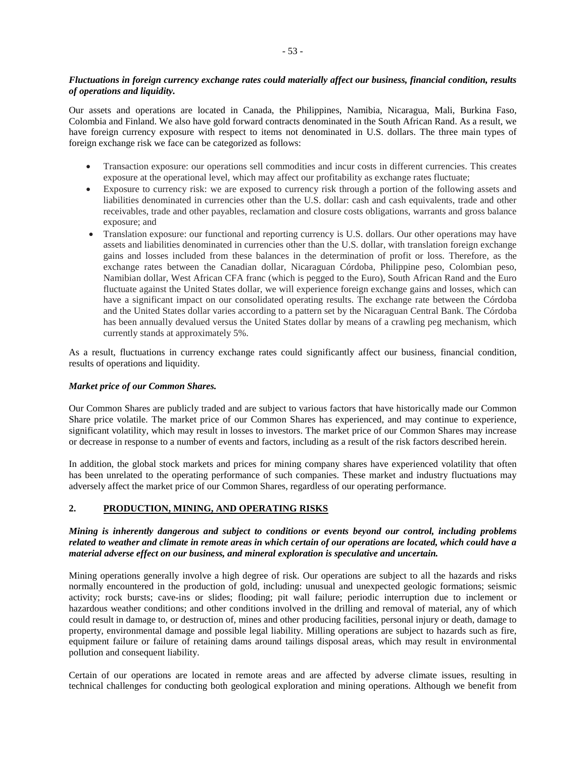# *Fluctuations in foreign currency exchange rates could materially affect our business, financial condition, results of operations and liquidity.*

Our assets and operations are located in Canada, the Philippines, Namibia, Nicaragua, Mali, Burkina Faso, Colombia and Finland. We also have gold forward contracts denominated in the South African Rand. As a result, we have foreign currency exposure with respect to items not denominated in U.S. dollars. The three main types of foreign exchange risk we face can be categorized as follows:

- Transaction exposure: our operations sell commodities and incur costs in different currencies. This creates exposure at the operational level, which may affect our profitability as exchange rates fluctuate;
- Exposure to currency risk: we are exposed to currency risk through a portion of the following assets and liabilities denominated in currencies other than the U.S. dollar: cash and cash equivalents, trade and other receivables, trade and other payables, reclamation and closure costs obligations, warrants and gross balance exposure; and
- Translation exposure: our functional and reporting currency is U.S. dollars. Our other operations may have assets and liabilities denominated in currencies other than the U.S. dollar, with translation foreign exchange gains and losses included from these balances in the determination of profit or loss. Therefore, as the exchange rates between the Canadian dollar, Nicaraguan Córdoba, Philippine peso, Colombian peso, Namibian dollar, West African CFA franc (which is pegged to the Euro), South African Rand and the Euro fluctuate against the United States dollar, we will experience foreign exchange gains and losses, which can have a significant impact on our consolidated operating results. The exchange rate between the Córdoba and the United States dollar varies according to a pattern set by the Nicaraguan Central Bank. The Córdoba has been annually devalued versus the United States dollar by means of a crawling peg mechanism, which currently stands at approximately 5%.

As a result, fluctuations in currency exchange rates could significantly affect our business, financial condition, results of operations and liquidity.

### *Market price of our Common Shares.*

Our Common Shares are publicly traded and are subject to various factors that have historically made our Common Share price volatile. The market price of our Common Shares has experienced, and may continue to experience, significant volatility, which may result in losses to investors. The market price of our Common Shares may increase or decrease in response to a number of events and factors, including as a result of the risk factors described herein.

In addition, the global stock markets and prices for mining company shares have experienced volatility that often has been unrelated to the operating performance of such companies. These market and industry fluctuations may adversely affect the market price of our Common Shares, regardless of our operating performance.

# **2. PRODUCTION, MINING, AND OPERATING RISKS**

# *Mining is inherently dangerous and subject to conditions or events beyond our control, including problems related to weather and climate in remote areas in which certain of our operations are located, which could have a material adverse effect on our business, and mineral exploration is speculative and uncertain.*

Mining operations generally involve a high degree of risk. Our operations are subject to all the hazards and risks normally encountered in the production of gold, including: unusual and unexpected geologic formations; seismic activity; rock bursts; cave-ins or slides; flooding; pit wall failure; periodic interruption due to inclement or hazardous weather conditions; and other conditions involved in the drilling and removal of material, any of which could result in damage to, or destruction of, mines and other producing facilities, personal injury or death, damage to property, environmental damage and possible legal liability. Milling operations are subject to hazards such as fire, equipment failure or failure of retaining dams around tailings disposal areas, which may result in environmental pollution and consequent liability.

Certain of our operations are located in remote areas and are affected by adverse climate issues, resulting in technical challenges for conducting both geological exploration and mining operations. Although we benefit from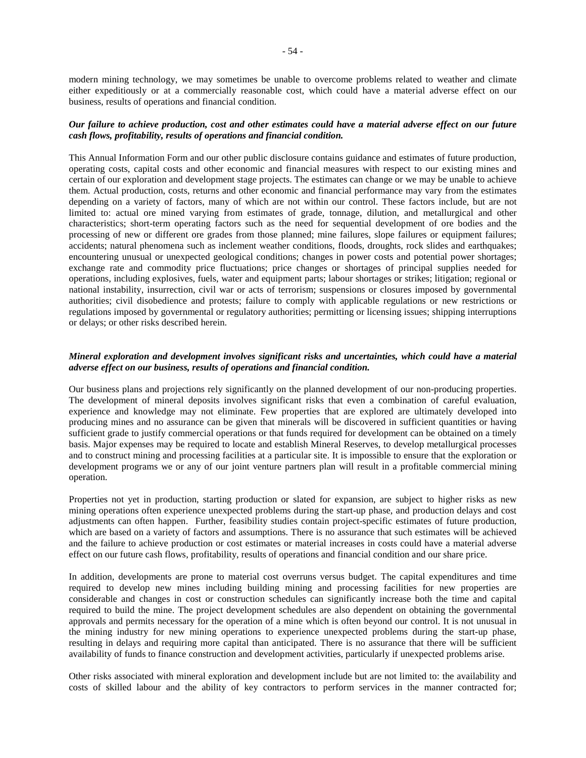modern mining technology, we may sometimes be unable to overcome problems related to weather and climate either expeditiously or at a commercially reasonable cost, which could have a material adverse effect on our business, results of operations and financial condition.

### *Our failure to achieve production, cost and other estimates could have a material adverse effect on our future cash flows, profitability, results of operations and financial condition.*

This Annual Information Form and our other public disclosure contains guidance and estimates of future production, operating costs, capital costs and other economic and financial measures with respect to our existing mines and certain of our exploration and development stage projects. The estimates can change or we may be unable to achieve them. Actual production, costs, returns and other economic and financial performance may vary from the estimates depending on a variety of factors, many of which are not within our control. These factors include, but are not limited to: actual ore mined varying from estimates of grade, tonnage, dilution, and metallurgical and other characteristics; short-term operating factors such as the need for sequential development of ore bodies and the processing of new or different ore grades from those planned; mine failures, slope failures or equipment failures; accidents; natural phenomena such as inclement weather conditions, floods, droughts, rock slides and earthquakes; encountering unusual or unexpected geological conditions; changes in power costs and potential power shortages; exchange rate and commodity price fluctuations; price changes or shortages of principal supplies needed for operations, including explosives, fuels, water and equipment parts; labour shortages or strikes; litigation; regional or national instability, insurrection, civil war or acts of terrorism; suspensions or closures imposed by governmental authorities; civil disobedience and protests; failure to comply with applicable regulations or new restrictions or regulations imposed by governmental or regulatory authorities; permitting or licensing issues; shipping interruptions or delays; or other risks described herein.

### *Mineral exploration and development involves significant risks and uncertainties, which could have a material adverse effect on our business, results of operations and financial condition.*

Our business plans and projections rely significantly on the planned development of our non-producing properties. The development of mineral deposits involves significant risks that even a combination of careful evaluation, experience and knowledge may not eliminate. Few properties that are explored are ultimately developed into producing mines and no assurance can be given that minerals will be discovered in sufficient quantities or having sufficient grade to justify commercial operations or that funds required for development can be obtained on a timely basis. Major expenses may be required to locate and establish Mineral Reserves, to develop metallurgical processes and to construct mining and processing facilities at a particular site. It is impossible to ensure that the exploration or development programs we or any of our joint venture partners plan will result in a profitable commercial mining operation.

Properties not yet in production, starting production or slated for expansion, are subject to higher risks as new mining operations often experience unexpected problems during the start-up phase, and production delays and cost adjustments can often happen. Further, feasibility studies contain project-specific estimates of future production, which are based on a variety of factors and assumptions. There is no assurance that such estimates will be achieved and the failure to achieve production or cost estimates or material increases in costs could have a material adverse effect on our future cash flows, profitability, results of operations and financial condition and our share price.

In addition, developments are prone to material cost overruns versus budget. The capital expenditures and time required to develop new mines including building mining and processing facilities for new properties are considerable and changes in cost or construction schedules can significantly increase both the time and capital required to build the mine. The project development schedules are also dependent on obtaining the governmental approvals and permits necessary for the operation of a mine which is often beyond our control. It is not unusual in the mining industry for new mining operations to experience unexpected problems during the start-up phase, resulting in delays and requiring more capital than anticipated. There is no assurance that there will be sufficient availability of funds to finance construction and development activities, particularly if unexpected problems arise.

Other risks associated with mineral exploration and development include but are not limited to: the availability and costs of skilled labour and the ability of key contractors to perform services in the manner contracted for;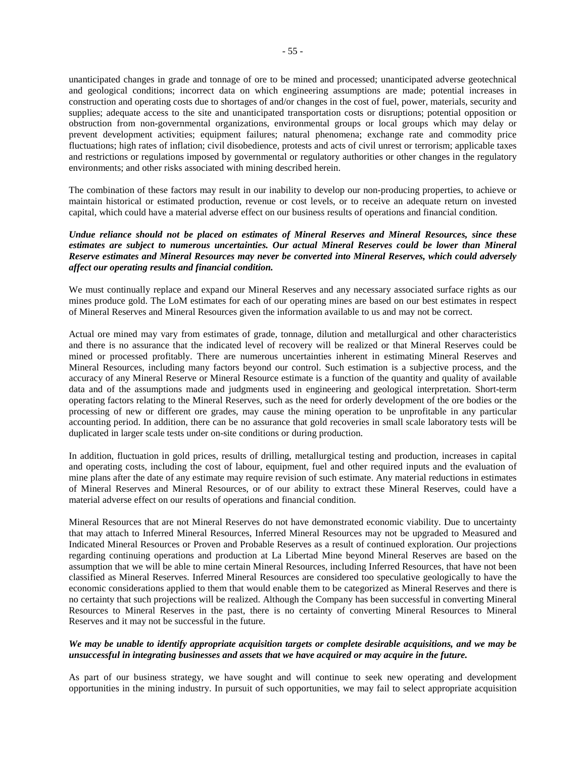unanticipated changes in grade and tonnage of ore to be mined and processed; unanticipated adverse geotechnical and geological conditions; incorrect data on which engineering assumptions are made; potential increases in construction and operating costs due to shortages of and/or changes in the cost of fuel, power, materials, security and supplies; adequate access to the site and unanticipated transportation costs or disruptions; potential opposition or obstruction from non-governmental organizations, environmental groups or local groups which may delay or prevent development activities; equipment failures; natural phenomena; exchange rate and commodity price fluctuations; high rates of inflation; civil disobedience, protests and acts of civil unrest or terrorism; applicable taxes and restrictions or regulations imposed by governmental or regulatory authorities or other changes in the regulatory environments; and other risks associated with mining described herein.

The combination of these factors may result in our inability to develop our non-producing properties, to achieve or maintain historical or estimated production, revenue or cost levels, or to receive an adequate return on invested capital, which could have a material adverse effect on our business results of operations and financial condition.

# *Undue reliance should not be placed on estimates of Mineral Reserves and Mineral Resources, since these estimates are subject to numerous uncertainties. Our actual Mineral Reserves could be lower than Mineral Reserve estimates and Mineral Resources may never be converted into Mineral Reserves, which could adversely affect our operating results and financial condition.*

We must continually replace and expand our Mineral Reserves and any necessary associated surface rights as our mines produce gold. The LoM estimates for each of our operating mines are based on our best estimates in respect of Mineral Reserves and Mineral Resources given the information available to us and may not be correct.

Actual ore mined may vary from estimates of grade, tonnage, dilution and metallurgical and other characteristics and there is no assurance that the indicated level of recovery will be realized or that Mineral Reserves could be mined or processed profitably. There are numerous uncertainties inherent in estimating Mineral Reserves and Mineral Resources, including many factors beyond our control. Such estimation is a subjective process, and the accuracy of any Mineral Reserve or Mineral Resource estimate is a function of the quantity and quality of available data and of the assumptions made and judgments used in engineering and geological interpretation. Short-term operating factors relating to the Mineral Reserves, such as the need for orderly development of the ore bodies or the processing of new or different ore grades, may cause the mining operation to be unprofitable in any particular accounting period. In addition, there can be no assurance that gold recoveries in small scale laboratory tests will be duplicated in larger scale tests under on-site conditions or during production.

In addition, fluctuation in gold prices, results of drilling, metallurgical testing and production, increases in capital and operating costs, including the cost of labour, equipment, fuel and other required inputs and the evaluation of mine plans after the date of any estimate may require revision of such estimate. Any material reductions in estimates of Mineral Reserves and Mineral Resources, or of our ability to extract these Mineral Reserves, could have a material adverse effect on our results of operations and financial condition.

Mineral Resources that are not Mineral Reserves do not have demonstrated economic viability. Due to uncertainty that may attach to Inferred Mineral Resources, Inferred Mineral Resources may not be upgraded to Measured and Indicated Mineral Resources or Proven and Probable Reserves as a result of continued exploration. Our projections regarding continuing operations and production at La Libertad Mine beyond Mineral Reserves are based on the assumption that we will be able to mine certain Mineral Resources, including Inferred Resources, that have not been classified as Mineral Reserves. Inferred Mineral Resources are considered too speculative geologically to have the economic considerations applied to them that would enable them to be categorized as Mineral Reserves and there is no certainty that such projections will be realized. Although the Company has been successful in converting Mineral Resources to Mineral Reserves in the past, there is no certainty of converting Mineral Resources to Mineral Reserves and it may not be successful in the future.

## *We may be unable to identify appropriate acquisition targets or complete desirable acquisitions, and we may be unsuccessful in integrating businesses and assets that we have acquired or may acquire in the future.*

As part of our business strategy, we have sought and will continue to seek new operating and development opportunities in the mining industry. In pursuit of such opportunities, we may fail to select appropriate acquisition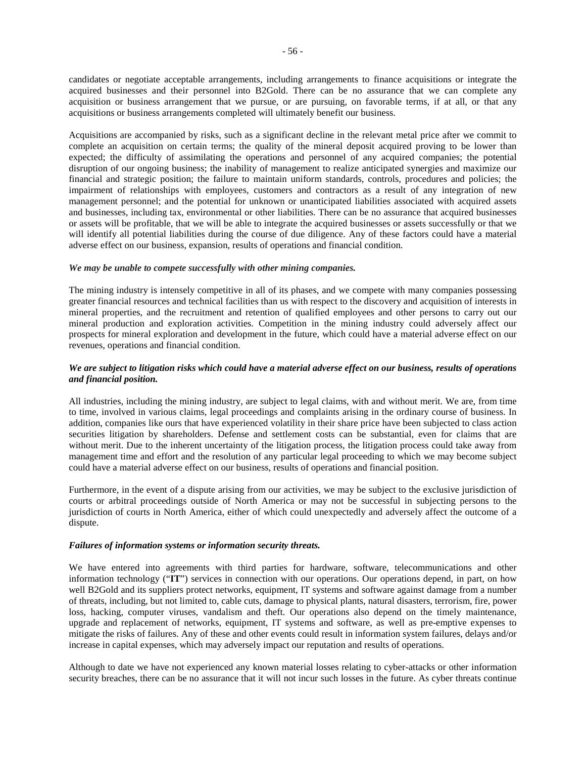candidates or negotiate acceptable arrangements, including arrangements to finance acquisitions or integrate the acquired businesses and their personnel into B2Gold. There can be no assurance that we can complete any acquisition or business arrangement that we pursue, or are pursuing, on favorable terms, if at all, or that any acquisitions or business arrangements completed will ultimately benefit our business.

Acquisitions are accompanied by risks, such as a significant decline in the relevant metal price after we commit to complete an acquisition on certain terms; the quality of the mineral deposit acquired proving to be lower than expected; the difficulty of assimilating the operations and personnel of any acquired companies; the potential disruption of our ongoing business; the inability of management to realize anticipated synergies and maximize our financial and strategic position; the failure to maintain uniform standards, controls, procedures and policies; the impairment of relationships with employees, customers and contractors as a result of any integration of new management personnel; and the potential for unknown or unanticipated liabilities associated with acquired assets and businesses, including tax, environmental or other liabilities. There can be no assurance that acquired businesses or assets will be profitable, that we will be able to integrate the acquired businesses or assets successfully or that we will identify all potential liabilities during the course of due diligence. Any of these factors could have a material adverse effect on our business, expansion, results of operations and financial condition.

### *We may be unable to compete successfully with other mining companies.*

The mining industry is intensely competitive in all of its phases, and we compete with many companies possessing greater financial resources and technical facilities than us with respect to the discovery and acquisition of interests in mineral properties, and the recruitment and retention of qualified employees and other persons to carry out our mineral production and exploration activities. Competition in the mining industry could adversely affect our prospects for mineral exploration and development in the future, which could have a material adverse effect on our revenues, operations and financial condition.

# *We are subject to litigation risks which could have a material adverse effect on our business, results of operations and financial position.*

All industries, including the mining industry, are subject to legal claims, with and without merit. We are, from time to time, involved in various claims, legal proceedings and complaints arising in the ordinary course of business. In addition, companies like ours that have experienced volatility in their share price have been subjected to class action securities litigation by shareholders. Defense and settlement costs can be substantial, even for claims that are without merit. Due to the inherent uncertainty of the litigation process, the litigation process could take away from management time and effort and the resolution of any particular legal proceeding to which we may become subject could have a material adverse effect on our business, results of operations and financial position.

Furthermore, in the event of a dispute arising from our activities, we may be subject to the exclusive jurisdiction of courts or arbitral proceedings outside of North America or may not be successful in subjecting persons to the jurisdiction of courts in North America, either of which could unexpectedly and adversely affect the outcome of a dispute.

### *Failures of information systems or information security threats.*

We have entered into agreements with third parties for hardware, software, telecommunications and other information technology ("**IT**") services in connection with our operations. Our operations depend, in part, on how well B2Gold and its suppliers protect networks, equipment, IT systems and software against damage from a number of threats, including, but not limited to, cable cuts, damage to physical plants, natural disasters, terrorism, fire, power loss, hacking, computer viruses, vandalism and theft. Our operations also depend on the timely maintenance, upgrade and replacement of networks, equipment, IT systems and software, as well as pre-emptive expenses to mitigate the risks of failures. Any of these and other events could result in information system failures, delays and/or increase in capital expenses, which may adversely impact our reputation and results of operations.

Although to date we have not experienced any known material losses relating to cyber-attacks or other information security breaches, there can be no assurance that it will not incur such losses in the future. As cyber threats continue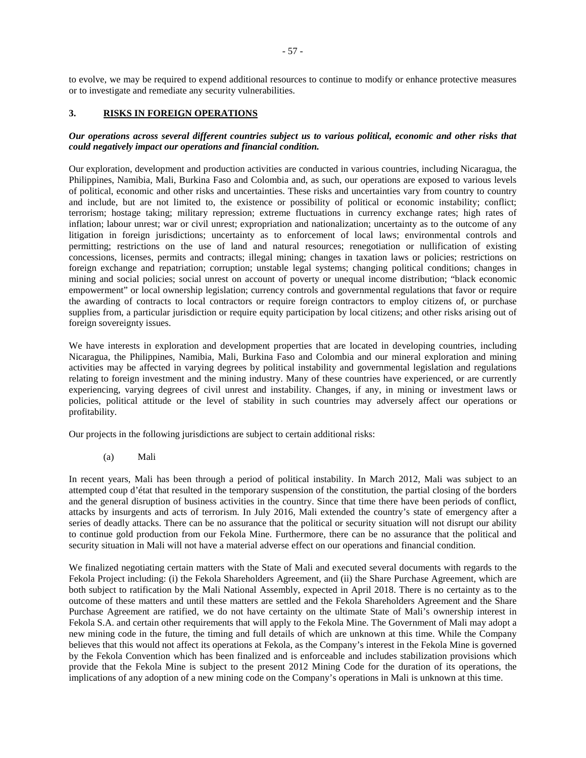to evolve, we may be required to expend additional resources to continue to modify or enhance protective measures or to investigate and remediate any security vulnerabilities.

## **3. RISKS IN FOREIGN OPERATIONS**

### *Our operations across several different countries subject us to various political, economic and other risks that could negatively impact our operations and financial condition.*

Our exploration, development and production activities are conducted in various countries, including Nicaragua, the Philippines, Namibia, Mali, Burkina Faso and Colombia and, as such, our operations are exposed to various levels of political, economic and other risks and uncertainties. These risks and uncertainties vary from country to country and include, but are not limited to, the existence or possibility of political or economic instability; conflict; terrorism; hostage taking; military repression; extreme fluctuations in currency exchange rates; high rates of inflation; labour unrest; war or civil unrest; expropriation and nationalization; uncertainty as to the outcome of any litigation in foreign jurisdictions; uncertainty as to enforcement of local laws; environmental controls and permitting; restrictions on the use of land and natural resources; renegotiation or nullification of existing concessions, licenses, permits and contracts; illegal mining; changes in taxation laws or policies; restrictions on foreign exchange and repatriation; corruption; unstable legal systems; changing political conditions; changes in mining and social policies; social unrest on account of poverty or unequal income distribution; "black economic empowerment" or local ownership legislation; currency controls and governmental regulations that favor or require the awarding of contracts to local contractors or require foreign contractors to employ citizens of, or purchase supplies from, a particular jurisdiction or require equity participation by local citizens; and other risks arising out of foreign sovereignty issues.

We have interests in exploration and development properties that are located in developing countries, including Nicaragua, the Philippines, Namibia, Mali, Burkina Faso and Colombia and our mineral exploration and mining activities may be affected in varying degrees by political instability and governmental legislation and regulations relating to foreign investment and the mining industry. Many of these countries have experienced, or are currently experiencing, varying degrees of civil unrest and instability. Changes, if any, in mining or investment laws or policies, political attitude or the level of stability in such countries may adversely affect our operations or profitability.

Our projects in the following jurisdictions are subject to certain additional risks:

(a) Mali

In recent years, Mali has been through a period of political instability. In March 2012, Mali was subject to an attempted coup d'état that resulted in the temporary suspension of the constitution, the partial closing of the borders and the general disruption of business activities in the country. Since that time there have been periods of conflict, attacks by insurgents and acts of terrorism. In July 2016, Mali extended the country's state of emergency after a series of deadly attacks. There can be no assurance that the political or security situation will not disrupt our ability to continue gold production from our Fekola Mine. Furthermore, there can be no assurance that the political and security situation in Mali will not have a material adverse effect on our operations and financial condition.

We finalized negotiating certain matters with the State of Mali and executed several documents with regards to the Fekola Project including: (i) the Fekola Shareholders Agreement, and (ii) the Share Purchase Agreement, which are both subject to ratification by the Mali National Assembly, expected in April 2018. There is no certainty as to the outcome of these matters and until these matters are settled and the Fekola Shareholders Agreement and the Share Purchase Agreement are ratified, we do not have certainty on the ultimate State of Mali's ownership interest in Fekola S.A. and certain other requirements that will apply to the Fekola Mine. The Government of Mali may adopt a new mining code in the future, the timing and full details of which are unknown at this time. While the Company believes that this would not affect its operations at Fekola, as the Company's interest in the Fekola Mine is governed by the Fekola Convention which has been finalized and is enforceable and includes stabilization provisions which provide that the Fekola Mine is subject to the present 2012 Mining Code for the duration of its operations, the implications of any adoption of a new mining code on the Company's operations in Mali is unknown at this time.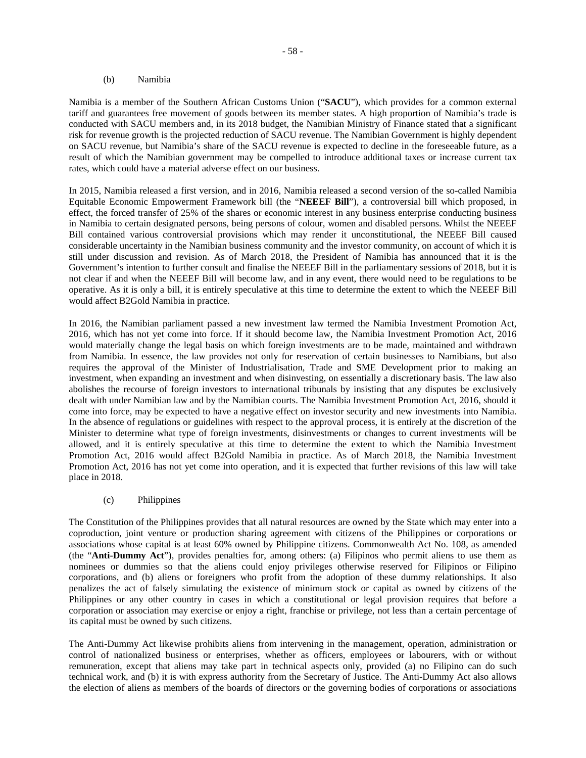Namibia is a member of the Southern African Customs Union ("**SACU**"), which provides for a common external tariff and guarantees free movement of goods between its member states. A high proportion of Namibia's trade is conducted with SACU members and, in its 2018 budget, the Namibian Ministry of Finance stated that a significant risk for revenue growth is the projected reduction of SACU revenue. The Namibian Government is highly dependent on SACU revenue, but Namibia's share of the SACU revenue is expected to decline in the foreseeable future, as a result of which the Namibian government may be compelled to introduce additional taxes or increase current tax rates, which could have a material adverse effect on our business.

In 2015, Namibia released a first version, and in 2016, Namibia released a second version of the so-called Namibia Equitable Economic Empowerment Framework bill (the "**NEEEF Bill**"), a controversial bill which proposed, in effect, the forced transfer of 25% of the shares or economic interest in any business enterprise conducting business in Namibia to certain designated persons, being persons of colour, women and disabled persons. Whilst the NEEEF Bill contained various controversial provisions which may render it unconstitutional, the NEEEF Bill caused considerable uncertainty in the Namibian business community and the investor community, on account of which it is still under discussion and revision. As of March 2018, the President of Namibia has announced that it is the Government's intention to further consult and finalise the NEEEF Bill in the parliamentary sessions of 2018, but it is not clear if and when the NEEEF Bill will become law, and in any event, there would need to be regulations to be operative. As it is only a bill, it is entirely speculative at this time to determine the extent to which the NEEEF Bill would affect B2Gold Namibia in practice.

In 2016, the Namibian parliament passed a new investment law termed the Namibia Investment Promotion Act, 2016, which has not yet come into force. If it should become law, the Namibia Investment Promotion Act, 2016 would materially change the legal basis on which foreign investments are to be made, maintained and withdrawn from Namibia. In essence, the law provides not only for reservation of certain businesses to Namibians, but also requires the approval of the Minister of Industrialisation, Trade and SME Development prior to making an investment, when expanding an investment and when disinvesting, on essentially a discretionary basis. The law also abolishes the recourse of foreign investors to international tribunals by insisting that any disputes be exclusively dealt with under Namibian law and by the Namibian courts. The Namibia Investment Promotion Act, 2016, should it come into force, may be expected to have a negative effect on investor security and new investments into Namibia. In the absence of regulations or guidelines with respect to the approval process, it is entirely at the discretion of the Minister to determine what type of foreign investments, disinvestments or changes to current investments will be allowed, and it is entirely speculative at this time to determine the extent to which the Namibia Investment Promotion Act, 2016 would affect B2Gold Namibia in practice. As of March 2018, the Namibia Investment Promotion Act, 2016 has not yet come into operation, and it is expected that further revisions of this law will take place in 2018.

(c) Philippines

The Constitution of the Philippines provides that all natural resources are owned by the State which may enter into a coproduction, joint venture or production sharing agreement with citizens of the Philippines or corporations or associations whose capital is at least 60% owned by Philippine citizens. Commonwealth Act No. 108, as amended (the "**Anti-Dummy Act**"), provides penalties for, among others: (a) Filipinos who permit aliens to use them as nominees or dummies so that the aliens could enjoy privileges otherwise reserved for Filipinos or Filipino corporations, and (b) aliens or foreigners who profit from the adoption of these dummy relationships. It also penalizes the act of falsely simulating the existence of minimum stock or capital as owned by citizens of the Philippines or any other country in cases in which a constitutional or legal provision requires that before a corporation or association may exercise or enjoy a right, franchise or privilege, not less than a certain percentage of its capital must be owned by such citizens.

The Anti-Dummy Act likewise prohibits aliens from intervening in the management, operation, administration or control of nationalized business or enterprises, whether as officers, employees or labourers, with or without remuneration, except that aliens may take part in technical aspects only, provided (a) no Filipino can do such technical work, and (b) it is with express authority from the Secretary of Justice. The Anti-Dummy Act also allows the election of aliens as members of the boards of directors or the governing bodies of corporations or associations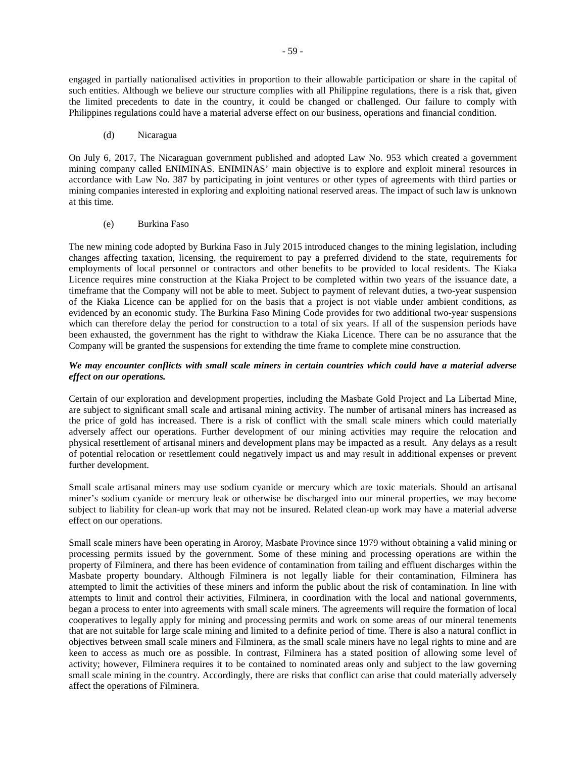engaged in partially nationalised activities in proportion to their allowable participation or share in the capital of such entities. Although we believe our structure complies with all Philippine regulations, there is a risk that, given the limited precedents to date in the country, it could be changed or challenged. Our failure to comply with Philippines regulations could have a material adverse effect on our business, operations and financial condition.

#### (d) Nicaragua

On July 6, 2017, The Nicaraguan government published and adopted Law No. 953 which created a government mining company called ENIMINAS. ENIMINAS' main objective is to explore and exploit mineral resources in accordance with Law No. 387 by participating in joint ventures or other types of agreements with third parties or mining companies interested in exploring and exploiting national reserved areas. The impact of such law is unknown at this time.

### (e) Burkina Faso

The new mining code adopted by Burkina Faso in July 2015 introduced changes to the mining legislation, including changes affecting taxation, licensing, the requirement to pay a preferred dividend to the state, requirements for employments of local personnel or contractors and other benefits to be provided to local residents. The Kiaka Licence requires mine construction at the Kiaka Project to be completed within two years of the issuance date, a timeframe that the Company will not be able to meet. Subject to payment of relevant duties, a two-year suspension of the Kiaka Licence can be applied for on the basis that a project is not viable under ambient conditions, as evidenced by an economic study. The Burkina Faso Mining Code provides for two additional two-year suspensions which can therefore delay the period for construction to a total of six years. If all of the suspension periods have been exhausted, the government has the right to withdraw the Kiaka Licence. There can be no assurance that the Company will be granted the suspensions for extending the time frame to complete mine construction.

# *We may encounter conflicts with small scale miners in certain countries which could have a material adverse effect on our operations.*

Certain of our exploration and development properties, including the Masbate Gold Project and La Libertad Mine, are subject to significant small scale and artisanal mining activity. The number of artisanal miners has increased as the price of gold has increased. There is a risk of conflict with the small scale miners which could materially adversely affect our operations. Further development of our mining activities may require the relocation and physical resettlement of artisanal miners and development plans may be impacted as a result. Any delays as a result of potential relocation or resettlement could negatively impact us and may result in additional expenses or prevent further development.

Small scale artisanal miners may use sodium cyanide or mercury which are toxic materials. Should an artisanal miner's sodium cyanide or mercury leak or otherwise be discharged into our mineral properties, we may become subject to liability for clean-up work that may not be insured. Related clean-up work may have a material adverse effect on our operations.

Small scale miners have been operating in Aroroy, Masbate Province since 1979 without obtaining a valid mining or processing permits issued by the government. Some of these mining and processing operations are within the property of Filminera, and there has been evidence of contamination from tailing and effluent discharges within the Masbate property boundary. Although Filminera is not legally liable for their contamination, Filminera has attempted to limit the activities of these miners and inform the public about the risk of contamination. In line with attempts to limit and control their activities, Filminera, in coordination with the local and national governments, began a process to enter into agreements with small scale miners. The agreements will require the formation of local cooperatives to legally apply for mining and processing permits and work on some areas of our mineral tenements that are not suitable for large scale mining and limited to a definite period of time. There is also a natural conflict in objectives between small scale miners and Filminera, as the small scale miners have no legal rights to mine and are keen to access as much ore as possible. In contrast, Filminera has a stated position of allowing some level of activity; however, Filminera requires it to be contained to nominated areas only and subject to the law governing small scale mining in the country. Accordingly, there are risks that conflict can arise that could materially adversely affect the operations of Filminera.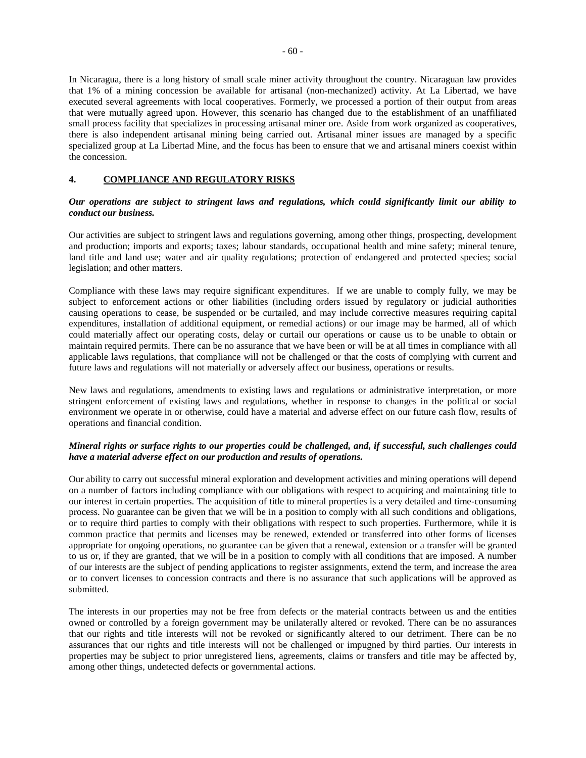In Nicaragua, there is a long history of small scale miner activity throughout the country. Nicaraguan law provides that 1% of a mining concession be available for artisanal (non-mechanized) activity. At La Libertad, we have executed several agreements with local cooperatives. Formerly, we processed a portion of their output from areas that were mutually agreed upon. However, this scenario has changed due to the establishment of an unaffiliated small process facility that specializes in processing artisanal miner ore. Aside from work organized as cooperatives, there is also independent artisanal mining being carried out. Artisanal miner issues are managed by a specific specialized group at La Libertad Mine, and the focus has been to ensure that we and artisanal miners coexist within the concession.

# **4. COMPLIANCE AND REGULATORY RISKS**

## *Our operations are subject to stringent laws and regulations, which could significantly limit our ability to conduct our business.*

Our activities are subject to stringent laws and regulations governing, among other things, prospecting, development and production; imports and exports; taxes; labour standards, occupational health and mine safety; mineral tenure, land title and land use; water and air quality regulations; protection of endangered and protected species; social legislation; and other matters.

Compliance with these laws may require significant expenditures. If we are unable to comply fully, we may be subject to enforcement actions or other liabilities (including orders issued by regulatory or judicial authorities causing operations to cease, be suspended or be curtailed, and may include corrective measures requiring capital expenditures, installation of additional equipment, or remedial actions) or our image may be harmed, all of which could materially affect our operating costs, delay or curtail our operations or cause us to be unable to obtain or maintain required permits. There can be no assurance that we have been or will be at all times in compliance with all applicable laws regulations, that compliance will not be challenged or that the costs of complying with current and future laws and regulations will not materially or adversely affect our business, operations or results.

New laws and regulations, amendments to existing laws and regulations or administrative interpretation, or more stringent enforcement of existing laws and regulations, whether in response to changes in the political or social environment we operate in or otherwise, could have a material and adverse effect on our future cash flow, results of operations and financial condition.

## *Mineral rights or surface rights to our properties could be challenged, and, if successful, such challenges could have a material adverse effect on our production and results of operations.*

Our ability to carry out successful mineral exploration and development activities and mining operations will depend on a number of factors including compliance with our obligations with respect to acquiring and maintaining title to our interest in certain properties. The acquisition of title to mineral properties is a very detailed and time-consuming process. No guarantee can be given that we will be in a position to comply with all such conditions and obligations, or to require third parties to comply with their obligations with respect to such properties. Furthermore, while it is common practice that permits and licenses may be renewed, extended or transferred into other forms of licenses appropriate for ongoing operations, no guarantee can be given that a renewal, extension or a transfer will be granted to us or, if they are granted, that we will be in a position to comply with all conditions that are imposed. A number of our interests are the subject of pending applications to register assignments, extend the term, and increase the area or to convert licenses to concession contracts and there is no assurance that such applications will be approved as submitted.

The interests in our properties may not be free from defects or the material contracts between us and the entities owned or controlled by a foreign government may be unilaterally altered or revoked. There can be no assurances that our rights and title interests will not be revoked or significantly altered to our detriment. There can be no assurances that our rights and title interests will not be challenged or impugned by third parties. Our interests in properties may be subject to prior unregistered liens, agreements, claims or transfers and title may be affected by, among other things, undetected defects or governmental actions.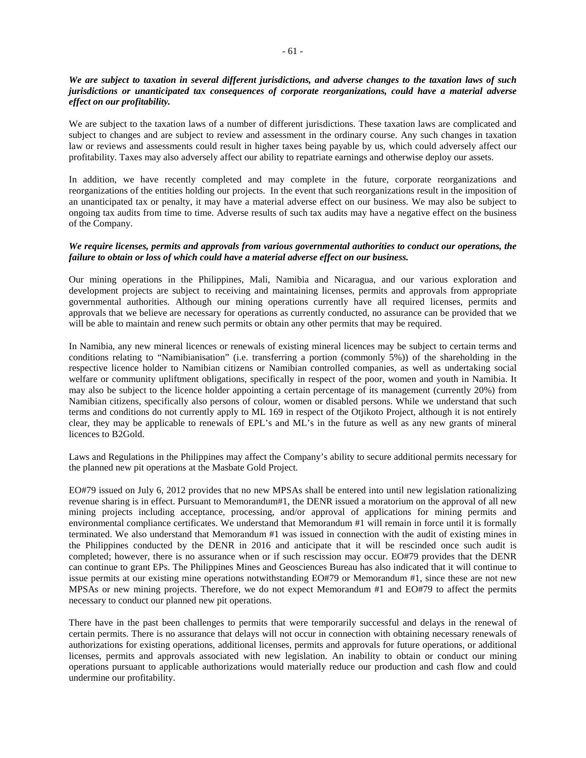# *We are subject to taxation in several different jurisdictions, and adverse changes to the taxation laws of such jurisdictions or unanticipated tax consequences of corporate reorganizations, could have a material adverse effect on our profitability.*

We are subject to the taxation laws of a number of different jurisdictions. These taxation laws are complicated and subject to changes and are subject to review and assessment in the ordinary course. Any such changes in taxation law or reviews and assessments could result in higher taxes being payable by us, which could adversely affect our profitability. Taxes may also adversely affect our ability to repatriate earnings and otherwise deploy our assets.

In addition, we have recently completed and may complete in the future, corporate reorganizations and reorganizations of the entities holding our projects. In the event that such reorganizations result in the imposition of an unanticipated tax or penalty, it may have a material adverse effect on our business. We may also be subject to ongoing tax audits from time to time. Adverse results of such tax audits may have a negative effect on the business of the Company.

## *We require licenses, permits and approvals from various governmental authorities to conduct our operations, the failure to obtain or loss of which could have a material adverse effect on our business.*

Our mining operations in the Philippines, Mali, Namibia and Nicaragua, and our various exploration and development projects are subject to receiving and maintaining licenses, permits and approvals from appropriate governmental authorities. Although our mining operations currently have all required licenses, permits and approvals that we believe are necessary for operations as currently conducted, no assurance can be provided that we will be able to maintain and renew such permits or obtain any other permits that may be required.

In Namibia, any new mineral licences or renewals of existing mineral licences may be subject to certain terms and conditions relating to "Namibianisation" (i.e. transferring a portion (commonly 5%)) of the shareholding in the respective licence holder to Namibian citizens or Namibian controlled companies, as well as undertaking social welfare or community upliftment obligations, specifically in respect of the poor, women and youth in Namibia. It may also be subject to the licence holder appointing a certain percentage of its management (currently 20%) from Namibian citizens, specifically also persons of colour, women or disabled persons. While we understand that such terms and conditions do not currently apply to ML 169 in respect of the Otjikoto Project, although it is not entirely clear, they may be applicable to renewals of EPL's and ML's in the future as well as any new grants of mineral licences to B2Gold.

Laws and Regulations in the Philippines may affect the Company's ability to secure additional permits necessary for the planned new pit operations at the Masbate Gold Project.

EO#79 issued on July 6, 2012 provides that no new MPSAs shall be entered into until new legislation rationalizing revenue sharing is in effect. Pursuant to Memorandum#1, the DENR issued a moratorium on the approval of all new mining projects including acceptance, processing, and/or approval of applications for mining permits and environmental compliance certificates. We understand that Memorandum #1 will remain in force until it is formally terminated. We also understand that Memorandum #1 was issued in connection with the audit of existing mines in the Philippines conducted by the DENR in 2016 and anticipate that it will be rescinded once such audit is completed; however, there is no assurance when or if such rescission may occur. EO#79 provides that the DENR can continue to grant EPs. The Philippines Mines and Geosciences Bureau has also indicated that it will continue to issue permits at our existing mine operations notwithstanding EO#79 or Memorandum #1, since these are not new MPSAs or new mining projects. Therefore, we do not expect Memorandum #1 and EO#79 to affect the permits necessary to conduct our planned new pit operations.

There have in the past been challenges to permits that were temporarily successful and delays in the renewal of certain permits. There is no assurance that delays will not occur in connection with obtaining necessary renewals of authorizations for existing operations, additional licenses, permits and approvals for future operations, or additional licenses, permits and approvals associated with new legislation. An inability to obtain or conduct our mining operations pursuant to applicable authorizations would materially reduce our production and cash flow and could undermine our profitability.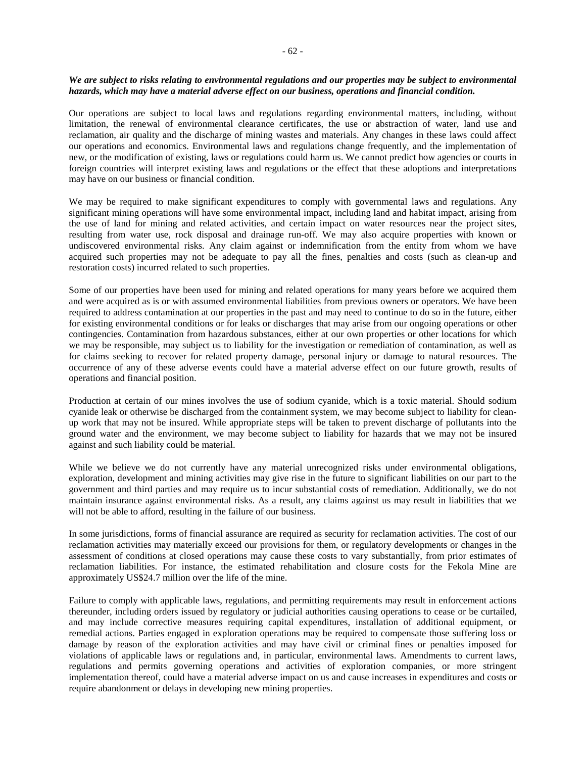## *We are subject to risks relating to environmental regulations and our properties may be subject to environmental hazards, which may have a material adverse effect on our business, operations and financial condition.*

Our operations are subject to local laws and regulations regarding environmental matters, including, without limitation, the renewal of environmental clearance certificates, the use or abstraction of water, land use and reclamation, air quality and the discharge of mining wastes and materials. Any changes in these laws could affect our operations and economics. Environmental laws and regulations change frequently, and the implementation of new, or the modification of existing, laws or regulations could harm us. We cannot predict how agencies or courts in foreign countries will interpret existing laws and regulations or the effect that these adoptions and interpretations may have on our business or financial condition.

We may be required to make significant expenditures to comply with governmental laws and regulations. Any significant mining operations will have some environmental impact, including land and habitat impact, arising from the use of land for mining and related activities, and certain impact on water resources near the project sites, resulting from water use, rock disposal and drainage run-off. We may also acquire properties with known or undiscovered environmental risks. Any claim against or indemnification from the entity from whom we have acquired such properties may not be adequate to pay all the fines, penalties and costs (such as clean-up and restoration costs) incurred related to such properties.

Some of our properties have been used for mining and related operations for many years before we acquired them and were acquired as is or with assumed environmental liabilities from previous owners or operators. We have been required to address contamination at our properties in the past and may need to continue to do so in the future, either for existing environmental conditions or for leaks or discharges that may arise from our ongoing operations or other contingencies. Contamination from hazardous substances, either at our own properties or other locations for which we may be responsible, may subject us to liability for the investigation or remediation of contamination, as well as for claims seeking to recover for related property damage, personal injury or damage to natural resources. The occurrence of any of these adverse events could have a material adverse effect on our future growth, results of operations and financial position.

Production at certain of our mines involves the use of sodium cyanide, which is a toxic material. Should sodium cyanide leak or otherwise be discharged from the containment system, we may become subject to liability for cleanup work that may not be insured. While appropriate steps will be taken to prevent discharge of pollutants into the ground water and the environment, we may become subject to liability for hazards that we may not be insured against and such liability could be material.

While we believe we do not currently have any material unrecognized risks under environmental obligations, exploration, development and mining activities may give rise in the future to significant liabilities on our part to the government and third parties and may require us to incur substantial costs of remediation. Additionally, we do not maintain insurance against environmental risks. As a result, any claims against us may result in liabilities that we will not be able to afford, resulting in the failure of our business.

In some jurisdictions, forms of financial assurance are required as security for reclamation activities. The cost of our reclamation activities may materially exceed our provisions for them, or regulatory developments or changes in the assessment of conditions at closed operations may cause these costs to vary substantially, from prior estimates of reclamation liabilities. For instance, the estimated rehabilitation and closure costs for the Fekola Mine are approximately US\$24.7 million over the life of the mine.

Failure to comply with applicable laws, regulations, and permitting requirements may result in enforcement actions thereunder, including orders issued by regulatory or judicial authorities causing operations to cease or be curtailed, and may include corrective measures requiring capital expenditures, installation of additional equipment, or remedial actions. Parties engaged in exploration operations may be required to compensate those suffering loss or damage by reason of the exploration activities and may have civil or criminal fines or penalties imposed for violations of applicable laws or regulations and, in particular, environmental laws. Amendments to current laws, regulations and permits governing operations and activities of exploration companies, or more stringent implementation thereof, could have a material adverse impact on us and cause increases in expenditures and costs or require abandonment or delays in developing new mining properties.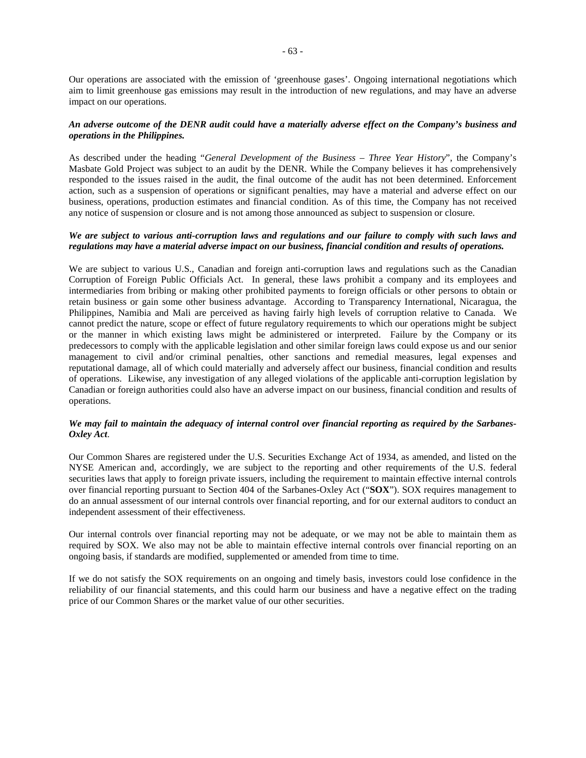Our operations are associated with the emission of 'greenhouse gases'. Ongoing international negotiations which aim to limit greenhouse gas emissions may result in the introduction of new regulations, and may have an adverse impact on our operations.

# *An adverse outcome of the DENR audit could have a materially adverse effect on the Company's business and operations in the Philippines.*

As described under the heading "*General Development of the Business – Three Year History*", the Company's Masbate Gold Project was subject to an audit by the DENR. While the Company believes it has comprehensively responded to the issues raised in the audit, the final outcome of the audit has not been determined. Enforcement action, such as a suspension of operations or significant penalties, may have a material and adverse effect on our business, operations, production estimates and financial condition. As of this time, the Company has not received any notice of suspension or closure and is not among those announced as subject to suspension or closure.

## *We are subject to various anti-corruption laws and regulations and our failure to comply with such laws and regulations may have a material adverse impact on our business, financial condition and results of operations.*

We are subject to various U.S., Canadian and foreign anti-corruption laws and regulations such as the Canadian Corruption of Foreign Public Officials Act. In general, these laws prohibit a company and its employees and intermediaries from bribing or making other prohibited payments to foreign officials or other persons to obtain or retain business or gain some other business advantage. According to Transparency International, Nicaragua, the Philippines, Namibia and Mali are perceived as having fairly high levels of corruption relative to Canada. We cannot predict the nature, scope or effect of future regulatory requirements to which our operations might be subject or the manner in which existing laws might be administered or interpreted. Failure by the Company or its predecessors to comply with the applicable legislation and other similar foreign laws could expose us and our senior management to civil and/or criminal penalties, other sanctions and remedial measures, legal expenses and reputational damage, all of which could materially and adversely affect our business, financial condition and results of operations. Likewise, any investigation of any alleged violations of the applicable anti-corruption legislation by Canadian or foreign authorities could also have an adverse impact on our business, financial condition and results of operations.

## *We may fail to maintain the adequacy of internal control over financial reporting as required by the Sarbanes-Oxley Act*.

Our Common Shares are registered under the U.S. Securities Exchange Act of 1934, as amended, and listed on the NYSE American and, accordingly, we are subject to the reporting and other requirements of the U.S. federal securities laws that apply to foreign private issuers, including the requirement to maintain effective internal controls over financial reporting pursuant to Section 404 of the Sarbanes-Oxley Act ("**SOX**"). SOX requires management to do an annual assessment of our internal controls over financial reporting, and for our external auditors to conduct an independent assessment of their effectiveness.

Our internal controls over financial reporting may not be adequate, or we may not be able to maintain them as required by SOX. We also may not be able to maintain effective internal controls over financial reporting on an ongoing basis, if standards are modified, supplemented or amended from time to time.

If we do not satisfy the SOX requirements on an ongoing and timely basis, investors could lose confidence in the reliability of our financial statements, and this could harm our business and have a negative effect on the trading price of our Common Shares or the market value of our other securities.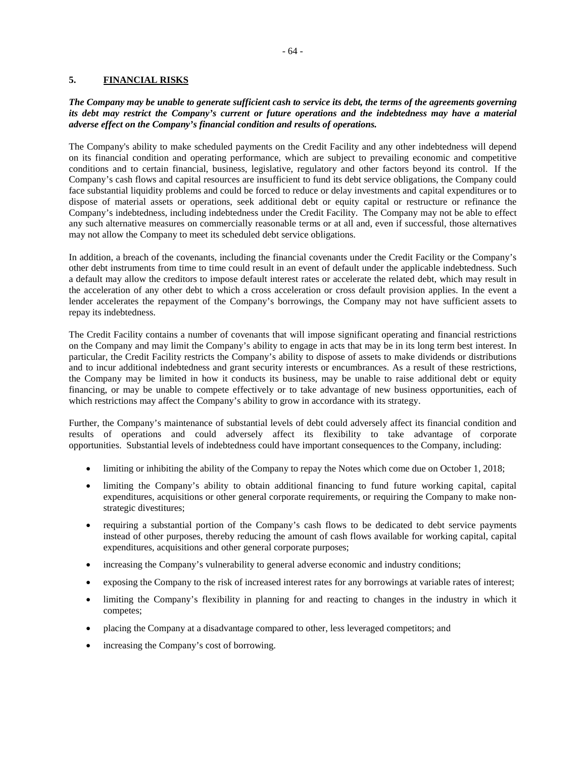## **5. FINANCIAL RISKS**

# *The Company may be unable to generate sufficient cash to service its debt, the terms of the agreements governing its debt may restrict the Company's current or future operations and the indebtedness may have a material adverse effect on the Company's financial condition and results of operations.*

The Company's ability to make scheduled payments on the Credit Facility and any other indebtedness will depend on its financial condition and operating performance, which are subject to prevailing economic and competitive conditions and to certain financial, business, legislative, regulatory and other factors beyond its control. If the Company's cash flows and capital resources are insufficient to fund its debt service obligations, the Company could face substantial liquidity problems and could be forced to reduce or delay investments and capital expenditures or to dispose of material assets or operations, seek additional debt or equity capital or restructure or refinance the Company's indebtedness, including indebtedness under the Credit Facility. The Company may not be able to effect any such alternative measures on commercially reasonable terms or at all and, even if successful, those alternatives may not allow the Company to meet its scheduled debt service obligations.

In addition, a breach of the covenants, including the financial covenants under the Credit Facility or the Company's other debt instruments from time to time could result in an event of default under the applicable indebtedness. Such a default may allow the creditors to impose default interest rates or accelerate the related debt, which may result in the acceleration of any other debt to which a cross acceleration or cross default provision applies. In the event a lender accelerates the repayment of the Company's borrowings, the Company may not have sufficient assets to repay its indebtedness.

The Credit Facility contains a number of covenants that will impose significant operating and financial restrictions on the Company and may limit the Company's ability to engage in acts that may be in its long term best interest. In particular, the Credit Facility restricts the Company's ability to dispose of assets to make dividends or distributions and to incur additional indebtedness and grant security interests or encumbrances. As a result of these restrictions, the Company may be limited in how it conducts its business, may be unable to raise additional debt or equity financing, or may be unable to compete effectively or to take advantage of new business opportunities, each of which restrictions may affect the Company's ability to grow in accordance with its strategy.

Further, the Company's maintenance of substantial levels of debt could adversely affect its financial condition and results of operations and could adversely affect its flexibility to take advantage of corporate opportunities. Substantial levels of indebtedness could have important consequences to the Company, including:

- limiting or inhibiting the ability of the Company to repay the Notes which come due on October 1, 2018;
- limiting the Company's ability to obtain additional financing to fund future working capital, capital expenditures, acquisitions or other general corporate requirements, or requiring the Company to make nonstrategic divestitures;
- requiring a substantial portion of the Company's cash flows to be dedicated to debt service payments instead of other purposes, thereby reducing the amount of cash flows available for working capital, capital expenditures, acquisitions and other general corporate purposes;
- increasing the Company's vulnerability to general adverse economic and industry conditions;
- exposing the Company to the risk of increased interest rates for any borrowings at variable rates of interest;
- limiting the Company's flexibility in planning for and reacting to changes in the industry in which it competes;
- placing the Company at a disadvantage compared to other, less leveraged competitors; and
- increasing the Company's cost of borrowing.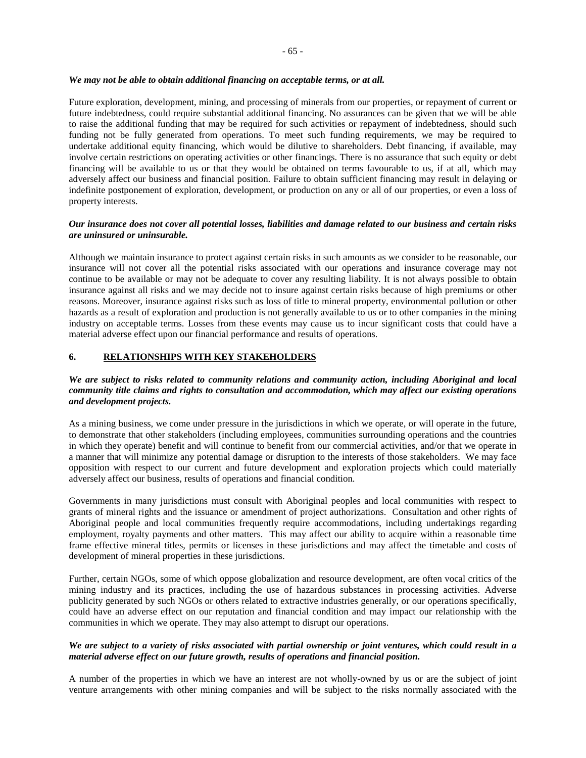#### *We may not be able to obtain additional financing on acceptable terms, or at all.*

Future exploration, development, mining, and processing of minerals from our properties, or repayment of current or future indebtedness, could require substantial additional financing. No assurances can be given that we will be able to raise the additional funding that may be required for such activities or repayment of indebtedness, should such funding not be fully generated from operations. To meet such funding requirements, we may be required to undertake additional equity financing, which would be dilutive to shareholders. Debt financing, if available, may involve certain restrictions on operating activities or other financings. There is no assurance that such equity or debt financing will be available to us or that they would be obtained on terms favourable to us, if at all, which may adversely affect our business and financial position. Failure to obtain sufficient financing may result in delaying or indefinite postponement of exploration, development, or production on any or all of our properties, or even a loss of property interests.

## *Our insurance does not cover all potential losses, liabilities and damage related to our business and certain risks are uninsured or uninsurable.*

Although we maintain insurance to protect against certain risks in such amounts as we consider to be reasonable, our insurance will not cover all the potential risks associated with our operations and insurance coverage may not continue to be available or may not be adequate to cover any resulting liability. It is not always possible to obtain insurance against all risks and we may decide not to insure against certain risks because of high premiums or other reasons. Moreover, insurance against risks such as loss of title to mineral property, environmental pollution or other hazards as a result of exploration and production is not generally available to us or to other companies in the mining industry on acceptable terms. Losses from these events may cause us to incur significant costs that could have a material adverse effect upon our financial performance and results of operations.

# **6. RELATIONSHIPS WITH KEY STAKEHOLDERS**

# *We are subject to risks related to community relations and community action, including Aboriginal and local community title claims and rights to consultation and accommodation, which may affect our existing operations and development projects.*

As a mining business, we come under pressure in the jurisdictions in which we operate, or will operate in the future, to demonstrate that other stakeholders (including employees, communities surrounding operations and the countries in which they operate) benefit and will continue to benefit from our commercial activities, and/or that we operate in a manner that will minimize any potential damage or disruption to the interests of those stakeholders. We may face opposition with respect to our current and future development and exploration projects which could materially adversely affect our business, results of operations and financial condition.

Governments in many jurisdictions must consult with Aboriginal peoples and local communities with respect to grants of mineral rights and the issuance or amendment of project authorizations. Consultation and other rights of Aboriginal people and local communities frequently require accommodations, including undertakings regarding employment, royalty payments and other matters. This may affect our ability to acquire within a reasonable time frame effective mineral titles, permits or licenses in these jurisdictions and may affect the timetable and costs of development of mineral properties in these jurisdictions.

Further, certain NGOs, some of which oppose globalization and resource development, are often vocal critics of the mining industry and its practices, including the use of hazardous substances in processing activities. Adverse publicity generated by such NGOs or others related to extractive industries generally, or our operations specifically, could have an adverse effect on our reputation and financial condition and may impact our relationship with the communities in which we operate. They may also attempt to disrupt our operations.

## *We are subject to a variety of risks associated with partial ownership or joint ventures, which could result in a material adverse effect on our future growth, results of operations and financial position.*

A number of the properties in which we have an interest are not wholly-owned by us or are the subject of joint venture arrangements with other mining companies and will be subject to the risks normally associated with the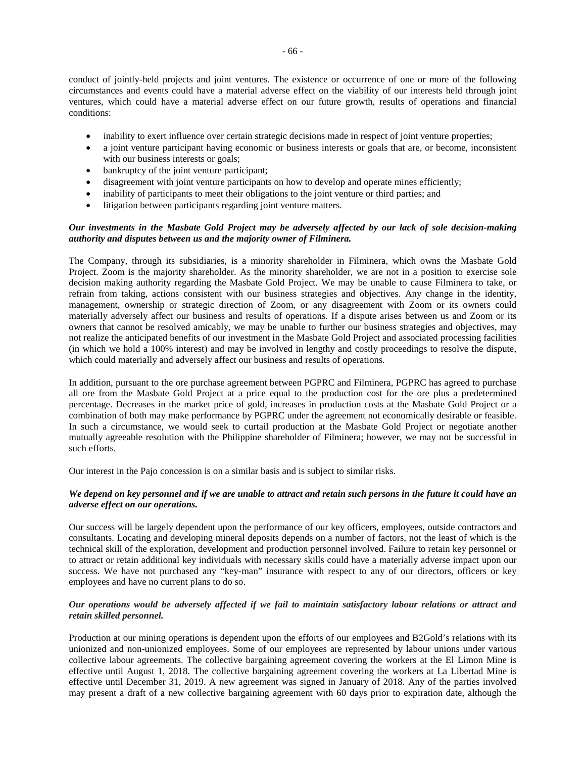conduct of jointly-held projects and joint ventures. The existence or occurrence of one or more of the following circumstances and events could have a material adverse effect on the viability of our interests held through joint ventures, which could have a material adverse effect on our future growth, results of operations and financial conditions:

- inability to exert influence over certain strategic decisions made in respect of joint venture properties;
- a joint venture participant having economic or business interests or goals that are, or become, inconsistent with our business interests or goals;
- bankruptcy of the joint venture participant;
- disagreement with joint venture participants on how to develop and operate mines efficiently;
- inability of participants to meet their obligations to the joint venture or third parties; and
- litigation between participants regarding joint venture matters.

# *Our investments in the Masbate Gold Project may be adversely affected by our lack of sole decision-making authority and disputes between us and the majority owner of Filminera.*

The Company, through its subsidiaries, is a minority shareholder in Filminera, which owns the Masbate Gold Project. Zoom is the majority shareholder. As the minority shareholder, we are not in a position to exercise sole decision making authority regarding the Masbate Gold Project. We may be unable to cause Filminera to take, or refrain from taking, actions consistent with our business strategies and objectives. Any change in the identity, management, ownership or strategic direction of Zoom, or any disagreement with Zoom or its owners could materially adversely affect our business and results of operations. If a dispute arises between us and Zoom or its owners that cannot be resolved amicably, we may be unable to further our business strategies and objectives, may not realize the anticipated benefits of our investment in the Masbate Gold Project and associated processing facilities (in which we hold a 100% interest) and may be involved in lengthy and costly proceedings to resolve the dispute, which could materially and adversely affect our business and results of operations.

In addition, pursuant to the ore purchase agreement between PGPRC and Filminera, PGPRC has agreed to purchase all ore from the Masbate Gold Project at a price equal to the production cost for the ore plus a predetermined percentage. Decreases in the market price of gold, increases in production costs at the Masbate Gold Project or a combination of both may make performance by PGPRC under the agreement not economically desirable or feasible. In such a circumstance, we would seek to curtail production at the Masbate Gold Project or negotiate another mutually agreeable resolution with the Philippine shareholder of Filminera; however, we may not be successful in such efforts.

Our interest in the Pajo concession is on a similar basis and is subject to similar risks.

## *We depend on key personnel and if we are unable to attract and retain such persons in the future it could have an adverse effect on our operations.*

Our success will be largely dependent upon the performance of our key officers, employees, outside contractors and consultants. Locating and developing mineral deposits depends on a number of factors, not the least of which is the technical skill of the exploration, development and production personnel involved. Failure to retain key personnel or to attract or retain additional key individuals with necessary skills could have a materially adverse impact upon our success. We have not purchased any "key-man" insurance with respect to any of our directors, officers or key employees and have no current plans to do so.

# *Our operations would be adversely affected if we fail to maintain satisfactory labour relations or attract and retain skilled personnel.*

Production at our mining operations is dependent upon the efforts of our employees and B2Gold's relations with its unionized and non-unionized employees. Some of our employees are represented by labour unions under various collective labour agreements. The collective bargaining agreement covering the workers at the El Limon Mine is effective until August 1, 2018. The collective bargaining agreement covering the workers at La Libertad Mine is effective until December 31, 2019. A new agreement was signed in January of 2018. Any of the parties involved may present a draft of a new collective bargaining agreement with 60 days prior to expiration date, although the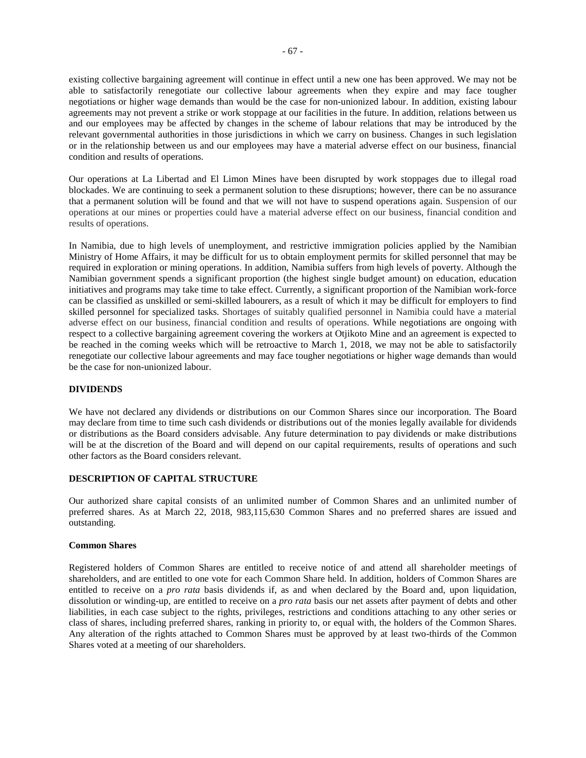existing collective bargaining agreement will continue in effect until a new one has been approved. We may not be able to satisfactorily renegotiate our collective labour agreements when they expire and may face tougher negotiations or higher wage demands than would be the case for non-unionized labour. In addition, existing labour agreements may not prevent a strike or work stoppage at our facilities in the future. In addition, relations between us and our employees may be affected by changes in the scheme of labour relations that may be introduced by the relevant governmental authorities in those jurisdictions in which we carry on business. Changes in such legislation or in the relationship between us and our employees may have a material adverse effect on our business, financial condition and results of operations.

Our operations at La Libertad and El Limon Mines have been disrupted by work stoppages due to illegal road blockades. We are continuing to seek a permanent solution to these disruptions; however, there can be no assurance that a permanent solution will be found and that we will not have to suspend operations again. Suspension of our operations at our mines or properties could have a material adverse effect on our business, financial condition and results of operations.

In Namibia, due to high levels of unemployment, and restrictive immigration policies applied by the Namibian Ministry of Home Affairs, it may be difficult for us to obtain employment permits for skilled personnel that may be required in exploration or mining operations. In addition, Namibia suffers from high levels of poverty. Although the Namibian government spends a significant proportion (the highest single budget amount) on education, education initiatives and programs may take time to take effect. Currently, a significant proportion of the Namibian work-force can be classified as unskilled or semi-skilled labourers, as a result of which it may be difficult for employers to find skilled personnel for specialized tasks. Shortages of suitably qualified personnel in Namibia could have a material adverse effect on our business, financial condition and results of operations. While negotiations are ongoing with respect to a collective bargaining agreement covering the workers at Otjikoto Mine and an agreement is expected to be reached in the coming weeks which will be retroactive to March 1, 2018, we may not be able to satisfactorily renegotiate our collective labour agreements and may face tougher negotiations or higher wage demands than would be the case for non-unionized labour.

### **DIVIDENDS**

We have not declared any dividends or distributions on our Common Shares since our incorporation. The Board may declare from time to time such cash dividends or distributions out of the monies legally available for dividends or distributions as the Board considers advisable. Any future determination to pay dividends or make distributions will be at the discretion of the Board and will depend on our capital requirements, results of operations and such other factors as the Board considers relevant.

# **DESCRIPTION OF CAPITAL STRUCTURE**

Our authorized share capital consists of an unlimited number of Common Shares and an unlimited number of preferred shares. As at March 22, 2018, 983,115,630 Common Shares and no preferred shares are issued and outstanding.

### **Common Shares**

Registered holders of Common Shares are entitled to receive notice of and attend all shareholder meetings of shareholders, and are entitled to one vote for each Common Share held. In addition, holders of Common Shares are entitled to receive on a *pro rata* basis dividends if, as and when declared by the Board and, upon liquidation, dissolution or winding-up, are entitled to receive on a *pro rata* basis our net assets after payment of debts and other liabilities, in each case subject to the rights, privileges, restrictions and conditions attaching to any other series or class of shares, including preferred shares, ranking in priority to, or equal with, the holders of the Common Shares. Any alteration of the rights attached to Common Shares must be approved by at least two-thirds of the Common Shares voted at a meeting of our shareholders.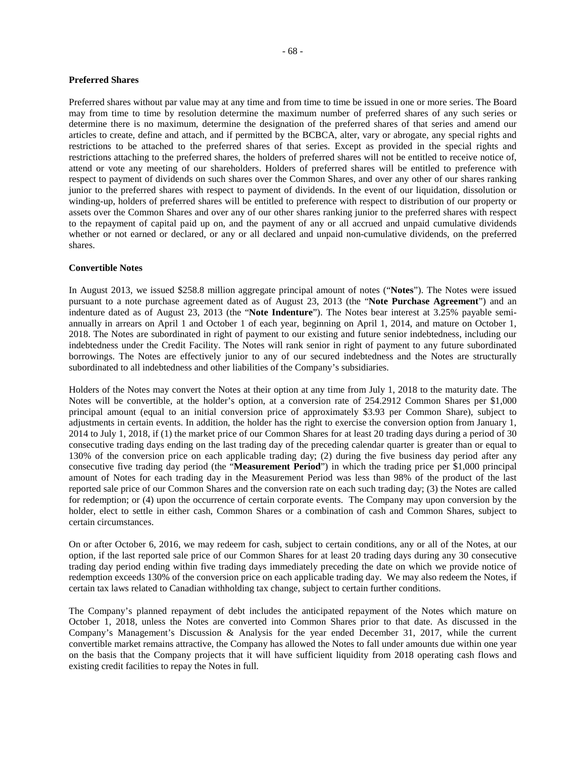#### **Preferred Shares**

Preferred shares without par value may at any time and from time to time be issued in one or more series. The Board may from time to time by resolution determine the maximum number of preferred shares of any such series or determine there is no maximum, determine the designation of the preferred shares of that series and amend our articles to create, define and attach, and if permitted by the BCBCA, alter, vary or abrogate, any special rights and restrictions to be attached to the preferred shares of that series. Except as provided in the special rights and restrictions attaching to the preferred shares, the holders of preferred shares will not be entitled to receive notice of, attend or vote any meeting of our shareholders. Holders of preferred shares will be entitled to preference with respect to payment of dividends on such shares over the Common Shares, and over any other of our shares ranking junior to the preferred shares with respect to payment of dividends. In the event of our liquidation, dissolution or winding-up, holders of preferred shares will be entitled to preference with respect to distribution of our property or assets over the Common Shares and over any of our other shares ranking junior to the preferred shares with respect to the repayment of capital paid up on, and the payment of any or all accrued and unpaid cumulative dividends whether or not earned or declared, or any or all declared and unpaid non-cumulative dividends, on the preferred shares.

#### **Convertible Notes**

In August 2013, we issued \$258.8 million aggregate principal amount of notes ("**Notes**"). The Notes were issued pursuant to a note purchase agreement dated as of August 23, 2013 (the "**Note Purchase Agreement**") and an indenture dated as of August 23, 2013 (the "**Note Indenture**"). The Notes bear interest at 3.25% payable semiannually in arrears on April 1 and October 1 of each year, beginning on April 1, 2014, and mature on October 1, 2018. The Notes are subordinated in right of payment to our existing and future senior indebtedness, including our indebtedness under the Credit Facility. The Notes will rank senior in right of payment to any future subordinated borrowings. The Notes are effectively junior to any of our secured indebtedness and the Notes are structurally subordinated to all indebtedness and other liabilities of the Company's subsidiaries.

Holders of the Notes may convert the Notes at their option at any time from July 1, 2018 to the maturity date. The Notes will be convertible, at the holder's option, at a conversion rate of 254.2912 Common Shares per \$1,000 principal amount (equal to an initial conversion price of approximately \$3.93 per Common Share), subject to adjustments in certain events. In addition, the holder has the right to exercise the conversion option from January 1, 2014 to July 1, 2018, if (1) the market price of our Common Shares for at least 20 trading days during a period of 30 consecutive trading days ending on the last trading day of the preceding calendar quarter is greater than or equal to 130% of the conversion price on each applicable trading day; (2) during the five business day period after any consecutive five trading day period (the "**Measurement Period**") in which the trading price per \$1,000 principal amount of Notes for each trading day in the Measurement Period was less than 98% of the product of the last reported sale price of our Common Shares and the conversion rate on each such trading day; (3) the Notes are called for redemption; or (4) upon the occurrence of certain corporate events. The Company may upon conversion by the holder, elect to settle in either cash, Common Shares or a combination of cash and Common Shares, subject to certain circumstances.

On or after October 6, 2016, we may redeem for cash, subject to certain conditions, any or all of the Notes, at our option, if the last reported sale price of our Common Shares for at least 20 trading days during any 30 consecutive trading day period ending within five trading days immediately preceding the date on which we provide notice of redemption exceeds 130% of the conversion price on each applicable trading day. We may also redeem the Notes, if certain tax laws related to Canadian withholding tax change, subject to certain further conditions.

The Company's planned repayment of debt includes the anticipated repayment of the Notes which mature on October 1, 2018, unless the Notes are converted into Common Shares prior to that date. As discussed in the Company's Management's Discussion & Analysis for the year ended December 31, 2017, while the current convertible market remains attractive, the Company has allowed the Notes to fall under amounts due within one year on the basis that the Company projects that it will have sufficient liquidity from 2018 operating cash flows and existing credit facilities to repay the Notes in full.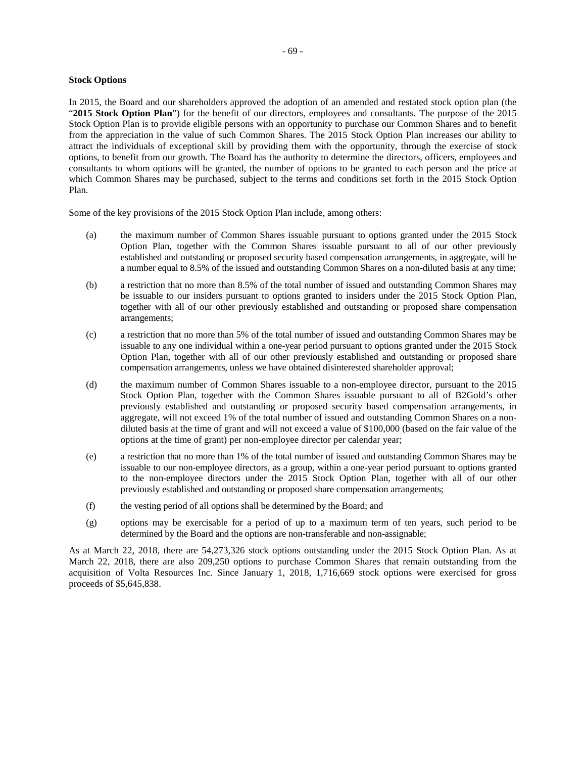#### **Stock Options**

In 2015, the Board and our shareholders approved the adoption of an amended and restated stock option plan (the "**2015 Stock Option Plan**") for the benefit of our directors, employees and consultants. The purpose of the 2015 Stock Option Plan is to provide eligible persons with an opportunity to purchase our Common Shares and to benefit from the appreciation in the value of such Common Shares. The 2015 Stock Option Plan increases our ability to attract the individuals of exceptional skill by providing them with the opportunity, through the exercise of stock options, to benefit from our growth. The Board has the authority to determine the directors, officers, employees and consultants to whom options will be granted, the number of options to be granted to each person and the price at which Common Shares may be purchased, subject to the terms and conditions set forth in the 2015 Stock Option Plan.

Some of the key provisions of the 2015 Stock Option Plan include, among others:

- (a) the maximum number of Common Shares issuable pursuant to options granted under the 2015 Stock Option Plan, together with the Common Shares issuable pursuant to all of our other previously established and outstanding or proposed security based compensation arrangements, in aggregate, will be a number equal to 8.5% of the issued and outstanding Common Shares on a non-diluted basis at any time;
- (b) a restriction that no more than 8.5% of the total number of issued and outstanding Common Shares may be issuable to our insiders pursuant to options granted to insiders under the 2015 Stock Option Plan, together with all of our other previously established and outstanding or proposed share compensation arrangements;
- (c) a restriction that no more than 5% of the total number of issued and outstanding Common Shares may be issuable to any one individual within a one-year period pursuant to options granted under the 2015 Stock Option Plan, together with all of our other previously established and outstanding or proposed share compensation arrangements, unless we have obtained disinterested shareholder approval;
- (d) the maximum number of Common Shares issuable to a non-employee director, pursuant to the 2015 Stock Option Plan, together with the Common Shares issuable pursuant to all of B2Gold's other previously established and outstanding or proposed security based compensation arrangements, in aggregate, will not exceed 1% of the total number of issued and outstanding Common Shares on a nondiluted basis at the time of grant and will not exceed a value of \$100,000 (based on the fair value of the options at the time of grant) per non-employee director per calendar year;
- (e) a restriction that no more than 1% of the total number of issued and outstanding Common Shares may be issuable to our non-employee directors, as a group, within a one-year period pursuant to options granted to the non-employee directors under the 2015 Stock Option Plan, together with all of our other previously established and outstanding or proposed share compensation arrangements;
- (f) the vesting period of all options shall be determined by the Board; and
- (g) options may be exercisable for a period of up to a maximum term of ten years, such period to be determined by the Board and the options are non-transferable and non-assignable;

As at March 22, 2018, there are 54,273,326 stock options outstanding under the 2015 Stock Option Plan. As at March 22, 2018, there are also 209,250 options to purchase Common Shares that remain outstanding from the acquisition of Volta Resources Inc. Since January 1, 2018, 1,716,669 stock options were exercised for gross proceeds of \$5,645,838.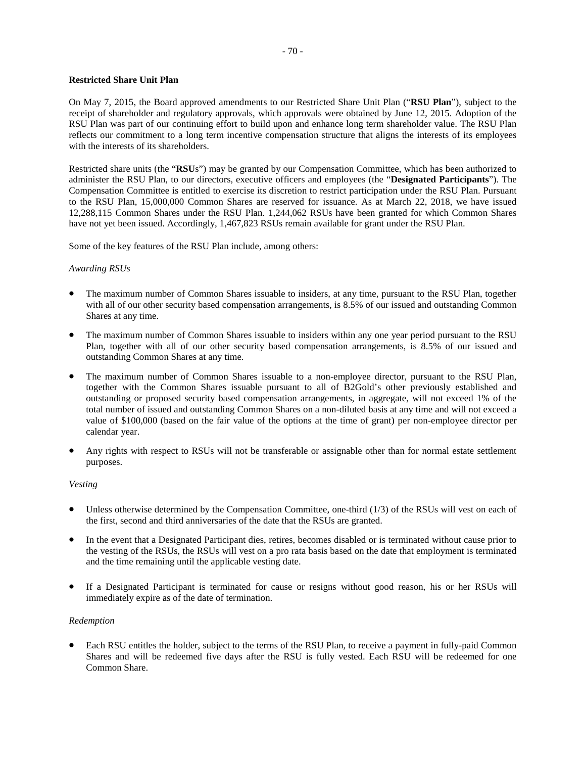### **Restricted Share Unit Plan**

On May 7, 2015, the Board approved amendments to our Restricted Share Unit Plan ("**RSU Plan**"), subject to the receipt of shareholder and regulatory approvals, which approvals were obtained by June 12, 2015. Adoption of the RSU Plan was part of our continuing effort to build upon and enhance long term shareholder value. The RSU Plan reflects our commitment to a long term incentive compensation structure that aligns the interests of its employees with the interests of its shareholders.

Restricted share units (the "**RSU**s") may be granted by our Compensation Committee, which has been authorized to administer the RSU Plan, to our directors, executive officers and employees (the "**Designated Participants**"). The Compensation Committee is entitled to exercise its discretion to restrict participation under the RSU Plan. Pursuant to the RSU Plan, 15,000,000 Common Shares are reserved for issuance. As at March 22, 2018, we have issued 12,288,115 Common Shares under the RSU Plan. 1,244,062 RSUs have been granted for which Common Shares have not yet been issued. Accordingly, 1,467,823 RSUs remain available for grant under the RSU Plan.

Some of the key features of the RSU Plan include, among others:

### *Awarding RSUs*

- The maximum number of Common Shares issuable to insiders, at any time, pursuant to the RSU Plan, together with all of our other security based compensation arrangements, is 8.5% of our issued and outstanding Common Shares at any time.
- The maximum number of Common Shares issuable to insiders within any one year period pursuant to the RSU Plan, together with all of our other security based compensation arrangements, is 8.5% of our issued and outstanding Common Shares at any time.
- The maximum number of Common Shares issuable to a non-employee director, pursuant to the RSU Plan, together with the Common Shares issuable pursuant to all of B2Gold's other previously established and outstanding or proposed security based compensation arrangements, in aggregate, will not exceed 1% of the total number of issued and outstanding Common Shares on a non-diluted basis at any time and will not exceed a value of \$100,000 (based on the fair value of the options at the time of grant) per non-employee director per calendar year.
- Any rights with respect to RSUs will not be transferable or assignable other than for normal estate settlement purposes.

#### *Vesting*

- Unless otherwise determined by the Compensation Committee, one-third (1/3) of the RSUs will vest on each of the first, second and third anniversaries of the date that the RSUs are granted.
- In the event that a Designated Participant dies, retires, becomes disabled or is terminated without cause prior to the vesting of the RSUs, the RSUs will vest on a pro rata basis based on the date that employment is terminated and the time remaining until the applicable vesting date.
- If a Designated Participant is terminated for cause or resigns without good reason, his or her RSUs will immediately expire as of the date of termination.

#### *Redemption*

• Each RSU entitles the holder, subject to the terms of the RSU Plan, to receive a payment in fully-paid Common Shares and will be redeemed five days after the RSU is fully vested. Each RSU will be redeemed for one Common Share.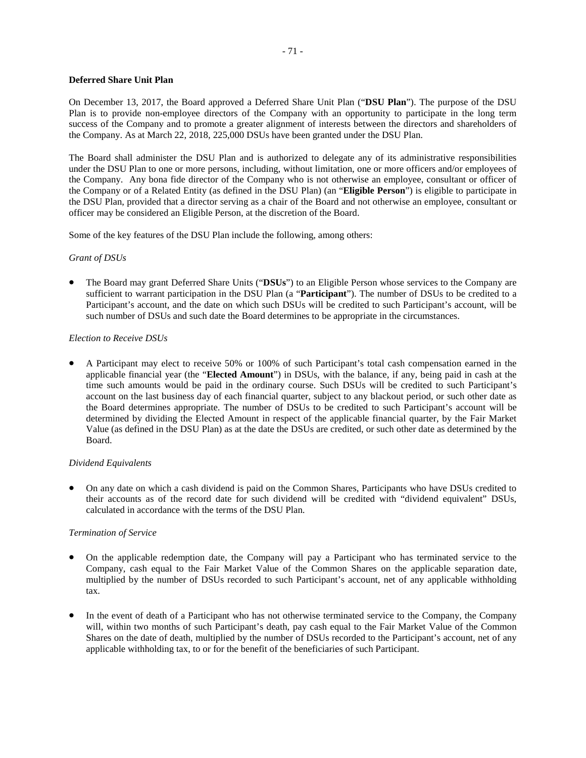# **Deferred Share Unit Plan**

On December 13, 2017, the Board approved a Deferred Share Unit Plan ("**DSU Plan**"). The purpose of the DSU Plan is to provide non-employee directors of the Company with an opportunity to participate in the long term success of the Company and to promote a greater alignment of interests between the directors and shareholders of the Company. As at March 22, 2018, 225,000 DSUs have been granted under the DSU Plan.

The Board shall administer the DSU Plan and is authorized to delegate any of its administrative responsibilities under the DSU Plan to one or more persons, including, without limitation, one or more officers and/or employees of the Company. Any bona fide director of the Company who is not otherwise an employee, consultant or officer of the Company or of a Related Entity (as defined in the DSU Plan) (an "**Eligible Person**") is eligible to participate in the DSU Plan, provided that a director serving as a chair of the Board and not otherwise an employee, consultant or officer may be considered an Eligible Person, at the discretion of the Board.

Some of the key features of the DSU Plan include the following, among others:

# *Grant of DSUs*

• The Board may grant Deferred Share Units ("**DSUs**") to an Eligible Person whose services to the Company are sufficient to warrant participation in the DSU Plan (a "**Participant**"). The number of DSUs to be credited to a Participant's account, and the date on which such DSUs will be credited to such Participant's account, will be such number of DSUs and such date the Board determines to be appropriate in the circumstances.

# *Election to Receive DSUs*

• A Participant may elect to receive 50% or 100% of such Participant's total cash compensation earned in the applicable financial year (the "**Elected Amount**") in DSUs, with the balance, if any, being paid in cash at the time such amounts would be paid in the ordinary course. Such DSUs will be credited to such Participant's account on the last business day of each financial quarter, subject to any blackout period, or such other date as the Board determines appropriate. The number of DSUs to be credited to such Participant's account will be determined by dividing the Elected Amount in respect of the applicable financial quarter, by the Fair Market Value (as defined in the DSU Plan) as at the date the DSUs are credited, or such other date as determined by the Board.

### *Dividend Equivalents*

• On any date on which a cash dividend is paid on the Common Shares, Participants who have DSUs credited to their accounts as of the record date for such dividend will be credited with "dividend equivalent" DSUs, calculated in accordance with the terms of the DSU Plan.

### *Termination of Service*

- On the applicable redemption date, the Company will pay a Participant who has terminated service to the Company, cash equal to the Fair Market Value of the Common Shares on the applicable separation date, multiplied by the number of DSUs recorded to such Participant's account, net of any applicable withholding tax.
- In the event of death of a Participant who has not otherwise terminated service to the Company, the Company will, within two months of such Participant's death, pay cash equal to the Fair Market Value of the Common Shares on the date of death, multiplied by the number of DSUs recorded to the Participant's account, net of any applicable withholding tax, to or for the benefit of the beneficiaries of such Participant.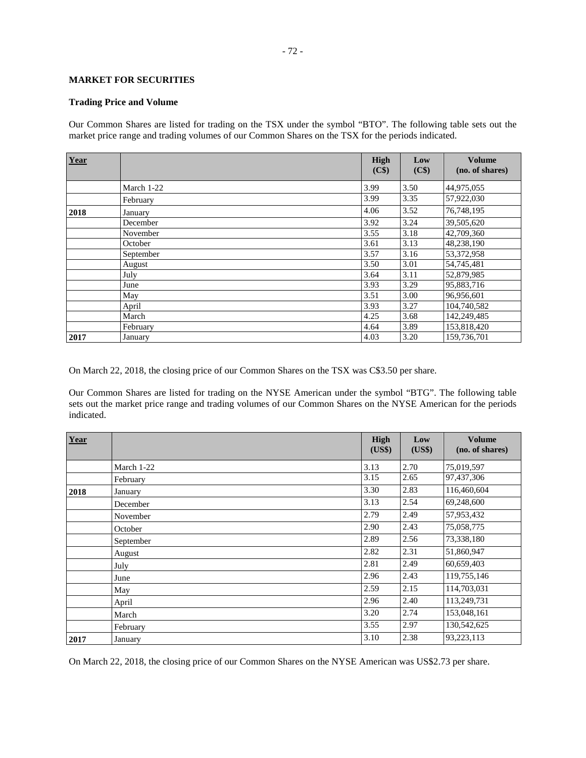# **MARKET FOR SECURITIES**

# **Trading Price and Volume**

Our Common Shares are listed for trading on the TSX under the symbol "BTO". The following table sets out the market price range and trading volumes of our Common Shares on the TSX for the periods indicated.

| Year |            | <b>High</b><br>$(C$ \$) | Low<br>$(C$ (C\spectrically) | <b>Volume</b><br>(no. of shares) |
|------|------------|-------------------------|------------------------------|----------------------------------|
|      | March 1-22 | 3.99                    | 3.50                         | 44,975,055                       |
|      | February   | 3.99                    | 3.35                         | 57,922,030                       |
| 2018 | January    | 4.06                    | 3.52                         | 76,748,195                       |
|      | December   | 3.92                    | 3.24                         | 39,505,620                       |
|      | November   | 3.55                    | 3.18                         | 42,709,360                       |
|      | October    | 3.61                    | 3.13                         | 48,238,190                       |
|      | September  | 3.57                    | 3.16                         | 53,372,958                       |
|      | August     | 3.50                    | 3.01                         | 54,745,481                       |
|      | July       | 3.64                    | 3.11                         | 52,879,985                       |
|      | June       | 3.93                    | 3.29                         | 95,883,716                       |
|      | May        | 3.51                    | 3.00                         | 96,956,601                       |
|      | April      | 3.93                    | 3.27                         | 104,740,582                      |
|      | March      | 4.25                    | 3.68                         | 142,249,485                      |
|      | February   | 4.64                    | 3.89                         | 153,818,420                      |
| 2017 | January    | 4.03                    | 3.20                         | 159.736.701                      |

On March 22, 2018, the closing price of our Common Shares on the TSX was C\$3.50 per share.

Our Common Shares are listed for trading on the NYSE American under the symbol "BTG". The following table sets out the market price range and trading volumes of our Common Shares on the NYSE American for the periods indicated.

| Year |            | High<br>(US\$) | Low<br>(US\$) | <b>Volume</b><br>(no. of shares) |
|------|------------|----------------|---------------|----------------------------------|
|      | March 1-22 | 3.13           | 2.70          | 75,019,597                       |
|      | February   | 3.15           | 2.65          | 97,437,306                       |
| 2018 | January    | 3.30           | 2.83          | 116,460,604                      |
|      | December   | 3.13           | 2.54          | 69,248,600                       |
|      | November   | 2.79           | 2.49          | 57,953,432                       |
|      | October    | 2.90           | 2.43          | 75,058,775                       |
|      | September  | 2.89           | 2.56          | 73,338,180                       |
|      | August     | 2.82           | 2.31          | 51,860,947                       |
|      | July       | 2.81           | 2.49          | 60,659,403                       |
|      | June       | 2.96           | 2.43          | 119,755,146                      |
|      | May        | 2.59           | 2.15          | 114,703,031                      |
|      | April      | 2.96           | 2.40          | 113,249,731                      |
|      | March      | 3.20           | 2.74          | 153,048,161                      |
|      | February   | 3.55           | 2.97          | 130,542,625                      |
| 2017 | January    | 3.10           | 2.38          | 93,223,113                       |

On March 22, 2018, the closing price of our Common Shares on the NYSE American was US\$2.73 per share.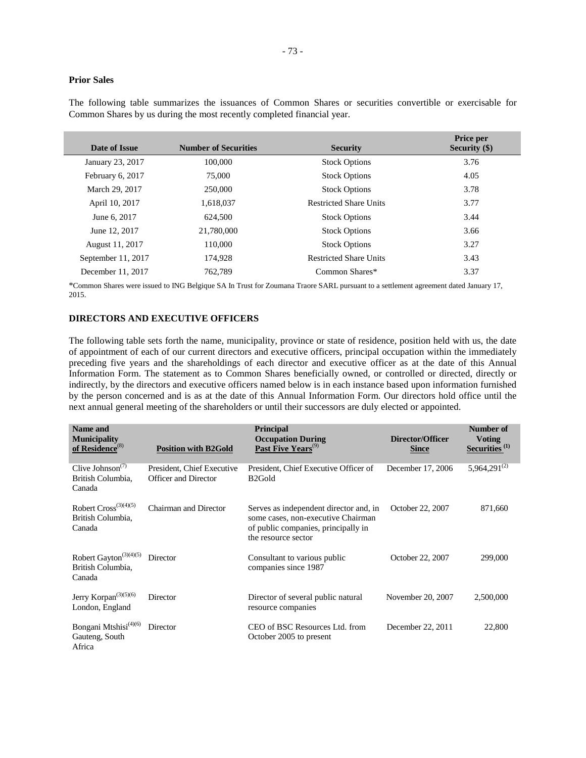### **Prior Sales**

The following table summarizes the issuances of Common Shares or securities convertible or exercisable for Common Shares by us during the most recently completed financial year.

| <b>Number of Securities</b> | <b>Security</b>               | Price per<br>Security (\$) |
|-----------------------------|-------------------------------|----------------------------|
| 100,000                     | <b>Stock Options</b>          | 3.76                       |
| 75,000                      | <b>Stock Options</b>          | 4.05                       |
| 250,000                     | <b>Stock Options</b>          | 3.78                       |
| 1,618,037                   | <b>Restricted Share Units</b> | 3.77                       |
| 624,500                     | <b>Stock Options</b>          | 3.44                       |
| 21,780,000                  | <b>Stock Options</b>          | 3.66                       |
| 110,000                     | <b>Stock Options</b>          | 3.27                       |
| 174.928                     | <b>Restricted Share Units</b> | 3.43                       |
| 762,789                     | Common Shares*                | 3.37                       |
|                             |                               |                            |

\*Common Shares were issued to ING Belgique SA In Trust for Zoumana Traore SARL pursuant to a settlement agreement dated January 17, 2015.

### **DIRECTORS AND EXECUTIVE OFFICERS**

The following table sets forth the name, municipality, province or state of residence, position held with us, the date of appointment of each of our current directors and executive officers, principal occupation within the immediately preceding five years and the shareholdings of each director and executive officer as at the date of this Annual Information Form. The statement as to Common Shares beneficially owned, or controlled or directed, directly or indirectly, by the directors and executive officers named below is in each instance based upon information furnished by the person concerned and is as at the date of this Annual Information Form. Our directors hold office until the next annual general meeting of the shareholders or until their successors are duly elected or appointed.

| Name and<br><b>Municipality</b><br>of Residence <sup>(8)</sup>    | <b>Position with B2Gold</b>                        | Principal<br><b>Occupation During</b><br>Past Five Years <sup>(9)</sup>                                                                    | Director/Officer<br><b>Since</b> | Number of<br><b>Voting</b><br>Securities <sup>(1)</sup> |
|-------------------------------------------------------------------|----------------------------------------------------|--------------------------------------------------------------------------------------------------------------------------------------------|----------------------------------|---------------------------------------------------------|
| Clive Johnson <sup>(7)</sup><br>British Columbia,<br>Canada       | President, Chief Executive<br>Officer and Director | President, Chief Executive Officer of<br>B <sub>2</sub> Gold                                                                               | December 17, 2006                | $5,964,291^{(2)}$                                       |
| Robert Cross <sup>(3)(4)(5)</sup><br>British Columbia,<br>Canada  | Chairman and Director                              | Serves as independent director and, in<br>some cases, non-executive Chairman<br>of public companies, principally in<br>the resource sector | October 22, 2007                 | 871,660                                                 |
| Robert Gayton <sup>(3)(4)(5)</sup><br>British Columbia,<br>Canada | Director                                           | Consultant to various public<br>companies since 1987                                                                                       | October 22, 2007                 | 299,000                                                 |
| Jerry Korpan <sup>(3)(5)(6)</sup><br>London, England              | Director                                           | Director of several public natural<br>resource companies                                                                                   | November 20, 2007                | 2,500,000                                               |
| Bongani Mtshisi <sup>(4)(6)</sup><br>Gauteng, South<br>Africa     | Director                                           | CEO of BSC Resources Ltd. from<br>October 2005 to present                                                                                  | December 22, 2011                | 22,800                                                  |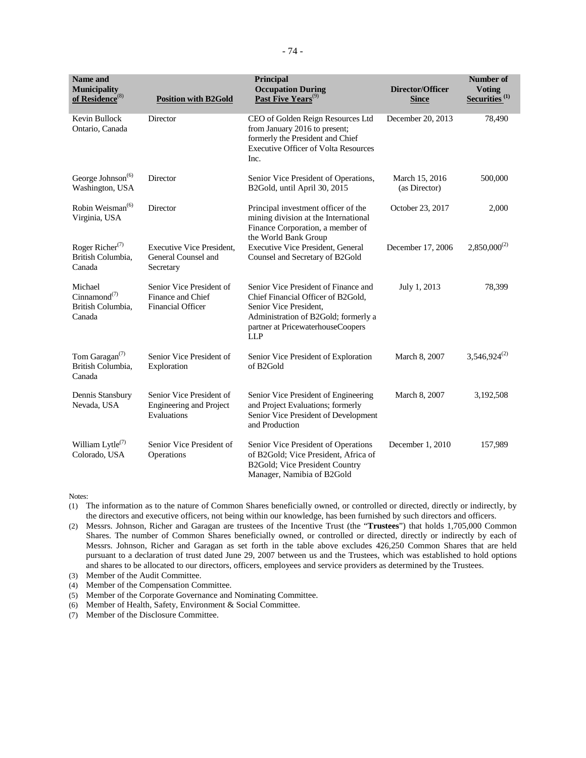| Name and<br><b>Municipality</b><br>of Residence <sup>(8)</sup>          | <b>Position with B2Gold</b>                                               | Principal<br><b>Occupation During</b><br>Past Five Years <sup>(9)</sup>                                                                                                                         | Director/Officer<br><b>Since</b> | <b>Number of</b><br><b>Voting</b><br>Securities <sup>(1)</sup> |
|-------------------------------------------------------------------------|---------------------------------------------------------------------------|-------------------------------------------------------------------------------------------------------------------------------------------------------------------------------------------------|----------------------------------|----------------------------------------------------------------|
| Kevin Bullock<br>Ontario, Canada                                        | Director                                                                  | CEO of Golden Reign Resources Ltd<br>from January 2016 to present;<br>formerly the President and Chief<br><b>Executive Officer of Volta Resources</b><br>Inc.                                   | December 20, 2013                | 78,490                                                         |
| George Johnson <sup>(6)</sup><br>Washington, USA                        | Director                                                                  | Senior Vice President of Operations,<br>B2Gold, until April 30, 2015                                                                                                                            | March 15, 2016<br>(as Director)  | 500,000                                                        |
| Robin Weisman <sup>(6)</sup><br>Virginia, USA                           | Director                                                                  | Principal investment officer of the<br>mining division at the International<br>Finance Corporation, a member of<br>the World Bank Group                                                         | October 23, 2017                 | 2,000                                                          |
| Roger Richer <sup><math>(7)</math></sup><br>British Columbia,<br>Canada | <b>Executive Vice President,</b><br>General Counsel and<br>Secretary      | <b>Executive Vice President, General</b><br>Counsel and Secretary of B2Gold                                                                                                                     | December 17, 2006                | $2,850,000^{(2)}$                                              |
| Michael<br>$Cinnamond^{(7)}$<br>British Columbia,<br>Canada             | Senior Vice President of<br>Finance and Chief<br><b>Financial Officer</b> | Senior Vice President of Finance and<br>Chief Financial Officer of B2Gold,<br>Senior Vice President,<br>Administration of B2Gold; formerly a<br>partner at PricewaterhouseCoopers<br><b>LLP</b> | July 1, 2013                     | 78,399                                                         |
| Tom Garagan <sup><math>(7)</math></sup><br>British Columbia,<br>Canada  | Senior Vice President of<br>Exploration                                   | Senior Vice President of Exploration<br>of B <sub>2</sub> Gold                                                                                                                                  | March 8, 2007                    | $3,546,924^{(2)}$                                              |
| Dennis Stansbury<br>Nevada, USA                                         | Senior Vice President of<br><b>Engineering and Project</b><br>Evaluations | Senior Vice President of Engineering<br>and Project Evaluations; formerly<br>Senior Vice President of Development<br>and Production                                                             | March 8, 2007                    | 3,192,508                                                      |
| William Lytle <sup>(7)</sup><br>Colorado, USA                           | Senior Vice President of<br>Operations                                    | Senior Vice President of Operations<br>of B2Gold; Vice President, Africa of<br>B2Gold; Vice President Country<br>Manager, Namibia of B2Gold                                                     | December 1, 2010                 | 157,989                                                        |

Notes:

(1) The information as to the nature of Common Shares beneficially owned, or controlled or directed, directly or indirectly, by the directors and executive officers, not being within our knowledge, has been furnished by such directors and officers.

(2) Messrs. Johnson, Richer and Garagan are trustees of the Incentive Trust (the "**Trustees**") that holds 1,705,000 Common Shares. The number of Common Shares beneficially owned, or controlled or directed, directly or indirectly by each of Messrs. Johnson, Richer and Garagan as set forth in the table above excludes 426,250 Common Shares that are held pursuant to a declaration of trust dated June 29, 2007 between us and the Trustees, which was established to hold options and shares to be allocated to our directors, officers, employees and service providers as determined by the Trustees.

(3) Member of the Audit Committee.

(4) Member of the Compensation Committee.

(5) Member of the Corporate Governance and Nominating Committee.

(6) Member of Health, Safety, Environment & Social Committee.

(7) Member of the Disclosure Committee.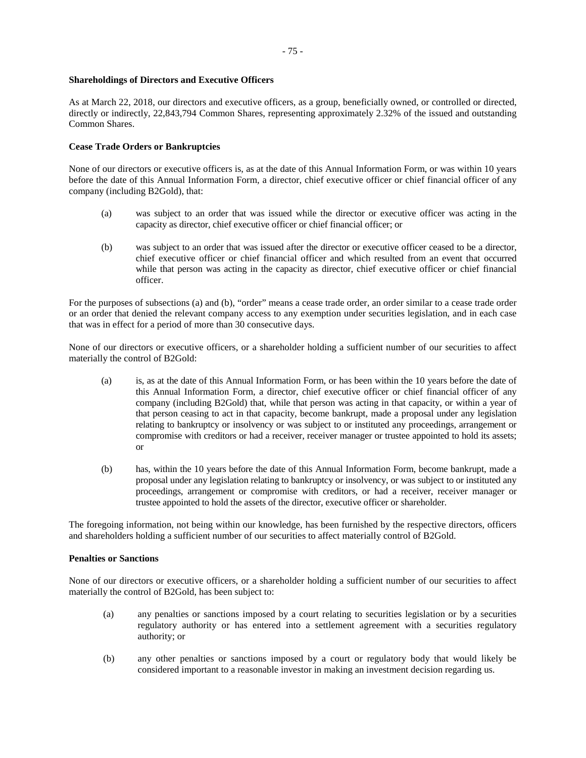# **Shareholdings of Directors and Executive Officers**

As at March 22, 2018, our directors and executive officers, as a group, beneficially owned, or controlled or directed, directly or indirectly, 22,843,794 Common Shares, representing approximately 2.32% of the issued and outstanding Common Shares.

# **Cease Trade Orders or Bankruptcies**

None of our directors or executive officers is, as at the date of this Annual Information Form, or was within 10 years before the date of this Annual Information Form, a director, chief executive officer or chief financial officer of any company (including B2Gold), that:

- (a) was subject to an order that was issued while the director or executive officer was acting in the capacity as director, chief executive officer or chief financial officer; or
- (b) was subject to an order that was issued after the director or executive officer ceased to be a director, chief executive officer or chief financial officer and which resulted from an event that occurred while that person was acting in the capacity as director, chief executive officer or chief financial officer.

For the purposes of subsections (a) and (b), "order" means a cease trade order, an order similar to a cease trade order or an order that denied the relevant company access to any exemption under securities legislation, and in each case that was in effect for a period of more than 30 consecutive days.

None of our directors or executive officers, or a shareholder holding a sufficient number of our securities to affect materially the control of B2Gold:

- (a) is, as at the date of this Annual Information Form, or has been within the 10 years before the date of this Annual Information Form, a director, chief executive officer or chief financial officer of any company (including B2Gold) that, while that person was acting in that capacity, or within a year of that person ceasing to act in that capacity, become bankrupt, made a proposal under any legislation relating to bankruptcy or insolvency or was subject to or instituted any proceedings, arrangement or compromise with creditors or had a receiver, receiver manager or trustee appointed to hold its assets; or
- (b) has, within the 10 years before the date of this Annual Information Form, become bankrupt, made a proposal under any legislation relating to bankruptcy or insolvency, or was subject to or instituted any proceedings, arrangement or compromise with creditors, or had a receiver, receiver manager or trustee appointed to hold the assets of the director, executive officer or shareholder.

The foregoing information, not being within our knowledge, has been furnished by the respective directors, officers and shareholders holding a sufficient number of our securities to affect materially control of B2Gold.

# **Penalties or Sanctions**

None of our directors or executive officers, or a shareholder holding a sufficient number of our securities to affect materially the control of B2Gold, has been subject to:

- (a) any penalties or sanctions imposed by a court relating to securities legislation or by a securities regulatory authority or has entered into a settlement agreement with a securities regulatory authority; or
- (b) any other penalties or sanctions imposed by a court or regulatory body that would likely be considered important to a reasonable investor in making an investment decision regarding us.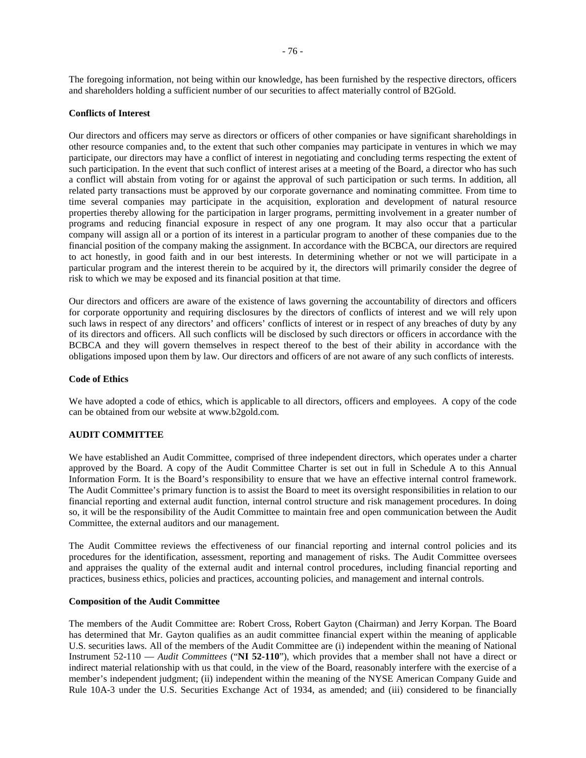The foregoing information, not being within our knowledge, has been furnished by the respective directors, officers and shareholders holding a sufficient number of our securities to affect materially control of B2Gold.

### **Conflicts of Interest**

Our directors and officers may serve as directors or officers of other companies or have significant shareholdings in other resource companies and, to the extent that such other companies may participate in ventures in which we may participate, our directors may have a conflict of interest in negotiating and concluding terms respecting the extent of such participation. In the event that such conflict of interest arises at a meeting of the Board, a director who has such a conflict will abstain from voting for or against the approval of such participation or such terms. In addition, all related party transactions must be approved by our corporate governance and nominating committee. From time to time several companies may participate in the acquisition, exploration and development of natural resource properties thereby allowing for the participation in larger programs, permitting involvement in a greater number of programs and reducing financial exposure in respect of any one program. It may also occur that a particular company will assign all or a portion of its interest in a particular program to another of these companies due to the financial position of the company making the assignment. In accordance with the BCBCA, our directors are required to act honestly, in good faith and in our best interests. In determining whether or not we will participate in a particular program and the interest therein to be acquired by it, the directors will primarily consider the degree of risk to which we may be exposed and its financial position at that time.

Our directors and officers are aware of the existence of laws governing the accountability of directors and officers for corporate opportunity and requiring disclosures by the directors of conflicts of interest and we will rely upon such laws in respect of any directors' and officers' conflicts of interest or in respect of any breaches of duty by any of its directors and officers. All such conflicts will be disclosed by such directors or officers in accordance with the BCBCA and they will govern themselves in respect thereof to the best of their ability in accordance with the obligations imposed upon them by law. Our directors and officers of are not aware of any such conflicts of interests.

### **Code of Ethics**

We have adopted a code of ethics, which is applicable to all directors, officers and employees. A copy of the code can be obtained from our website at www.b2gold.com.

### **AUDIT COMMITTEE**

We have established an Audit Committee, comprised of three independent directors, which operates under a charter approved by the Board. A copy of the Audit Committee Charter is set out in full in Schedule A to this Annual Information Form. It is the Board's responsibility to ensure that we have an effective internal control framework. The Audit Committee's primary function is to assist the Board to meet its oversight responsibilities in relation to our financial reporting and external audit function, internal control structure and risk management procedures. In doing so, it will be the responsibility of the Audit Committee to maintain free and open communication between the Audit Committee, the external auditors and our management.

The Audit Committee reviews the effectiveness of our financial reporting and internal control policies and its procedures for the identification, assessment, reporting and management of risks. The Audit Committee oversees and appraises the quality of the external audit and internal control procedures, including financial reporting and practices, business ethics, policies and practices, accounting policies, and management and internal controls.

#### **Composition of the Audit Committee**

The members of the Audit Committee are: Robert Cross, Robert Gayton (Chairman) and Jerry Korpan. The Board has determined that Mr. Gayton qualifies as an audit committee financial expert within the meaning of applicable U.S. securities laws. All of the members of the Audit Committee are (i) independent within the meaning of National Instrument 52-110 — *Audit Committees* ("**NI 52-110**"), which provides that a member shall not have a direct or indirect material relationship with us that could, in the view of the Board, reasonably interfere with the exercise of a member's independent judgment; (ii) independent within the meaning of the NYSE American Company Guide and Rule 10A-3 under the U.S. Securities Exchange Act of 1934, as amended; and (iii) considered to be financially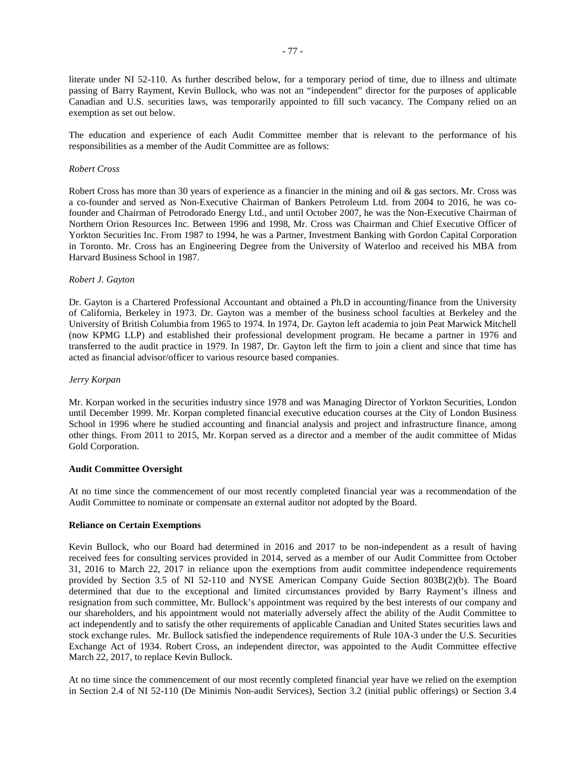literate under NI 52-110. As further described below, for a temporary period of time, due to illness and ultimate passing of Barry Rayment, Kevin Bullock, who was not an "independent" director for the purposes of applicable Canadian and U.S. securities laws, was temporarily appointed to fill such vacancy. The Company relied on an exemption as set out below.

The education and experience of each Audit Committee member that is relevant to the performance of his responsibilities as a member of the Audit Committee are as follows:

#### *Robert Cross*

Robert Cross has more than 30 years of experience as a financier in the mining and oil & gas sectors. Mr. Cross was a co-founder and served as Non-Executive Chairman of Bankers Petroleum Ltd. from 2004 to 2016, he was cofounder and Chairman of Petrodorado Energy Ltd., and until October 2007, he was the Non-Executive Chairman of Northern Orion Resources Inc. Between 1996 and 1998, Mr. Cross was Chairman and Chief Executive Officer of Yorkton Securities Inc. From 1987 to 1994, he was a Partner, Investment Banking with Gordon Capital Corporation in Toronto. Mr. Cross has an Engineering Degree from the University of Waterloo and received his MBA from Harvard Business School in 1987.

#### *Robert J. Gayton*

Dr. Gayton is a Chartered Professional Accountant and obtained a Ph.D in accounting/finance from the University of California, Berkeley in 1973. Dr. Gayton was a member of the business school faculties at Berkeley and the University of British Columbia from 1965 to 1974. In 1974, Dr. Gayton left academia to join Peat Marwick Mitchell (now KPMG LLP) and established their professional development program. He became a partner in 1976 and transferred to the audit practice in 1979. In 1987, Dr. Gayton left the firm to join a client and since that time has acted as financial advisor/officer to various resource based companies.

#### *Jerry Korpan*

Mr. Korpan worked in the securities industry since 1978 and was Managing Director of Yorkton Securities, London until December 1999. Mr. Korpan completed financial executive education courses at the City of London Business School in 1996 where he studied accounting and financial analysis and project and infrastructure finance, among other things. From 2011 to 2015, Mr. Korpan served as a director and a member of the audit committee of Midas Gold Corporation.

#### **Audit Committee Oversight**

At no time since the commencement of our most recently completed financial year was a recommendation of the Audit Committee to nominate or compensate an external auditor not adopted by the Board.

#### **Reliance on Certain Exemptions**

Kevin Bullock, who our Board had determined in 2016 and 2017 to be non-independent as a result of having received fees for consulting services provided in 2014, served as a member of our Audit Committee from October 31, 2016 to March 22, 2017 in reliance upon the exemptions from audit committee independence requirements provided by Section 3.5 of NI 52-110 and NYSE American Company Guide Section 803B(2)(b). The Board determined that due to the exceptional and limited circumstances provided by Barry Rayment's illness and resignation from such committee, Mr. Bullock's appointment was required by the best interests of our company and our shareholders, and his appointment would not materially adversely affect the ability of the Audit Committee to act independently and to satisfy the other requirements of applicable Canadian and United States securities laws and stock exchange rules. Mr. Bullock satisfied the independence requirements of Rule 10A-3 under the U.S. Securities Exchange Act of 1934. Robert Cross, an independent director, was appointed to the Audit Committee effective March 22, 2017, to replace Kevin Bullock.

At no time since the commencement of our most recently completed financial year have we relied on the exemption in Section 2.4 of NI 52-110 (De Minimis Non-audit Services), Section 3.2 (initial public offerings) or Section 3.4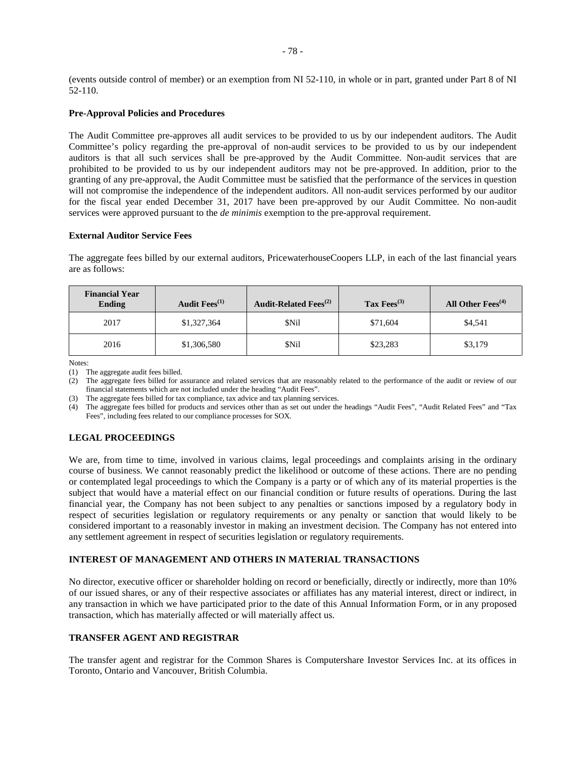(events outside control of member) or an exemption from NI 52-110, in whole or in part, granted under Part 8 of NI 52-110.

# **Pre-Approval Policies and Procedures**

The Audit Committee pre-approves all audit services to be provided to us by our independent auditors. The Audit Committee's policy regarding the pre-approval of non-audit services to be provided to us by our independent auditors is that all such services shall be pre-approved by the Audit Committee. Non-audit services that are prohibited to be provided to us by our independent auditors may not be pre-approved. In addition, prior to the granting of any pre-approval, the Audit Committee must be satisfied that the performance of the services in question will not compromise the independence of the independent auditors. All non-audit services performed by our auditor for the fiscal year ended December 31, 2017 have been pre-approved by our Audit Committee. No non-audit services were approved pursuant to the *de minimis* exemption to the pre-approval requirement.

# **External Auditor Service Fees**

The aggregate fees billed by our external auditors, PricewaterhouseCoopers LLP, in each of the last financial years are as follows:

| <b>Financial Year</b><br>Ending | Audit Fees <sup>(1)</sup> | <b>Audit-Related Fees</b> <sup>(2)</sup> | Tax $Fees^{(3)}$ | All Other Fees <sup>(4)</sup> |
|---------------------------------|---------------------------|------------------------------------------|------------------|-------------------------------|
| 2017                            | \$1,327,364               | \$Nil                                    | \$71,604         | \$4.541                       |
| 2016                            | \$1,306,580               | \$Nil                                    | \$23,283         | \$3,179                       |

Notes:

(1) The aggregate audit fees billed.

(2) The aggregate fees billed for assurance and related services that are reasonably related to the performance of the audit or review of our financial statements which are not included under the heading "Audit Fees".

(3) The aggregate fees billed for tax compliance, tax advice and tax planning services.

(4) The aggregate fees billed for products and services other than as set out under the headings "Audit Fees", "Audit Related Fees" and "Tax Fees", including fees related to our compliance processes for SOX.

# **LEGAL PROCEEDINGS**

We are, from time to time, involved in various claims, legal proceedings and complaints arising in the ordinary course of business. We cannot reasonably predict the likelihood or outcome of these actions. There are no pending or contemplated legal proceedings to which the Company is a party or of which any of its material properties is the subject that would have a material effect on our financial condition or future results of operations. During the last financial year, the Company has not been subject to any penalties or sanctions imposed by a regulatory body in respect of securities legislation or regulatory requirements or any penalty or sanction that would likely to be considered important to a reasonably investor in making an investment decision. The Company has not entered into any settlement agreement in respect of securities legislation or regulatory requirements.

# **INTEREST OF MANAGEMENT AND OTHERS IN MATERIAL TRANSACTIONS**

No director, executive officer or shareholder holding on record or beneficially, directly or indirectly, more than 10% of our issued shares, or any of their respective associates or affiliates has any material interest, direct or indirect, in any transaction in which we have participated prior to the date of this Annual Information Form, or in any proposed transaction, which has materially affected or will materially affect us.

# **TRANSFER AGENT AND REGISTRAR**

The transfer agent and registrar for the Common Shares is Computershare Investor Services Inc. at its offices in Toronto, Ontario and Vancouver, British Columbia.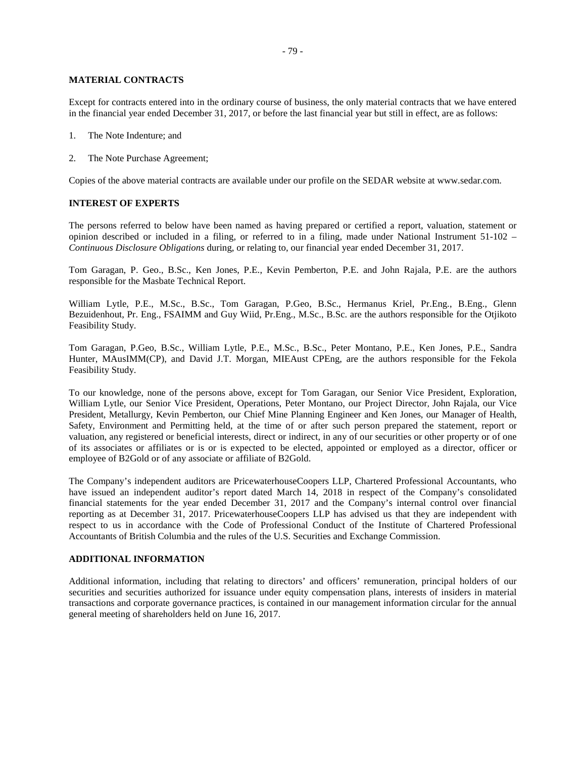# - 79 -

### **MATERIAL CONTRACTS**

Except for contracts entered into in the ordinary course of business, the only material contracts that we have entered in the financial year ended December 31, 2017, or before the last financial year but still in effect, are as follows:

- 1. The Note Indenture; and
- 2. The Note Purchase Agreement;

Copies of the above material contracts are available under our profile on the SEDAR website at www.sedar.com.

# **INTEREST OF EXPERTS**

The persons referred to below have been named as having prepared or certified a report, valuation, statement or opinion described or included in a filing, or referred to in a filing, made under National Instrument 51-102 – *Continuous Disclosure Obligations* during, or relating to, our financial year ended December 31, 2017.

Tom Garagan, P. Geo., B.Sc., Ken Jones, P.E., Kevin Pemberton, P.E. and John Rajala, P.E. are the authors responsible for the Masbate Technical Report.

William Lytle, P.E., M.Sc., B.Sc., Tom Garagan, P.Geo, B.Sc., Hermanus Kriel, Pr.Eng., B.Eng., Glenn Bezuidenhout, Pr. Eng., FSAIMM and Guy Wiid, Pr.Eng., M.Sc., B.Sc. are the authors responsible for the Otjikoto Feasibility Study.

Tom Garagan, P.Geo, B.Sc., William Lytle, P.E., M.Sc., B.Sc., Peter Montano, P.E., Ken Jones, P.E., Sandra Hunter, MAusIMM(CP), and David J.T. Morgan, MIEAust CPEng, are the authors responsible for the Fekola Feasibility Study.

To our knowledge, none of the persons above, except for Tom Garagan, our Senior Vice President, Exploration, William Lytle, our Senior Vice President, Operations, Peter Montano, our Project Director, John Rajala, our Vice President, Metallurgy, Kevin Pemberton, our Chief Mine Planning Engineer and Ken Jones, our Manager of Health, Safety, Environment and Permitting held, at the time of or after such person prepared the statement, report or valuation, any registered or beneficial interests, direct or indirect, in any of our securities or other property or of one of its associates or affiliates or is or is expected to be elected, appointed or employed as a director, officer or employee of B2Gold or of any associate or affiliate of B2Gold.

The Company's independent auditors are PricewaterhouseCoopers LLP, Chartered Professional Accountants, who have issued an independent auditor's report dated March 14, 2018 in respect of the Company's consolidated financial statements for the year ended December 31, 2017 and the Company's internal control over financial reporting as at December 31, 2017. PricewaterhouseCoopers LLP has advised us that they are independent with respect to us in accordance with the Code of Professional Conduct of the Institute of Chartered Professional Accountants of British Columbia and the rules of the U.S. Securities and Exchange Commission.

### **ADDITIONAL INFORMATION**

Additional information, including that relating to directors' and officers' remuneration, principal holders of our securities and securities authorized for issuance under equity compensation plans, interests of insiders in material transactions and corporate governance practices, is contained in our management information circular for the annual general meeting of shareholders held on June 16, 2017.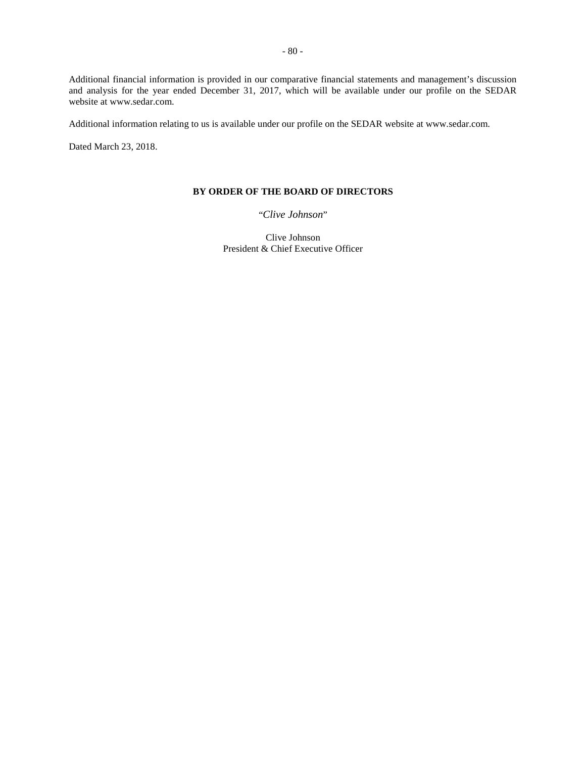Additional financial information is provided in our comparative financial statements and management's discussion and analysis for the year ended December 31, 2017, which will be available under our profile on the SEDAR website at www.sedar.com.

Additional information relating to us is available under our profile on the SEDAR website at www.sedar.com.

Dated March 23, 2018.

### **BY ORDER OF THE BOARD OF DIRECTORS**

"*Clive Johnson*"

Clive Johnson President & Chief Executive Officer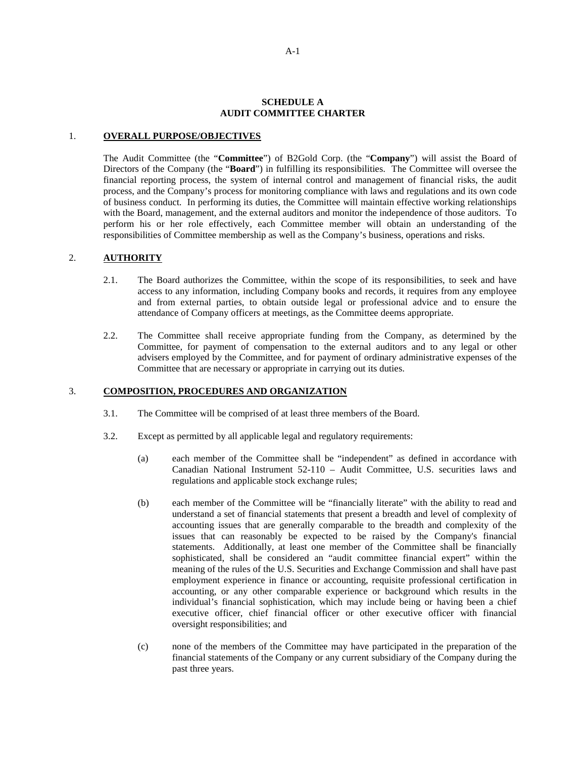### **SCHEDULE A AUDIT COMMITTEE CHARTER**

# 1. **OVERALL PURPOSE/OBJECTIVES**

The Audit Committee (the "**Committee**") of B2Gold Corp. (the "**Company**") will assist the Board of Directors of the Company (the "**Board**") in fulfilling its responsibilities. The Committee will oversee the financial reporting process, the system of internal control and management of financial risks, the audit process, and the Company's process for monitoring compliance with laws and regulations and its own code of business conduct. In performing its duties, the Committee will maintain effective working relationships with the Board, management, and the external auditors and monitor the independence of those auditors. To perform his or her role effectively, each Committee member will obtain an understanding of the responsibilities of Committee membership as well as the Company's business, operations and risks.

# 2. **AUTHORITY**

- 2.1. The Board authorizes the Committee, within the scope of its responsibilities, to seek and have access to any information, including Company books and records, it requires from any employee and from external parties, to obtain outside legal or professional advice and to ensure the attendance of Company officers at meetings, as the Committee deems appropriate.
- 2.2. The Committee shall receive appropriate funding from the Company, as determined by the Committee, for payment of compensation to the external auditors and to any legal or other advisers employed by the Committee, and for payment of ordinary administrative expenses of the Committee that are necessary or appropriate in carrying out its duties.

# 3. **COMPOSITION, PROCEDURES AND ORGANIZATION**

- 3.1. The Committee will be comprised of at least three members of the Board.
- 3.2. Except as permitted by all applicable legal and regulatory requirements:
	- (a) each member of the Committee shall be "independent" as defined in accordance with Canadian National Instrument 52-110 – Audit Committee, U.S. securities laws and regulations and applicable stock exchange rules;
	- (b) each member of the Committee will be "financially literate" with the ability to read and understand a set of financial statements that present a breadth and level of complexity of accounting issues that are generally comparable to the breadth and complexity of the issues that can reasonably be expected to be raised by the Company's financial statements. Additionally, at least one member of the Committee shall be financially sophisticated, shall be considered an "audit committee financial expert" within the meaning of the rules of the U.S. Securities and Exchange Commission and shall have past employment experience in finance or accounting, requisite professional certification in accounting, or any other comparable experience or background which results in the individual's financial sophistication, which may include being or having been a chief executive officer, chief financial officer or other executive officer with financial oversight responsibilities; and
	- (c) none of the members of the Committee may have participated in the preparation of the financial statements of the Company or any current subsidiary of the Company during the past three years.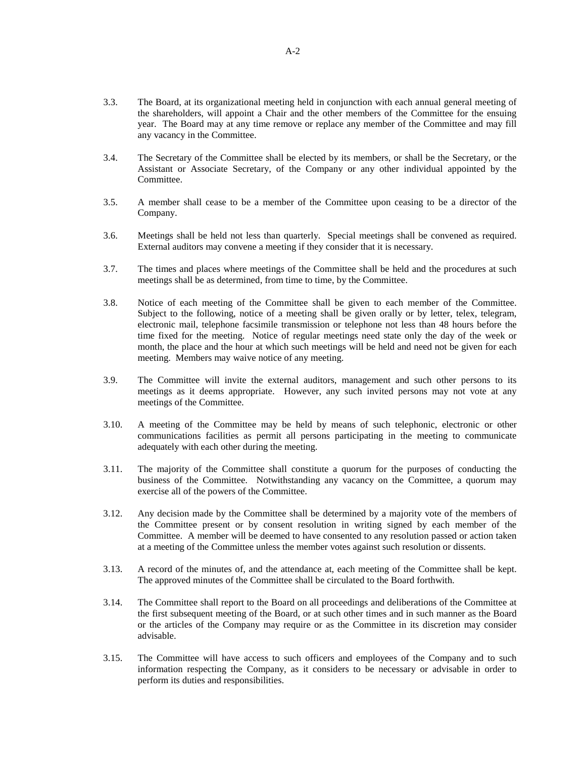- 3.3. The Board, at its organizational meeting held in conjunction with each annual general meeting of the shareholders, will appoint a Chair and the other members of the Committee for the ensuing year. The Board may at any time remove or replace any member of the Committee and may fill any vacancy in the Committee.
- 3.4. The Secretary of the Committee shall be elected by its members, or shall be the Secretary, or the Assistant or Associate Secretary, of the Company or any other individual appointed by the Committee.
- 3.5. A member shall cease to be a member of the Committee upon ceasing to be a director of the Company.
- 3.6. Meetings shall be held not less than quarterly. Special meetings shall be convened as required. External auditors may convene a meeting if they consider that it is necessary.
- 3.7. The times and places where meetings of the Committee shall be held and the procedures at such meetings shall be as determined, from time to time, by the Committee.
- 3.8. Notice of each meeting of the Committee shall be given to each member of the Committee. Subject to the following, notice of a meeting shall be given orally or by letter, telex, telegram, electronic mail, telephone facsimile transmission or telephone not less than 48 hours before the time fixed for the meeting. Notice of regular meetings need state only the day of the week or month, the place and the hour at which such meetings will be held and need not be given for each meeting. Members may waive notice of any meeting.
- 3.9. The Committee will invite the external auditors, management and such other persons to its meetings as it deems appropriate. However, any such invited persons may not vote at any meetings of the Committee.
- 3.10. A meeting of the Committee may be held by means of such telephonic, electronic or other communications facilities as permit all persons participating in the meeting to communicate adequately with each other during the meeting.
- 3.11. The majority of the Committee shall constitute a quorum for the purposes of conducting the business of the Committee. Notwithstanding any vacancy on the Committee, a quorum may exercise all of the powers of the Committee.
- 3.12. Any decision made by the Committee shall be determined by a majority vote of the members of the Committee present or by consent resolution in writing signed by each member of the Committee. A member will be deemed to have consented to any resolution passed or action taken at a meeting of the Committee unless the member votes against such resolution or dissents.
- 3.13. A record of the minutes of, and the attendance at, each meeting of the Committee shall be kept. The approved minutes of the Committee shall be circulated to the Board forthwith.
- 3.14. The Committee shall report to the Board on all proceedings and deliberations of the Committee at the first subsequent meeting of the Board, or at such other times and in such manner as the Board or the articles of the Company may require or as the Committee in its discretion may consider advisable.
- 3.15. The Committee will have access to such officers and employees of the Company and to such information respecting the Company, as it considers to be necessary or advisable in order to perform its duties and responsibilities.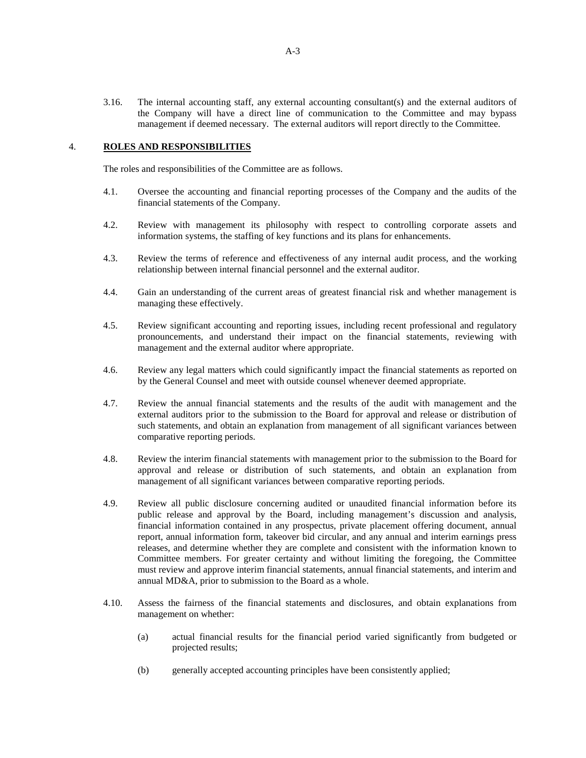3.16. The internal accounting staff, any external accounting consultant(s) and the external auditors of the Company will have a direct line of communication to the Committee and may bypass management if deemed necessary. The external auditors will report directly to the Committee.

# 4. **ROLES AND RESPONSIBILITIES**

The roles and responsibilities of the Committee are as follows.

- 4.1. Oversee the accounting and financial reporting processes of the Company and the audits of the financial statements of the Company.
- 4.2. Review with management its philosophy with respect to controlling corporate assets and information systems, the staffing of key functions and its plans for enhancements.
- 4.3. Review the terms of reference and effectiveness of any internal audit process, and the working relationship between internal financial personnel and the external auditor.
- 4.4. Gain an understanding of the current areas of greatest financial risk and whether management is managing these effectively.
- 4.5. Review significant accounting and reporting issues, including recent professional and regulatory pronouncements, and understand their impact on the financial statements, reviewing with management and the external auditor where appropriate.
- 4.6. Review any legal matters which could significantly impact the financial statements as reported on by the General Counsel and meet with outside counsel whenever deemed appropriate.
- 4.7. Review the annual financial statements and the results of the audit with management and the external auditors prior to the submission to the Board for approval and release or distribution of such statements, and obtain an explanation from management of all significant variances between comparative reporting periods.
- 4.8. Review the interim financial statements with management prior to the submission to the Board for approval and release or distribution of such statements, and obtain an explanation from management of all significant variances between comparative reporting periods.
- 4.9. Review all public disclosure concerning audited or unaudited financial information before its public release and approval by the Board, including management's discussion and analysis, financial information contained in any prospectus, private placement offering document, annual report, annual information form, takeover bid circular, and any annual and interim earnings press releases, and determine whether they are complete and consistent with the information known to Committee members. For greater certainty and without limiting the foregoing, the Committee must review and approve interim financial statements, annual financial statements, and interim and annual MD&A, prior to submission to the Board as a whole.
- 4.10. Assess the fairness of the financial statements and disclosures, and obtain explanations from management on whether:
	- (a) actual financial results for the financial period varied significantly from budgeted or projected results;
	- (b) generally accepted accounting principles have been consistently applied;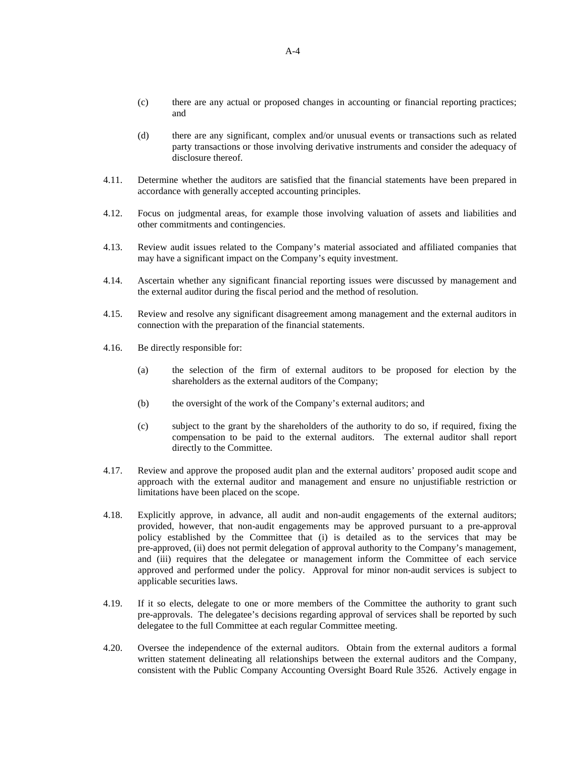- (c) there are any actual or proposed changes in accounting or financial reporting practices; and
- (d) there are any significant, complex and/or unusual events or transactions such as related party transactions or those involving derivative instruments and consider the adequacy of disclosure thereof.
- 4.11. Determine whether the auditors are satisfied that the financial statements have been prepared in accordance with generally accepted accounting principles.
- 4.12. Focus on judgmental areas, for example those involving valuation of assets and liabilities and other commitments and contingencies.
- 4.13. Review audit issues related to the Company's material associated and affiliated companies that may have a significant impact on the Company's equity investment.
- 4.14. Ascertain whether any significant financial reporting issues were discussed by management and the external auditor during the fiscal period and the method of resolution.
- 4.15. Review and resolve any significant disagreement among management and the external auditors in connection with the preparation of the financial statements.
- 4.16. Be directly responsible for:
	- (a) the selection of the firm of external auditors to be proposed for election by the shareholders as the external auditors of the Company;
	- (b) the oversight of the work of the Company's external auditors; and
	- (c) subject to the grant by the shareholders of the authority to do so, if required, fixing the compensation to be paid to the external auditors. The external auditor shall report directly to the Committee.
- 4.17. Review and approve the proposed audit plan and the external auditors' proposed audit scope and approach with the external auditor and management and ensure no unjustifiable restriction or limitations have been placed on the scope.
- 4.18. Explicitly approve, in advance, all audit and non-audit engagements of the external auditors; provided, however, that non-audit engagements may be approved pursuant to a pre-approval policy established by the Committee that (i) is detailed as to the services that may be pre-approved, (ii) does not permit delegation of approval authority to the Company's management, and (iii) requires that the delegatee or management inform the Committee of each service approved and performed under the policy. Approval for minor non-audit services is subject to applicable securities laws.
- 4.19. If it so elects, delegate to one or more members of the Committee the authority to grant such pre-approvals. The delegatee's decisions regarding approval of services shall be reported by such delegatee to the full Committee at each regular Committee meeting.
- 4.20. Oversee the independence of the external auditors. Obtain from the external auditors a formal written statement delineating all relationships between the external auditors and the Company, consistent with the Public Company Accounting Oversight Board Rule 3526. Actively engage in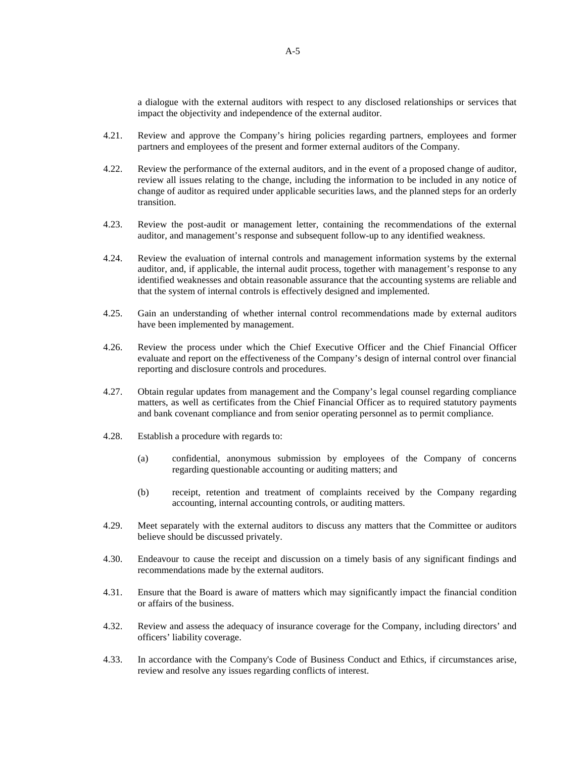a dialogue with the external auditors with respect to any disclosed relationships or services that impact the objectivity and independence of the external auditor.

- 4.21. Review and approve the Company's hiring policies regarding partners, employees and former partners and employees of the present and former external auditors of the Company.
- 4.22. Review the performance of the external auditors, and in the event of a proposed change of auditor, review all issues relating to the change, including the information to be included in any notice of change of auditor as required under applicable securities laws, and the planned steps for an orderly transition.
- 4.23. Review the post-audit or management letter, containing the recommendations of the external auditor, and management's response and subsequent follow-up to any identified weakness.
- 4.24. Review the evaluation of internal controls and management information systems by the external auditor, and, if applicable, the internal audit process, together with management's response to any identified weaknesses and obtain reasonable assurance that the accounting systems are reliable and that the system of internal controls is effectively designed and implemented.
- 4.25. Gain an understanding of whether internal control recommendations made by external auditors have been implemented by management.
- 4.26. Review the process under which the Chief Executive Officer and the Chief Financial Officer evaluate and report on the effectiveness of the Company's design of internal control over financial reporting and disclosure controls and procedures.
- 4.27. Obtain regular updates from management and the Company's legal counsel regarding compliance matters, as well as certificates from the Chief Financial Officer as to required statutory payments and bank covenant compliance and from senior operating personnel as to permit compliance.
- 4.28. Establish a procedure with regards to:
	- (a) confidential, anonymous submission by employees of the Company of concerns regarding questionable accounting or auditing matters; and
	- (b) receipt, retention and treatment of complaints received by the Company regarding accounting, internal accounting controls, or auditing matters.
- 4.29. Meet separately with the external auditors to discuss any matters that the Committee or auditors believe should be discussed privately.
- 4.30. Endeavour to cause the receipt and discussion on a timely basis of any significant findings and recommendations made by the external auditors.
- 4.31. Ensure that the Board is aware of matters which may significantly impact the financial condition or affairs of the business.
- 4.32. Review and assess the adequacy of insurance coverage for the Company, including directors' and officers' liability coverage.
- 4.33. In accordance with the Company's Code of Business Conduct and Ethics, if circumstances arise, review and resolve any issues regarding conflicts of interest.